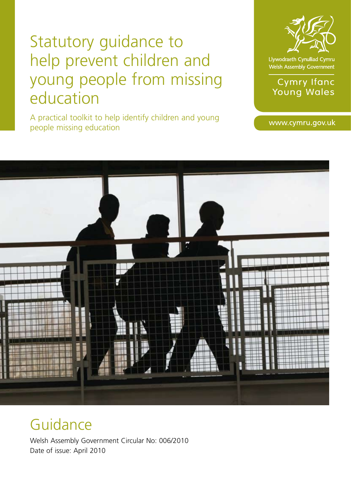# Statutory guidance to help prevent children and young people from missing education

A practical toolkit to help identify children and young people missing education



Llywodraeth Cynulliad Cymru Welsh Assembly Government

**Cymry Ifanc** Young Wales

www.cymru.gov.uk



# Guidance

Welsh Assembly Government Circular No: 006/2010 Date of issue: April 2010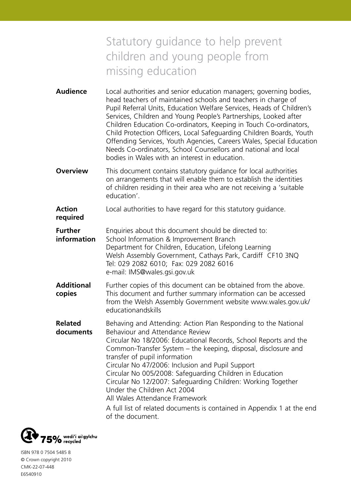# Statutory guidance to help prevent children and young people from missing education

- **Audience** Local authorities and senior education managers; governing bodies, head teachers of maintained schools and teachers in charge of Pupil Referral Units, Education Welfare Services, Heads of Children's Services, Children and Young People's Partnerships, Looked after Children Education Co-ordinators, Keeping in Touch Co-ordinators, Child Protection Officers, Local Safeguarding Children Boards, Youth Offending Services, Youth Agencies, Careers Wales, Special Education Needs Co-ordinators, School Counsellors and national and local bodies in Wales with an interest in education.
- **Overview** This document contains statutory quidance for local authorities on arrangements that will enable them to establish the identities of children residing in their area who are not receiving a 'suitable education'.

**Action** Local authorities to have regard for this statutory quidance.

**Further** Enquiries about this document should be directed to: **information** School Information & Improvement Branch Department for Children, Education, Lifelong Learning Welsh Assembly Government, Cathays Park, Cardiff CF10 3NQ Tel: 029 2082 6010; Fax: 029 2082 6016 e-mail: IMS@wales.gsi.gov.uk

**Additional** Further copies of this document can be obtained from the above. **copies** This document and further summary information can be accessed from the Welsh Assembly Government website www.wales.gov.uk/ educationandskills

**Related** Behaving and Attending: Action Plan Responding to the National **documents** Behaviour and Attendance Review

Circular No 18/2006: Educational Records, School Reports and the Common-Transfer System – the keeping, disposal, disclosure and transfer of pupil information

Circular No 47/2006: Inclusion and Pupil Support Circular No 005/2008: Safeguarding Children in Education Circular No 12/2007: Safeguarding Children: Working Together

Under the Children Act 2004 All Wales Attendance Framework

A full list of related documents is contained in Appendix 1 at the end of the document.



**required**

ISBN 978 0 7504 5485 8 © Crown copyright 2010 CMK-22-07-448 E6540910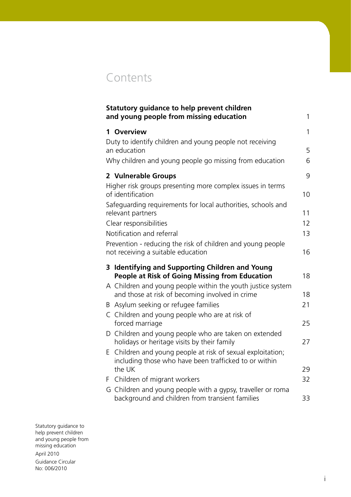# **Contents**

| <b>Statutory guidance to help prevent children</b><br>and young people from missing education                                     | 1  |
|-----------------------------------------------------------------------------------------------------------------------------------|----|
| 1 Overview                                                                                                                        | 1  |
| Duty to identify children and young people not receiving<br>an education                                                          | 5  |
| Why children and young people go missing from education                                                                           | 6  |
| 2 Vulnerable Groups                                                                                                               | 9  |
| Higher risk groups presenting more complex issues in terms<br>of identification                                                   | 10 |
| Safeguarding requirements for local authorities, schools and<br>relevant partners                                                 | 11 |
| Clear responsibilities                                                                                                            | 12 |
| Notification and referral                                                                                                         | 13 |
| Prevention - reducing the risk of children and young people<br>not receiving a suitable education                                 | 16 |
| 3 Identifying and Supporting Children and Young<br><b>People at Risk of Going Missing from Education</b>                          | 18 |
| A Children and young people within the youth justice system<br>and those at risk of becoming involved in crime                    | 18 |
| Asylum seeking or refugee families<br>B                                                                                           | 21 |
| C Children and young people who are at risk of<br>forced marriage                                                                 | 25 |
| Children and young people who are taken on extended<br>D<br>holidays or heritage visits by their family                           | 27 |
| Children and young people at risk of sexual exploitation;<br>Е<br>including those who have been trafficked to or within<br>the UK | 29 |
| Children of migrant workers<br>F                                                                                                  | 32 |
| G Children and young people with a gypsy, traveller or roma<br>background and children from transient families                    | 33 |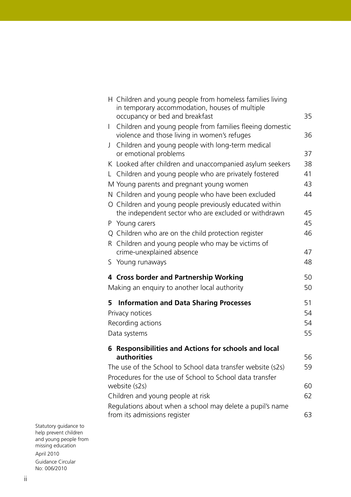| H Children and young people from homeless families living                                                     |    |  |  |  |
|---------------------------------------------------------------------------------------------------------------|----|--|--|--|
| in temporary accommodation, houses of multiple<br>occupancy or bed and breakfast                              | 35 |  |  |  |
| Children and young people from families fleeing domestic<br>L<br>violence and those living in women's refuges | 36 |  |  |  |
| Children and young people with long-term medical<br>J                                                         |    |  |  |  |
| or emotional problems                                                                                         | 37 |  |  |  |
| K Looked after children and unaccompanied asylum seekers                                                      | 38 |  |  |  |
| L Children and young people who are privately fostered                                                        | 41 |  |  |  |
| M Young parents and pregnant young women                                                                      | 43 |  |  |  |
| N Children and young people who have been excluded                                                            | 44 |  |  |  |
| O Children and young people previously educated within                                                        |    |  |  |  |
| the independent sector who are excluded or withdrawn                                                          | 45 |  |  |  |
| P Young carers                                                                                                | 45 |  |  |  |
| Q Children who are on the child protection register                                                           | 46 |  |  |  |
| Children and young people who may be victims of<br>R.<br>crime-unexplained absence                            | 47 |  |  |  |
| S Young runaways                                                                                              | 48 |  |  |  |
|                                                                                                               |    |  |  |  |
| 4 Cross border and Partnership Working                                                                        | 50 |  |  |  |
| Making an enquiry to another local authority                                                                  | 50 |  |  |  |
| <b>Information and Data Sharing Processes</b><br>5.                                                           | 51 |  |  |  |
| Privacy notices                                                                                               |    |  |  |  |
| Recording actions                                                                                             |    |  |  |  |
|                                                                                                               |    |  |  |  |
| Data systems                                                                                                  | 55 |  |  |  |
| 6 Responsibilities and Actions for schools and local                                                          |    |  |  |  |
| authorities                                                                                                   | 56 |  |  |  |
| The use of the School to School data transfer website (s2s)                                                   | 59 |  |  |  |
| Procedures for the use of School to School data transfer                                                      |    |  |  |  |
| website (s2s)                                                                                                 | 60 |  |  |  |
| Children and young people at risk                                                                             | 62 |  |  |  |
| Regulations about when a school may delete a pupil's name<br>from its admissions register                     | 63 |  |  |  |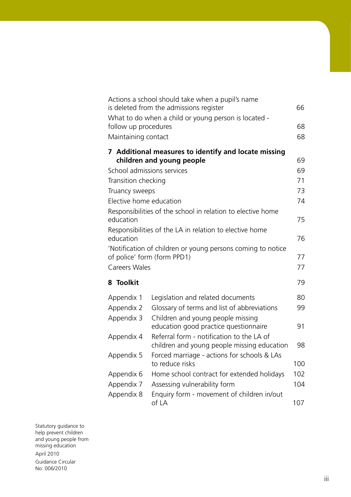|                                                             |                                                                          | Actions a school should take when a pupil's name        |     |
|-------------------------------------------------------------|--------------------------------------------------------------------------|---------------------------------------------------------|-----|
|                                                             |                                                                          | is deleted from the admissions register                 | 66  |
|                                                             | follow up procedures                                                     | What to do when a child or young person is located -    | 68  |
|                                                             | Maintaining contact                                                      |                                                         | 68  |
|                                                             |                                                                          |                                                         |     |
|                                                             |                                                                          | 7 Additional measures to identify and locate missing    |     |
|                                                             |                                                                          | children and young people                               | 69  |
|                                                             | School admissions services                                               |                                                         | 69  |
|                                                             | Transition checking                                                      |                                                         | 71  |
|                                                             | Truancy sweeps                                                           |                                                         | 73  |
|                                                             | Elective home education                                                  |                                                         | 74  |
|                                                             | Responsibilities of the school in relation to elective home<br>education |                                                         |     |
|                                                             |                                                                          | Responsibilities of the LA in relation to elective home |     |
|                                                             | education                                                                |                                                         | 76  |
| 'Notification of children or young persons coming to notice |                                                                          |                                                         |     |
|                                                             |                                                                          | of police' form (form PPD1)                             | 77  |
|                                                             | <b>Careers Wales</b>                                                     |                                                         | 77  |
|                                                             | 8 Toolkit                                                                |                                                         | 79  |
|                                                             | Appendix 1                                                               | Legislation and related documents                       | 80  |
|                                                             | Appendix 2                                                               | Glossary of terms and list of abbreviations             | 99  |
|                                                             | Appendix 3                                                               | Children and young people missing                       |     |
|                                                             |                                                                          | education good practice questionnaire                   | 91  |
|                                                             | Appendix 4                                                               | Referral form - notification to the LA of               |     |
|                                                             |                                                                          | children and young people missing education             | 98  |
|                                                             | Appendix 5                                                               | Forced marriage - actions for schools & LAs             |     |
|                                                             |                                                                          | to reduce risks                                         | 100 |
|                                                             | Appendix 6                                                               | Home school contract for extended holidays              | 102 |
|                                                             | Appendix 7                                                               | Assessing vulnerability form                            | 104 |
|                                                             | Appendix 8                                                               | Enquiry form - movement of children in/out<br>of LA     | 107 |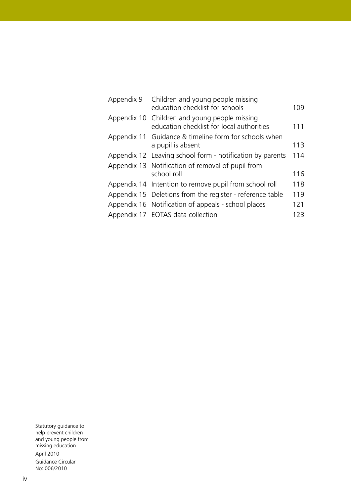| Appendix 9 | Children and young people missing<br>education checklist for schools                       | 109 |
|------------|--------------------------------------------------------------------------------------------|-----|
|            | Appendix 10 Children and young people missing<br>education checklist for local authorities | 111 |
|            | Appendix 11 Guidance & timeline form for schools when<br>a pupil is absent                 | 113 |
|            | Appendix 12 Leaving school form - notification by parents                                  | 114 |
|            | Appendix 13 Notification of removal of pupil from                                          |     |
|            | school roll                                                                                | 116 |
|            | Appendix 14 Intention to remove pupil from school roll                                     | 118 |
|            | Appendix 15 Deletions from the register - reference table                                  | 119 |
|            | Appendix 16 Notification of appeals - school places                                        | 121 |
|            | Appendix 17 EOTAS data collection                                                          | 123 |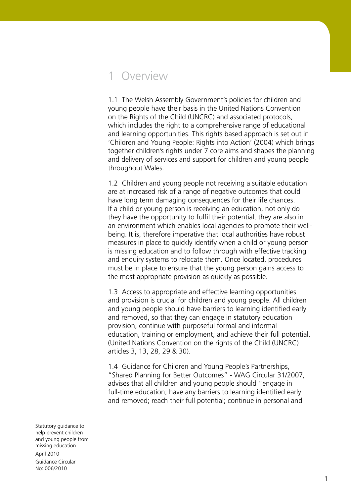# 1 Overview

1.1 The Welsh Assembly Government's policies for children and young people have their basis in the United Nations Convention on the Rights of the Child (UNCRC) and associated protocols, which includes the right to a comprehensive range of educational and learning opportunities. This rights based approach is set out in 'Children and Young People: Rights into Action' (2004) which brings together children's rights under 7 core aims and shapes the planning and delivery of services and support for children and young people throughout Wales.

1.2 Children and young people not receiving a suitable education are at increased risk of a range of negative outcomes that could have long term damaging consequences for their life chances. If a child or young person is receiving an education, not only do they have the opportunity to fulfil their potential, they are also in an environment which enables local agencies to promote their wellbeing. It is, therefore imperative that local authorities have robust measures in place to quickly identify when a child or young person is missing education and to follow through with effective tracking and enquiry systems to relocate them. Once located, procedures must be in place to ensure that the young person gains access to the most appropriate provision as quickly as possible.

1.3 Access to appropriate and effective learning opportunities and provision is crucial for children and young people. All children and young people should have barriers to learning identified early and removed, so that they can engage in statutory education provision, continue with purposeful formal and informal education, training or employment, and achieve their full potential. (United Nations Convention on the rights of the Child (UNCRC) articles 3, 13, 28, 29 & 30).

1.4 Guidance for Children and Young People's Partnerships, "Shared Planning for Better Outcomes" - WAG Circular 31/2007, advises that all children and young people should "engage in full-time education; have any barriers to learning identified early and removed; reach their full potential; continue in personal and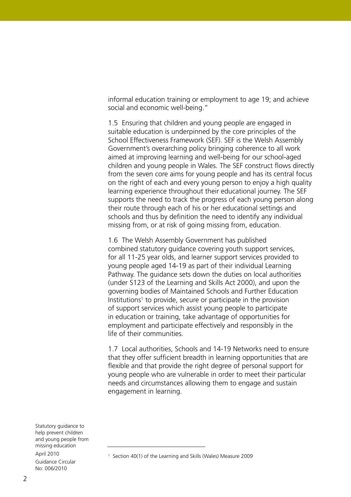informal education training or employment to age 19; and achieve social and economic well-being."

1.5 Ensuring that children and young people are engaged in suitable education is underpinned by the core principles of the School Effectiveness Framework (SEF). SEF is the Welsh Assembly Government's overarching policy bringing coherence to all work aimed at improving learning and well-being for our school-aged children and young people in Wales. The SEF construct flows directly from the seven core aims for young people and has its central focus on the right of each and every young person to enjoy a high quality learning experience throughout their educational journey. The SEF supports the need to track the progress of each young person along their route through each of his or her educational settings and schools and thus by definition the need to identify any individual missing from, or at risk of going missing from, education.

1.6 The Welsh Assembly Government has published combined statutory guidance covering youth support services, for all 11-25 year olds, and learner support services provided to young people aged 14-19 as part of their individual Learning Pathway. The guidance sets down the duties on local authorities (under S123 of the Learning and Skills Act 2000), and upon the governing bodies of Maintained Schools and Further Education Institutions<sup>1</sup> to provide, secure or participate in the provision of support services which assist young people to participate in education or training, take advantage of opportunities for employment and participate effectively and responsibly in the life of their communities.

1.7 Local authorities, Schools and 14-19 Networks need to ensure that they offer sufficient breadth in learning opportunities that are flexible and that provide the right degree of personal support for young people who are vulnerable in order to meet their particular needs and circumstances allowing them to engage and sustain engagement in learning.

<sup>1</sup> Section 40(1) of the Learning and Skills (Wales) Measure 2009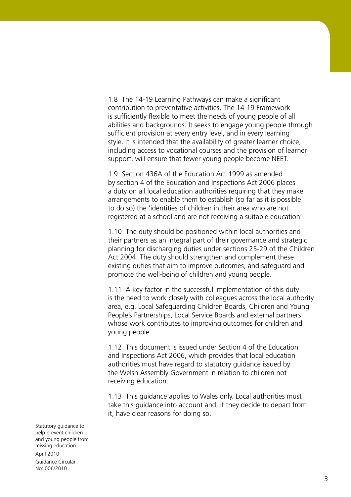1.8 The 14-19 Learning Pathways can make a significant contribution to preventative activities. The 14-19 Framework is sufficiently flexible to meet the needs of young people of all abilities and backgrounds. It seeks to engage young people through sufficient provision at every entry level, and in every learning style. It is intended that the availability of greater learner choice, including access to vocational courses and the provision of learner support, will ensure that fewer young people become NEET.

1.9 Section 436A of the Education Act 1999 as amended by section 4 of the Education and Inspections Act 2006 places a duty on all local education authorities requiring that they make arrangements to enable them to establish (so far as it is possible to do so) the 'identities of children in their area who are not registered at a school and are not receiving a suitable education'.

1.10 The duty should be positioned within local authorities and their partners as an integral part of their governance and strategic planning for discharging duties under sections 25-29 of the Children Act 2004. The duty should strengthen and complement these existing duties that aim to improve outcomes, and safeguard and promote the well-being of children and young people.

1.11 A key factor in the successful implementation of this duty is the need to work closely with colleagues across the local authority area, e.g. Local Safeguarding Children Boards, Children and Young People's Partnerships, Local Service Boards and external partners whose work contributes to improving outcomes for children and young people.

1.12 This document is issued under Section 4 of the Education and Inspections Act 2006, which provides that local education authorities must have regard to statutory guidance issued by the Welsh Assembly Government in relation to children not receiving education.

1.13 This guidance applies to Wales only. Local authorities must take this guidance into account and, if they decide to depart from it, have clear reasons for doing so.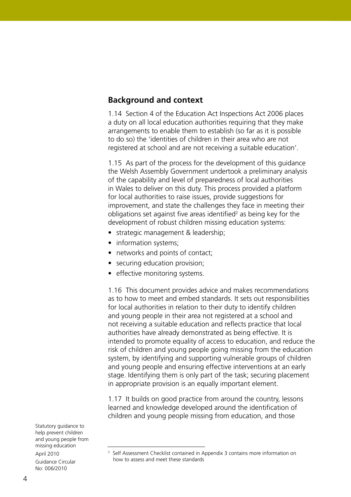### **Background and context**

1.14 Section 4 of the Education Act Inspections Act 2006 places a duty on all local education authorities requiring that they make arrangements to enable them to establish (so far as it is possible to do so) the 'identities of children in their area who are not registered at school and are not receiving a suitable education'.

1.15 As part of the process for the development of this guidance the Welsh Assembly Government undertook a preliminary analysis of the capability and level of preparedness of local authorities in Wales to deliver on this duty. This process provided a platform for local authorities to raise issues, provide suggestions for improvement, and state the challenges they face in meeting their obligations set against five areas identified<sup>2</sup> as being key for the development of robust children missing education systems:

- strategic management & leadership;
- information systems;
- networks and points of contact;
- securing education provision;
- effective monitoring systems.

1.16 This document provides advice and makes recommendations as to how to meet and embed standards. It sets out responsibilities for local authorities in relation to their duty to identify children and young people in their area not registered at a school and not receiving a suitable education and reflects practice that local authorities have already demonstrated as being effective. It is intended to promote equality of access to education, and reduce the risk of children and young people going missing from the education system, by identifying and supporting vulnerable groups of children and young people and ensuring effective interventions at an early stage. Identifying them is only part of the task; securing placement in appropriate provision is an equally important element.

1.17 It builds on good practice from around the country, lessons learned and knowledge developed around the identification of children and young people missing from education, and those

<sup>2</sup> Self Assessment Checklist contained in Appendix 3 contains more information on how to assess and meet these standards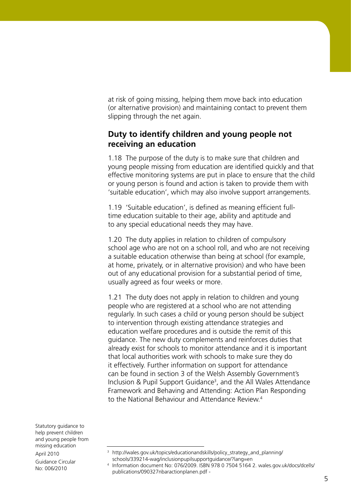at risk of going missing, helping them move back into education (or alternative provision) and maintaining contact to prevent them slipping through the net again.

### **Duty to identify children and young people not receiving an education**

1.18 The purpose of the duty is to make sure that children and young people missing from education are identified quickly and that effective monitoring systems are put in place to ensure that the child or young person is found and action is taken to provide them with 'suitable education', which may also involve support arrangements.

1.19 'Suitable education', is defined as meaning efficient fulltime education suitable to their age, ability and aptitude and to any special educational needs they may have.

1.20 The duty applies in relation to children of compulsory school age who are not on a school roll, and who are not receiving a suitable education otherwise than being at school (for example, at home, privately, or in alternative provision) and who have been out of any educational provision for a substantial period of time, usually agreed as four weeks or more.

1.21 The duty does not apply in relation to children and young people who are registered at a school who are not attending regularly. In such cases a child or young person should be subject to intervention through existing attendance strategies and education welfare procedures and is outside the remit of this guidance. The new duty complements and reinforces duties that already exist for schools to monitor attendance and it is important that local authorities work with schools to make sure they do it effectively. Further information on support for attendance can be found in section 3 of the Welsh Assembly Government's Inclusion & Pupil Support Guidance<sup>3</sup>, and the All Wales Attendance Framework and Behaving and Attending: Action Plan Responding to the National Behaviour and Attendance Review.4

<sup>3</sup> http://wales.gov.uk/topics/educationandskills/policy\_strategy\_and\_planning/ schools/339214-wag/inclusionpupilsupportguidance/?lang=en

<sup>4</sup> Information document No: 076/2009. ISBN 978 0 7504 5164 2. wales.gov.uk/docs/dcells/ publications/090327nbaractionplanen.pdf -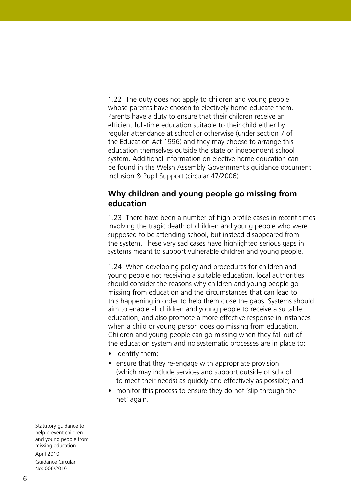1.22 The duty does not apply to children and young people whose parents have chosen to electively home educate them. Parents have a duty to ensure that their children receive an efficient full-time education suitable to their child either by regular attendance at school or otherwise (under section 7 of the Education Act 1996) and they may choose to arrange this education themselves outside the state or independent school system. Additional information on elective home education can be found in the Welsh Assembly Government's guidance document Inclusion & Pupil Support (circular 47/2006).

### **Why children and young people go missing from education**

1.23 There have been a number of high profile cases in recent times involving the tragic death of children and young people who were supposed to be attending school, but instead disappeared from the system. These very sad cases have highlighted serious gaps in systems meant to support vulnerable children and young people.

1.24 When developing policy and procedures for children and young people not receiving a suitable education, local authorities should consider the reasons why children and young people go missing from education and the circumstances that can lead to this happening in order to help them close the gaps. Systems should aim to enable all children and young people to receive a suitable education, and also promote a more effective response in instances when a child or young person does go missing from education. Children and young people can go missing when they fall out of the education system and no systematic processes are in place to:

- identify them;
- ensure that they re-engage with appropriate provision (which may include services and support outside of school to meet their needs) as quickly and effectively as possible; and
- monitor this process to ensure they do not 'slip through the net' again.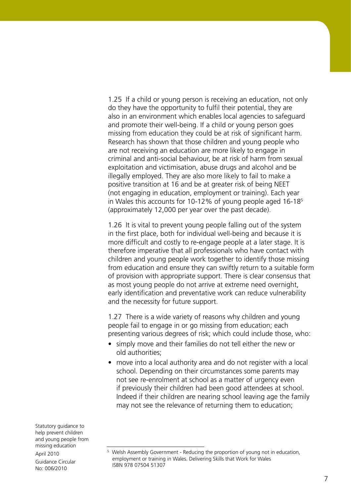1.25 If a child or young person is receiving an education, not only do they have the opportunity to fulfil their potential, they are also in an environment which enables local agencies to safeguard and promote their well-being. If a child or young person goes missing from education they could be at risk of significant harm. Research has shown that those children and young people who are not receiving an education are more likely to engage in criminal and anti-social behaviour, be at risk of harm from sexual exploitation and victimisation, abuse drugs and alcohol and be illegally employed. They are also more likely to fail to make a positive transition at 16 and be at greater risk of being NEET (not engaging in education, employment or training). Each year in Wales this accounts for 10-12% of young people aged 16-18<sup>5</sup> (approximately 12,000 per year over the past decade).

1.26 It is vital to prevent young people falling out of the system in the first place, both for individual well-being and because it is more difficult and costly to re-engage people at a later stage. It is therefore imperative that all professionals who have contact with children and young people work together to identify those missing from education and ensure they can swiftly return to a suitable form of provision with appropriate support. There is clear consensus that as most young people do not arrive at extreme need overnight, early identification and preventative work can reduce vulnerability and the necessity for future support.

1.27 There is a wide variety of reasons why children and young people fail to engage in or go missing from education; each presenting various degrees of risk; which could include those, who:

- simply move and their families do not tell either the new or old authorities;
- move into a local authority area and do not register with a local school. Depending on their circumstances some parents may not see re-enrolment at school as a matter of urgency even if previously their children had been good attendees at school. Indeed if their children are nearing school leaving age the family may not see the relevance of returning them to education;

<sup>&</sup>lt;sup>5</sup> Welsh Assembly Government - Reducing the proportion of young not in education, employment or training in Wales. Delivering Skills that Work for Wales ISBN 978 07504 51307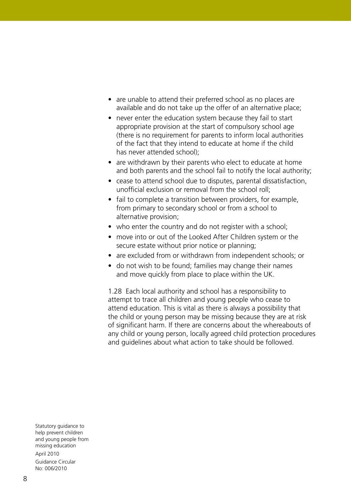- are unable to attend their preferred school as no places are available and do not take up the offer of an alternative place;
- never enter the education system because they fail to start appropriate provision at the start of compulsory school age (there is no requirement for parents to inform local authorities of the fact that they intend to educate at home if the child has never attended school);
- are withdrawn by their parents who elect to educate at home and both parents and the school fail to notify the local authority;
- cease to attend school due to disputes, parental dissatisfaction, unofficial exclusion or removal from the school roll;
- fail to complete a transition between providers, for example, from primary to secondary school or from a school to alternative provision;
- who enter the country and do not register with a school;
- move into or out of the Looked After Children system or the secure estate without prior notice or planning;
- are excluded from or withdrawn from independent schools; or
- do not wish to be found; families may change their names and move quickly from place to place within the UK.

1.28 Each local authority and school has a responsibility to attempt to trace all children and young people who cease to attend education. This is vital as there is always a possibility that the child or young person may be missing because they are at risk of significant harm. If there are concerns about the whereabouts of any child or young person, locally agreed child protection procedures and guidelines about what action to take should be followed.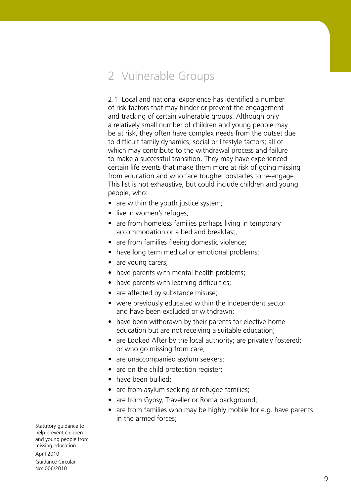# 2 Vulnerable Groups

2.1 Local and national experience has identified a number of risk factors that may hinder or prevent the engagement and tracking of certain vulnerable groups. Although only a relatively small number of children and young people may be at risk, they often have complex needs from the outset due to difficult family dynamics, social or lifestyle factors; all of which may contribute to the withdrawal process and failure to make a successful transition. They may have experienced certain life events that make them more at risk of going missing from education and who face tougher obstacles to re-engage. This list is not exhaustive, but could include children and young people, who:

- are within the youth justice system;
- live in women's refuges;
- are from homeless families perhaps living in temporary accommodation or a bed and breakfast;
- are from families fleeing domestic violence;
- have long term medical or emotional problems;
- are young carers;
- have parents with mental health problems;
- have parents with learning difficulties;
- are affected by substance misuse;
- were previously educated within the Independent sector and have been excluded or withdrawn;
- have been withdrawn by their parents for elective home education but are not receiving a suitable education;
- are Looked After by the local authority; are privately fostered; or who go missing from care;
- are unaccompanied asylum seekers;
- are on the child protection register;
- have been bullied:
- are from asylum seeking or refugee families;
- are from Gypsy, Traveller or Roma background;
- are from families who may be highly mobile for e.g. have parents in the armed forces;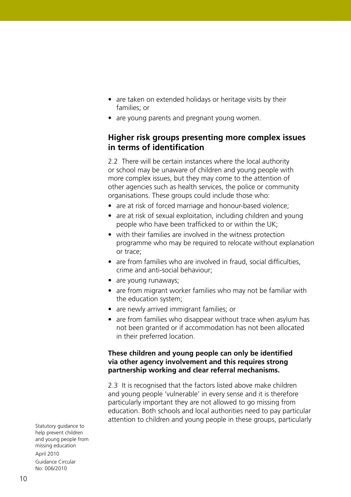- are taken on extended holidays or heritage visits by their families; or
- are young parents and pregnant young women.

# **Higher risk groups presenting more complex issues in terms of identification**

2.2 There will be certain instances where the local authority or school may be unaware of children and young people with more complex issues, but they may come to the attention of other agencies such as health services, the police or community organisations. These groups could include those who:

- are at risk of forced marriage and honour-based violence;
- are at risk of sexual exploitation, including children and young people who have been trafficked to or within the UK;
- with their families are involved in the witness protection programme who may be required to relocate without explanation or trace;
- are from families who are involved in fraud, social difficulties, crime and anti-social behaviour;
- are young runaways;
- are from migrant worker families who may not be familiar with the education system;
- are newly arrived immigrant families; or
- are from families who disappear without trace when asylum has not been granted or if accommodation has not been allocated in their preferred location.

#### **These children and young people can only be identified via other agency involvement and this requires strong partnership working and clear referral mechanisms.**

2.3 It is recognised that the factors listed above make children and young people 'vulnerable' in every sense and it is therefore particularly important they are not allowed to go missing from education. Both schools and local authorities need to pay particular attention to children and young people in these groups, particularly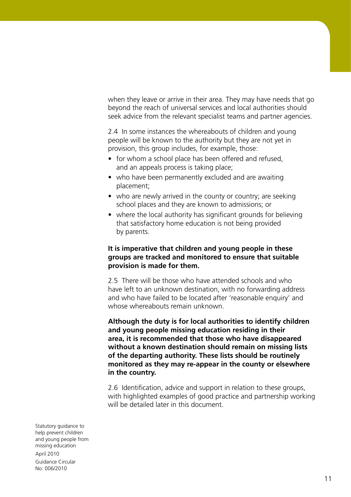when they leave or arrive in their area. They may have needs that go beyond the reach of universal services and local authorities should seek advice from the relevant specialist teams and partner agencies.

2.4 In some instances the whereabouts of children and young people will be known to the authority but they are not yet in provision, this group includes, for example, those:

- for whom a school place has been offered and refused, and an appeals process is taking place;
- who have been permanently excluded and are awaiting placement;
- who are newly arrived in the county or country; are seeking school places and they are known to admissions; or
- where the local authority has significant grounds for believing that satisfactory home education is not being provided by parents.

#### **It is imperative that children and young people in these groups are tracked and monitored to ensure that suitable provision is made for them.**

2.5 There will be those who have attended schools and who have left to an unknown destination, with no forwarding address and who have failed to be located after 'reasonable enquiry' and whose whereabouts remain unknown.

**Although the duty is for local authorities to identify children and young people missing education residing in their area, it is recommended that those who have disappeared without a known destination should remain on missing lists of the departing authority. These lists should be routinely monitored as they may re-appear in the county or elsewhere in the country.**

2.6 Identification, advice and support in relation to these groups, with highlighted examples of good practice and partnership working will be detailed later in this document.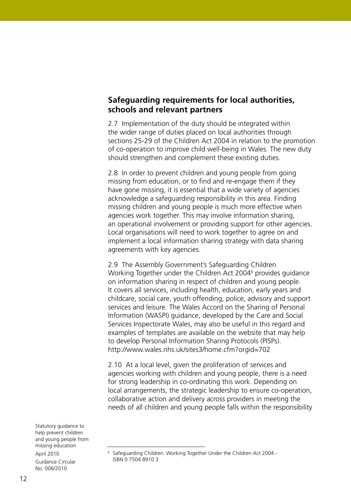### **Safeguarding requirements for local authorities, schools and relevant partners**

2.7 Implementation of the duty should be integrated within the wider range of duties placed on local authorities through sections 25-29 of the Children Act 2004 in relation to the promotion of co-operation to improve child well-being in Wales. The new duty should strengthen and complement these existing duties.

2.8 In order to prevent children and young people from going missing from education, or to find and re-engage them if they have gone missing, it is essential that a wide variety of agencies acknowledge a safeguarding responsibility in this area. Finding missing children and young people is much more effective when agencies work together. This may involve information sharing, an operational involvement or providing support for other agencies. Local organisations will need to work together to agree on and implement a local information sharing strategy with data sharing agreements with key agencies.

2.9 The Assembly Government's Safeguarding Children Working Together under the Children Act 2004<sup>6</sup> provides guidance on information sharing in respect of children and young people. It covers all services, including health, education, early years and childcare, social care, youth offending, police, advisory and support services and leisure. The Wales Accord on the Sharing of Personal Information (WASPI) guidance, developed by the Care and Social Services Inspectorate Wales, may also be useful in this regard and examples of templates are available on the website that may help to develop Personal Information Sharing Protocols (PISPs). http://www.wales.nhs.uk/sites3/home.cfm?orgid=702

2.10 At a local level, given the proliferation of services and agencies working with children and young people, there is a need for strong leadership in co-ordinating this work. Depending on local arrangements, the strategic leadership to ensure co-operation, collaborative action and delivery across providers in meeting the needs of all children and young people falls within the responsibility

<sup>&</sup>lt;sup>6</sup> Safeguarding Children: Working Together Under the Children Act 2004 -ISBN 0 7504 8910 3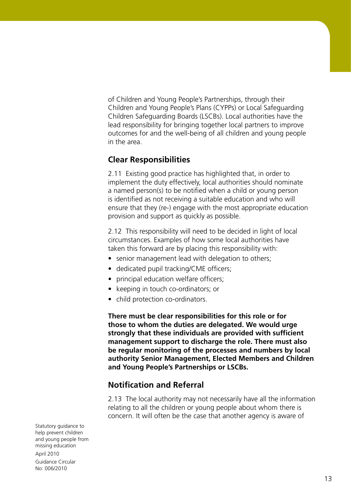of Children and Young People's Partnerships, through their Children and Young People's Plans (CYPPs) or Local Safeguarding Children Safeguarding Boards (LSCBs). Local authorities have the lead responsibility for bringing together local partners to improve outcomes for and the well-being of all children and young people in the area.

#### **Clear Responsibilities**

2.11 Existing good practice has highlighted that, in order to implement the duty effectively, local authorities should nominate a named person(s) to be notified when a child or young person is identified as not receiving a suitable education and who will ensure that they (re-) engage with the most appropriate education provision and support as quickly as possible.

2.12 This responsibility will need to be decided in light of local circumstances. Examples of how some local authorities have taken this forward are by placing this responsibility with:

- senior management lead with delegation to others;
- dedicated pupil tracking/CME officers;
- principal education welfare officers;
- keeping in touch co-ordinators; or
- child protection co-ordinators.

**There must be clear responsibilities for this role or for those to whom the duties are delegated. We would urge strongly that these individuals are provided with sufficient management support to discharge the role. There must also be regular monitoring of the processes and numbers by local authority Senior Management, Elected Members and Children and Young People's Partnerships or LSCBs.** 

#### **Notification and Referral**

2.13 The local authority may not necessarily have all the information relating to all the children or young people about whom there is concern. It will often be the case that another agency is aware of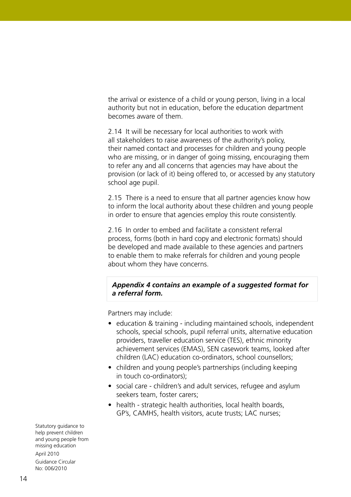the arrival or existence of a child or young person, living in a local authority but not in education, before the education department becomes aware of them.

2.14 It will be necessary for local authorities to work with all stakeholders to raise awareness of the authority's policy, their named contact and processes for children and young people who are missing, or in danger of going missing, encouraging them to refer any and all concerns that agencies may have about the provision (or lack of it) being offered to, or accessed by any statutory school age pupil.

2.15 There is a need to ensure that all partner agencies know how to inform the local authority about these children and young people in order to ensure that agencies employ this route consistently.

2.16 In order to embed and facilitate a consistent referral process, forms (both in hard copy and electronic formats) should be developed and made available to these agencies and partners to enable them to make referrals for children and young people about whom they have concerns.

#### *Appendix 4 contains an example of a suggested format for a referral form.*

Partners may include:

- education & training including maintained schools, independent schools, special schools, pupil referral units, alternative education providers, traveller education service (TES), ethnic minority achievement services (EMAS), SEN casework teams, looked after children (LAC) education co-ordinators, school counsellors;
- children and young people's partnerships (including keeping in touch co-ordinators);
- social care children's and adult services, refugee and asylum seekers team, foster carers;
- health strategic health authorities, local health boards, GP's, CAMHS, health visitors, acute trusts; LAC nurses;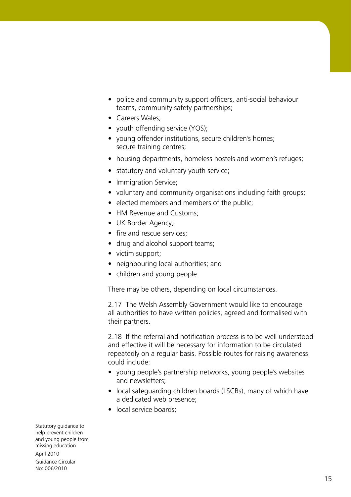- police and community support officers, anti-social behaviour teams, community safety partnerships;
- Careers Wales;
- youth offending service (YOS);
- young offender institutions, secure children's homes; secure training centres;
- housing departments, homeless hostels and women's refuges;
- statutory and voluntary youth service;
- Immigration Service;
- voluntary and community organisations including faith groups;
- elected members and members of the public;
- HM Revenue and Customs:
- UK Border Agency;
- fire and rescue services;
- drug and alcohol support teams;
- victim support;
- neighbouring local authorities; and
- children and young people.

There may be others, depending on local circumstances.

2.17 The Welsh Assembly Government would like to encourage all authorities to have written policies, agreed and formalised with their partners.

2.18 If the referral and notification process is to be well understood and effective it will be necessary for information to be circulated repeatedly on a regular basis. Possible routes for raising awareness could include:

- young people's partnership networks, young people's websites and newsletters;
- local safeguarding children boards (LSCBs), many of which have a dedicated web presence;
- local service boards: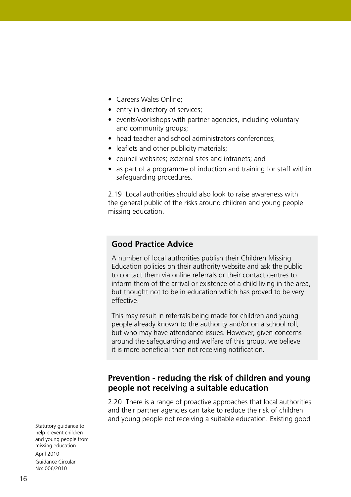- Careers Wales Online;
- entry in directory of services;
- events/workshops with partner agencies, including voluntary and community groups;
- head teacher and school administrators conferences:
- leaflets and other publicity materials;
- council websites; external sites and intranets; and
- as part of a programme of induction and training for staff within safeguarding procedures.

2.19 Local authorities should also look to raise awareness with the general public of the risks around children and young people missing education.

#### **Good Practice Advice**

A number of local authorities publish their Children Missing Education policies on their authority website and ask the public to contact them via online referrals or their contact centres to inform them of the arrival or existence of a child living in the area, but thought not to be in education which has proved to be very effective.

This may result in referrals being made for children and young people already known to the authority and/or on a school roll, but who may have attendance issues. However, given concerns around the safeguarding and welfare of this group, we believe it is more beneficial than not receiving notification.

#### **Prevention - reducing the risk of children and young people not receiving a suitable education**

2.20 There is a range of proactive approaches that local authorities and their partner agencies can take to reduce the risk of children and young people not receiving a suitable education. Existing good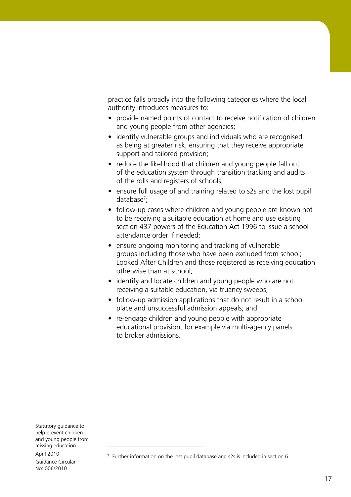practice falls broadly into the following categories where the local authority introduces measures to:

- provide named points of contact to receive notification of children and young people from other agencies;
- identify vulnerable groups and individuals who are recognised as being at greater risk; ensuring that they receive appropriate support and tailored provision;
- reduce the likelihood that children and young people fall out of the education system through transition tracking and audits of the rolls and registers of schools;
- ensure full usage of and training related to s2s and the lost pupil database<sup>7</sup>;
- follow-up cases where children and young people are known not to be receiving a suitable education at home and use existing section 437 powers of the Education Act 1996 to issue a school attendance order if needed;
- ensure ongoing monitoring and tracking of vulnerable groups including those who have been excluded from school; Looked After Children and those registered as receiving education otherwise than at school;
- identify and locate children and young people who are not receiving a suitable education, via truancy sweeps;
- follow-up admission applications that do not result in a school place and unsuccessful admission appeals; and
- re-engage children and young people with appropriate educational provision, for example via multi-agency panels to broker admissions.

 $7$  Further information on the lost pupil database and s2s is included in section 6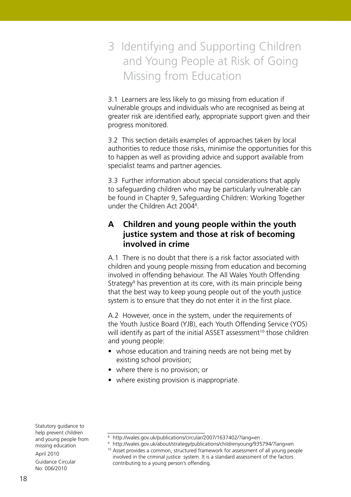# 3 Identifying and Supporting Children and Young People at Risk of Going Missing from Education

3.1 Learners are less likely to go missing from education if vulnerable groups and individuals who are recognised as being at greater risk are identified early, appropriate support given and their progress monitored.

3.2 This section details examples of approaches taken by local authorities to reduce those risks, minimise the opportunities for this to happen as well as providing advice and support available from specialist teams and partner agencies.

3.3 Further information about special considerations that apply to safeguarding children who may be particularly vulnerable can be found in Chapter 9, Safeguarding Children: Working Together under the Children Act 2004<sup>8</sup>.

# **A Children and young people within the youth justice system and those at risk of becoming involved in crime**

A.1 There is no doubt that there is a risk factor associated with children and young people missing from education and becoming involved in offending behaviour. The All Wales Youth Offending Strategy<sup>9</sup> has prevention at its core, with its main principle being that the best way to keep young people out of the youth justice system is to ensure that they do not enter it in the first place.

A.2 However, once in the system, under the requirements of the Youth Justice Board (YJB), each Youth Offending Service (YOS) will identify as part of the initial ASSET assessment<sup>10</sup> those children and young people:

- whose education and training needs are not being met by existing school provision;
- where there is no provision; or
- where existing provision is inappropriate.

Statutory guidance to help prevent children and young people from missing education April 2010

Guidance Circular No: 006/2010

<sup>&</sup>lt;sup>8</sup> http://wales.gov.uk/publications/circular/2007/1637402/?lang=en.

<sup>9</sup> http://wales.gov.uk/about/strategy/publications/childrenyoung/935794/?lang=en <sup>10</sup> Asset provides a common, structured framework for assessment of all young people involved in the criminal justice system. It is a standard assessment of the factors contributing to a young person's offending.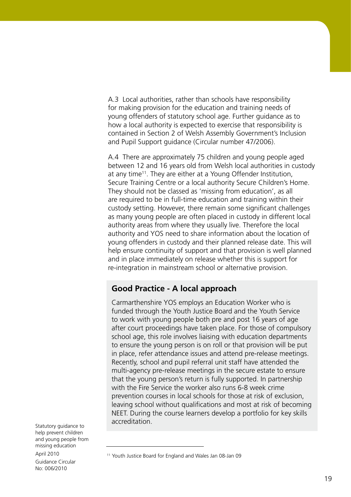A.3 Local authorities, rather than schools have responsibility for making provision for the education and training needs of young offenders of statutory school age. Further guidance as to how a local authority is expected to exercise that responsibility is contained in Section 2 of Welsh Assembly Government's Inclusion and Pupil Support guidance (Circular number 47/2006).

A.4 There are approximately 75 children and young people aged between 12 and 16 years old from Welsh local authorities in custody at any time<sup>11</sup>. They are either at a Young Offender Institution, Secure Training Centre or a local authority Secure Children's Home. They should not be classed as 'missing from education', as all are required to be in full-time education and training within their custody setting. However, there remain some significant challenges as many young people are often placed in custody in different local authority areas from where they usually live. Therefore the local authority and YOS need to share information about the location of young offenders in custody and their planned release date. This will help ensure continuity of support and that provision is well planned and in place immediately on release whether this is support for re-integration in mainstream school or alternative provision.

## **Good Practice - A local approach**

Carmarthenshire YOS employs an Education Worker who is funded through the Youth Justice Board and the Youth Service to work with young people both pre and post 16 years of age after court proceedings have taken place. For those of compulsory school age, this role involves liaising with education departments to ensure the young person is on roll or that provision will be put in place, refer attendance issues and attend pre-release meetings. Recently, school and pupil referral unit staff have attended the multi-agency pre-release meetings in the secure estate to ensure that the young person's return is fully supported. In partnership with the Fire Service the worker also runs 6-8 week crime prevention courses in local schools for those at risk of exclusion, leaving school without qualifications and most at risk of becoming NEET. During the course learners develop a portfolio for key skills accreditation.

<sup>11</sup> Youth Justice Board for England and Wales Jan 08-Jan 09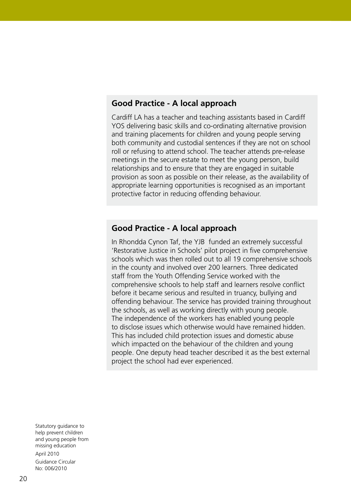#### **Good Practice - A local approach**

Cardiff LA has a teacher and teaching assistants based in Cardiff YOS delivering basic skills and co-ordinating alternative provision and training placements for children and young people serving both community and custodial sentences if they are not on school roll or refusing to attend school. The teacher attends pre-release meetings in the secure estate to meet the young person, build relationships and to ensure that they are engaged in suitable provision as soon as possible on their release, as the availability of appropriate learning opportunities is recognised as an important protective factor in reducing offending behaviour.

#### **Good Practice - A local approach**

In Rhondda Cynon Taf, the YJB funded an extremely successful 'Restorative Justice in Schools' pilot project in five comprehensive schools which was then rolled out to all 19 comprehensive schools in the county and involved over 200 learners. Three dedicated staff from the Youth Offending Service worked with the comprehensive schools to help staff and learners resolve conflict before it became serious and resulted in truancy, bullying and offending behaviour. The service has provided training throughout the schools, as well as working directly with young people. The independence of the workers has enabled young people to disclose issues which otherwise would have remained hidden. This has included child protection issues and domestic abuse which impacted on the behaviour of the children and young people. One deputy head teacher described it as the best external project the school had ever experienced.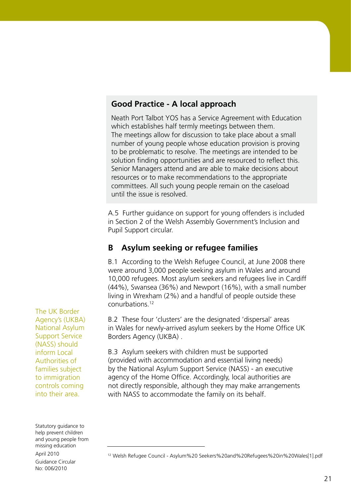#### **Good Practice - A local approach**

Neath Port Talbot YOS has a Service Agreement with Education which establishes half termly meetings between them. The meetings allow for discussion to take place about a small number of young people whose education provision is proving to be problematic to resolve. The meetings are intended to be solution finding opportunities and are resourced to reflect this. Senior Managers attend and are able to make decisions about resources or to make recommendations to the appropriate committees. All such young people remain on the caseload until the issue is resolved.

A.5 Further guidance on support for young offenders is included in Section 2 of the Welsh Assembly Government's Inclusion and Pupil Support circular.

# **B Asylum seeking or refugee families**

B.1 According to the Welsh Refugee Council, at June 2008 there were around 3,000 people seeking asylum in Wales and around 10,000 refugees. Most asylum seekers and refugees live in Cardiff (44%), Swansea (36%) and Newport (16%), with a small number living in Wrexham (2%) and a handful of people outside these conurbations.12

B.2 These four 'clusters' are the designated 'dispersal' areas in Wales for newly-arrived asylum seekers by the Home Office UK Borders Agency (UKBA) .

B.3 Asylum seekers with children must be supported (provided with accommodation and essential living needs) by the National Asylum Support Service (NASS) - an executive agency of the Home Office. Accordingly, local authorities are not directly responsible, although they may make arrangements with NASS to accommodate the family on its behalf.

The UK Border Agency's (UKBA) National Asylum Support Service (NASS) should inform Local Authorities of families subject to immigration controls coming into their area.

<sup>12</sup> Welsh Refugee Council - Asylum%20 Seekers%20and%20Refugees%20in%20Wales[1].pdf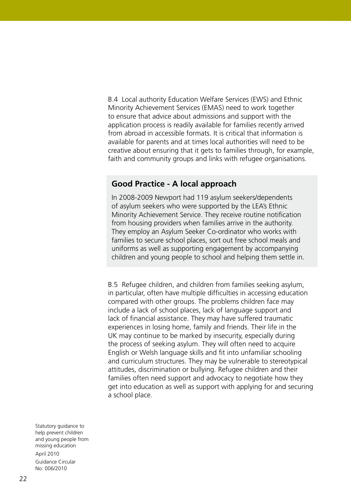B.4 Local authority Education Welfare Services (EWS) and Ethnic Minority Achievement Services (EMAS) need to work together to ensure that advice about admissions and support with the application process is readily available for families recently arrived from abroad in accessible formats. It is critical that information is available for parents and at times local authorities will need to be creative about ensuring that it gets to families through, for example, faith and community groups and links with refugee organisations.

#### **Good Practice - A local approach**

In 2008-2009 Newport had 119 asylum seekers/dependents of asylum seekers who were supported by the LEA's Ethnic Minority Achievement Service. They receive routine notification from housing providers when families arrive in the authority. They employ an Asylum Seeker Co-ordinator who works with families to secure school places, sort out free school meals and uniforms as well as supporting engagement by accompanying children and young people to school and helping them settle in.

B.5 Refugee children, and children from families seeking asylum, in particular, often have multiple difficulties in accessing education compared with other groups. The problems children face may include a lack of school places, lack of language support and lack of financial assistance. They may have suffered traumatic experiences in losing home, family and friends. Their life in the UK may continue to be marked by insecurity, especially during the process of seeking asylum. They will often need to acquire English or Welsh language skills and fit into unfamiliar schooling and curriculum structures. They may be vulnerable to stereotypical attitudes, discrimination or bullying. Refugee children and their families often need support and advocacy to negotiate how they get into education as well as support with applying for and securing a school place.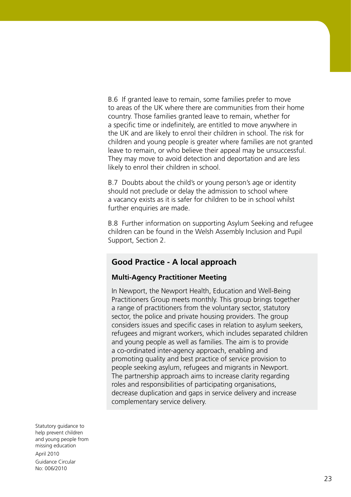B.6 If granted leave to remain, some families prefer to move to areas of the UK where there are communities from their home country. Those families granted leave to remain, whether for a specific time or indefinitely, are entitled to move anywhere in the UK and are likely to enrol their children in school. The risk for children and young people is greater where families are not granted leave to remain, or who believe their appeal may be unsuccessful. They may move to avoid detection and deportation and are less likely to enrol their children in school.

B.7 Doubts about the child's or young person's age or identity should not preclude or delay the admission to school where a vacancy exists as it is safer for children to be in school whilst further enquiries are made.

B.8 Further information on supporting Asylum Seeking and refugee children can be found in the Welsh Assembly Inclusion and Pupil Support, Section 2.

## **Good Practice - A local approach**

#### **Multi-Agency Practitioner Meeting**

In Newport, the Newport Health, Education and Well-Being Practitioners Group meets monthly. This group brings together a range of practitioners from the voluntary sector, statutory sector, the police and private housing providers. The group considers issues and specific cases in relation to asylum seekers, refugees and migrant workers, which includes separated children and young people as well as families. The aim is to provide a co-ordinated inter-agency approach, enabling and promoting quality and best practice of service provision to people seeking asylum, refugees and migrants in Newport. The partnership approach aims to increase clarity regarding roles and responsibilities of participating organisations, decrease duplication and gaps in service delivery and increase complementary service delivery.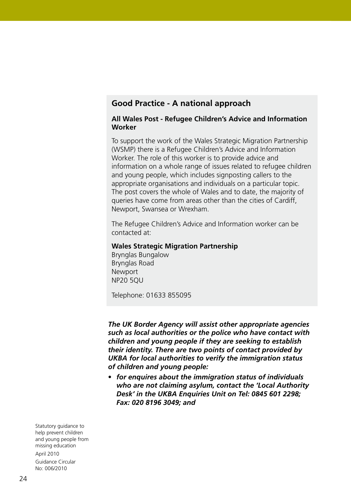### **Good Practice - A national approach**

#### **All Wales Post - Refugee Children's Advice and Information Worker**

To support the work of the Wales Strategic Migration Partnership (WSMP) there is a Refugee Children's Advice and Information Worker. The role of this worker is to provide advice and information on a whole range of issues related to refugee children and young people, which includes signposting callers to the appropriate organisations and individuals on a particular topic. The post covers the whole of Wales and to date, the majority of queries have come from areas other than the cities of Cardiff, Newport, Swansea or Wrexham.

The Refugee Children's Advice and Information worker can be contacted at:

#### **Wales Strategic Migration Partnership**

Brynglas Bungalow Brynglas Road Newport NP20 5QU

Telephone: 01633 855095

*The UK Border Agency will assist other appropriate agencies such as local authorities or the police who have contact with children and young people if they are seeking to establish their identity. There are two points of contact provided by UKBA for local authorities to verify the immigration status of children and young people:* 

• *for enquires about the immigration status of individuals who are not claiming asylum, contact the 'Local Authority Desk' in the UKBA Enquiries Unit on Tel: 0845 601 2298; Fax: 020 8196 3049; and*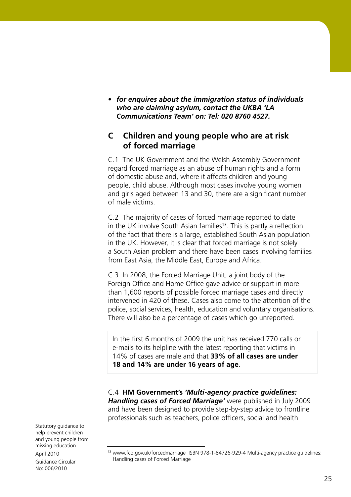• *for enquires about the immigration status of individuals who are claiming asylum, contact the UKBA 'LA Communications Team' on: Tel: 020 8760 4527.*

## **C Children and young people who are at risk of forced marriage**

C.1 The UK Government and the Welsh Assembly Government regard forced marriage as an abuse of human rights and a form of domestic abuse and, where it affects children and young people, child abuse. Although most cases involve young women and girls aged between 13 and 30, there are a significant number of male victims.

C.2 The majority of cases of forced marriage reported to date in the UK involve South Asian families<sup>13</sup>. This is partly a reflection of the fact that there is a large, established South Asian population in the UK. However, it is clear that forced marriage is not solely a South Asian problem and there have been cases involving families from East Asia, the Middle East, Europe and Africa.

C.3 In 2008, the Forced Marriage Unit, a joint body of the Foreign Office and Home Office gave advice or support in more than 1,600 reports of possible forced marriage cases and directly intervened in 420 of these. Cases also come to the attention of the police, social services, health, education and voluntary organisations. There will also be a percentage of cases which go unreported.

In the first 6 months of 2009 the unit has received 770 calls or e-mails to its helpline with the latest reporting that victims in 14% of cases are male and that **33% of all cases are under 18 and 14% are under 16 years of age**.

C.4 **HM Government's** *'Multi-agency practice guidelines: Handling cases of Forced Marriage'* were published in July 2009 and have been designed to provide step-by-step advice to frontline professionals such as teachers, police officers, social and health

<sup>&</sup>lt;sup>13</sup> www.fco.gov.uk/forcedmarriage ISBN 978-1-84726-929-4 Multi-agency practice guidelines: Handling cases of Forced Marriage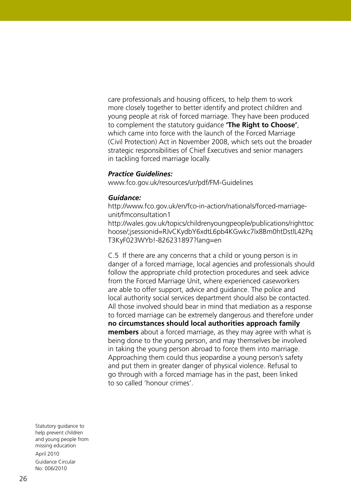care professionals and housing officers, to help them to work more closely together to better identify and protect children and young people at risk of forced marriage. They have been produced to complement the statutory guidance **'The Right to Choose'**, which came into force with the launch of the Forced Marriage (Civil Protection) Act in November 2008, which sets out the broader strategic responsibilities of Chief Executives and senior managers in tackling forced marriage locally.

#### *Practice Guidelines:*

www.fco.gov.uk/resources/ur/pdf/FM-Guidelines

#### *Guidance:*

http://www.fco.gov.uk/en/fco-in-action/nationals/forced-marriageunit/fmconsultation1 http://wales.gov.uk/topics/childrenyoungpeople/publications/righttoc hoose/;jsessionid=RJvCKydbY6xdtL6pb4KGwkc7lx8Bm0htDstlL42Pq

T3KyF023WYb!-826231897?lang=en

C.5 If there are any concerns that a child or young person is in danger of a forced marriage, local agencies and professionals should follow the appropriate child protection procedures and seek advice from the Forced Marriage Unit, where experienced caseworkers are able to offer support, advice and guidance. The police and local authority social services department should also be contacted. All those involved should bear in mind that mediation as a response to forced marriage can be extremely dangerous and therefore under **no circumstances should local authorities approach family members** about a forced marriage, as they may agree with what is being done to the young person, and may themselves be involved in taking the young person abroad to force them into marriage. Approaching them could thus jeopardise a young person's safety and put them in greater danger of physical violence. Refusal to go through with a forced marriage has in the past, been linked to so called 'honour crimes'.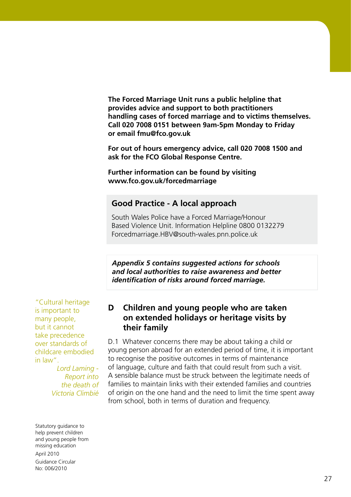**The Forced Marriage Unit runs a public helpline that provides advice and support to both practitioners handling cases of forced marriage and to victims themselves. Call 020 7008 0151 between 9am-5pm Monday to Friday or email fmu@fco.gov.uk**

**For out of hours emergency advice, call 020 7008 1500 and ask for the FCO Global Response Centre.** 

**Further information can be found by visiting www.fco.gov.uk/forcedmarriage**

#### **Good Practice - A local approach**

South Wales Police have a Forced Marriage/Honour Based Violence Unit. Information Helpline 0800 0132279 Forcedmarriage.HBV@south-wales.pnn.police.uk

*Appendix 5 contains suggested actions for schools and local authorities to raise awareness and better identification of risks around forced marriage.*

"Cultural heritage is important to many people, but it cannot take precedence over standards of childcare embodied in law".

> *Lord Laming - Report into the death of Victoria Climbié*

### **D Children and young people who are taken on extended holidays or heritage visits by their family**

D.1 Whatever concerns there may be about taking a child or young person abroad for an extended period of time, it is important to recognise the positive outcomes in terms of maintenance of language, culture and faith that could result from such a visit. A sensible balance must be struck between the legitimate needs of families to maintain links with their extended families and countries of origin on the one hand and the need to limit the time spent away from school, both in terms of duration and frequency.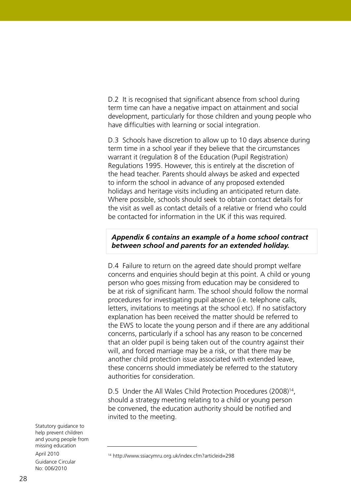D.2 It is recognised that significant absence from school during term time can have a negative impact on attainment and social development, particularly for those children and young people who have difficulties with learning or social integration.

D.3 Schools have discretion to allow up to 10 days absence during term time in a school year if they believe that the circumstances warrant it (regulation 8 of the Education (Pupil Registration) Regulations 1995. However, this is entirely at the discretion of the head teacher. Parents should always be asked and expected to inform the school in advance of any proposed extended holidays and heritage visits including an anticipated return date. Where possible, schools should seek to obtain contact details for the visit as well as contact details of a relative or friend who could be contacted for information in the UK if this was required.

#### *Appendix 6 contains an example of a home school contract between school and parents for an extended holiday.*

D.4 Failure to return on the agreed date should prompt welfare concerns and enquiries should begin at this point. A child or young person who goes missing from education may be considered to be at risk of significant harm. The school should follow the normal procedures for investigating pupil absence (i.e. telephone calls, letters, invitations to meetings at the school etc). If no satisfactory explanation has been received the matter should be referred to the EWS to locate the young person and if there are any additional concerns, particularly if a school has any reason to be concerned that an older pupil is being taken out of the country against their will, and forced marriage may be a risk, or that there may be another child protection issue associated with extended leave, these concerns should immediately be referred to the statutory authorities for consideration.

D.5 Under the All Wales Child Protection Procedures (2008)<sup>14</sup>, should a strategy meeting relating to a child or young person be convened, the education authority should be notified and invited to the meeting.

<sup>14</sup> http://www.ssiacymru.org.uk/index.cfm?articleid=298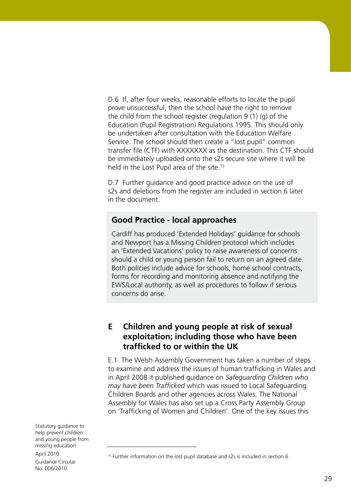D.6 If, after four weeks, reasonable efforts to locate the pupil prove unsuccessful, then the school have the right to remove the child from the school register (regulation 9 (1) (g) of the Education (Pupil Registration) Regulations 1995. This should only be undertaken after consultation with the Education Welfare Service. The school should then create a "lost pupil" common transfer file (CTF) with XXXXXXX as the destination. This CTF should be immediately uploaded onto the s2s secure site where it will be held in the Lost Pupil area of the site.<sup>15</sup>

D.7 Further guidance and good practice advice on the use of s2s and deletions from the register are included in section 6 later in the document.

## **Good Practice - local approaches**

Cardiff has produced 'Extended Holidays' guidance for schools and Newport has a Missing Children protocol which includes an 'Extended Vacations' policy to raise awareness of concerns should a child or young person fail to return on an agreed date. Both policies include advice for schools, home school contracts, forms for recording and monitoring absence and notifying the EWS/Local authority, as well as procedures to follow if serious concerns do arise.

# **E Children and young people at risk of sexual exploitation; including those who have been trafficked to or within the UK**

E.1 The Welsh Assembly Government has taken a number of steps to examine and address the issues of human trafficking in Wales and in April 2008 it published guidance on *Safeguarding Children who may have been Trafficked* which was issued to Local Safeguarding Children Boards and other agencies across Wales. The National Assembly for Wales has also set up a Cross Party Assembly Group on 'Trafficking of Women and Children'. One of the key issues this

<sup>&</sup>lt;sup>15</sup> Further information on the lost pupil database and s2s is included in section 6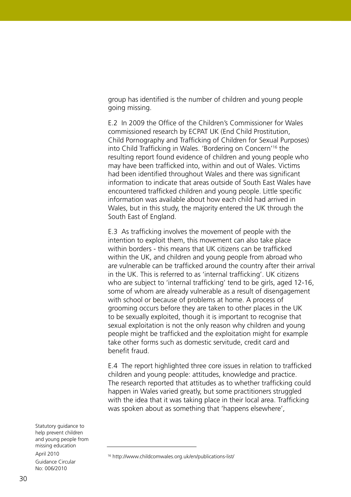group has identified is the number of children and young people going missing.

E.2 In 2009 the Office of the Children's Commissioner for Wales commissioned research by ECPAT UK (End Child Prostitution, Child Pornography and Trafficking of Children for Sexual Purposes) into Child Trafficking in Wales. 'Bordering on Concern'16 the resulting report found evidence of children and young people who may have been trafficked into, within and out of Wales. Victims had been identified throughout Wales and there was significant information to indicate that areas outside of South East Wales have encountered trafficked children and young people. Little specific information was available about how each child had arrived in Wales, but in this study, the majority entered the UK through the South East of England.

E.3 As trafficking involves the movement of people with the intention to exploit them, this movement can also take place within borders - this means that UK citizens can be trafficked within the UK, and children and young people from abroad who are vulnerable can be trafficked around the country after their arrival in the UK. This is referred to as 'internal trafficking'. UK citizens who are subject to 'internal trafficking' tend to be girls, aged 12-16, some of whom are already vulnerable as a result of disengagement with school or because of problems at home. A process of grooming occurs before they are taken to other places in the UK to be sexually exploited, though it is important to recognise that sexual exploitation is not the only reason why children and young people might be trafficked and the exploitation might for example take other forms such as domestic servitude, credit card and benefit fraud.

E.4 The report highlighted three core issues in relation to trafficked children and young people: attitudes, knowledge and practice. The research reported that attitudes as to whether trafficking could happen in Wales varied greatly, but some practitioners struggled with the idea that it was taking place in their local area. Trafficking was spoken about as something that 'happens elsewhere',

<sup>16</sup> http://www.childcomwales.org.uk/en/publications-list/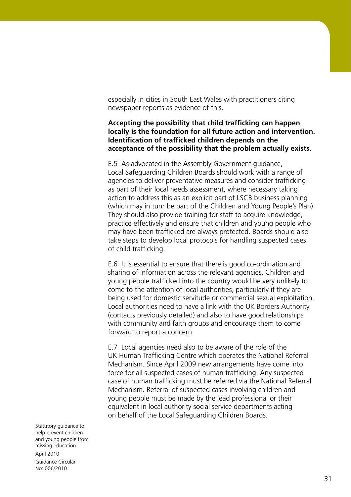especially in cities in South East Wales with practitioners citing newspaper reports as evidence of this.

#### **Accepting the possibility that child trafficking can happen locally is the foundation for all future action and intervention. Identification of trafficked children depends on the acceptance of the possibility that the problem actually exists.**

E.5 As advocated in the Assembly Government guidance, Local Safeguarding Children Boards should work with a range of agencies to deliver preventative measures and consider trafficking as part of their local needs assessment, where necessary taking action to address this as an explicit part of LSCB business planning (which may in turn be part of the Children and Young People's Plan). They should also provide training for staff to acquire knowledge, practice effectively and ensure that children and young people who may have been trafficked are always protected. Boards should also take steps to develop local protocols for handling suspected cases of child trafficking.

E.6 It is essential to ensure that there is good co-ordination and sharing of information across the relevant agencies. Children and young people trafficked into the country would be very unlikely to come to the attention of local authorities, particularly if they are being used for domestic servitude or commercial sexual exploitation. Local authorities need to have a link with the UK Borders Authority (contacts previously detailed) and also to have good relationships with community and faith groups and encourage them to come forward to report a concern.

E.7 Local agencies need also to be aware of the role of the UK Human Trafficking Centre which operates the National Referral Mechanism. Since April 2009 new arrangements have come into force for all suspected cases of human trafficking. Any suspected case of human trafficking must be referred via the National Referral Mechanism. Referral of suspected cases involving children and young people must be made by the lead professional or their equivalent in local authority social service departments acting on behalf of the Local Safeguarding Children Boards.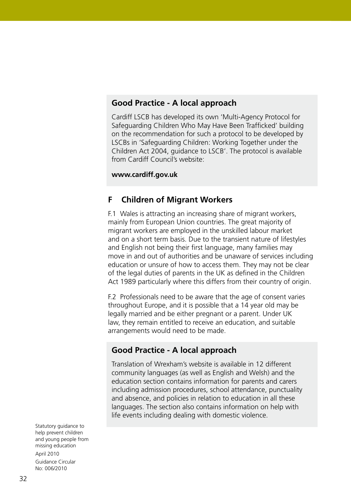## **Good Practice - A local approach**

Cardiff LSCB has developed its own 'Multi-Agency Protocol for Safeguarding Children Who May Have Been Trafficked' building on the recommendation for such a protocol to be developed by LSCBs in 'Safeguarding Children: Working Together under the Children Act 2004, guidance to LSCB'. The protocol is available from Cardiff Council's website:

#### **www.cardiff.gov.uk**

#### **F Children of Migrant Workers**

F.1 Wales is attracting an increasing share of migrant workers, mainly from European Union countries. The great majority of migrant workers are employed in the unskilled labour market and on a short term basis. Due to the transient nature of lifestyles and English not being their first language, many families may move in and out of authorities and be unaware of services including education or unsure of how to access them. They may not be clear of the legal duties of parents in the UK as defined in the Children Act 1989 particularly where this differs from their country of origin.

F.2 Professionals need to be aware that the age of consent varies throughout Europe, and it is possible that a 14 year old may be legally married and be either pregnant or a parent. Under UK law, they remain entitled to receive an education, and suitable arrangements would need to be made.

#### **Good Practice - A local approach**

Translation of Wrexham's website is available in 12 different community languages (as well as English and Welsh) and the education section contains information for parents and carers including admission procedures, school attendance, punctuality and absence, and policies in relation to education in all these languages. The section also contains information on help with life events including dealing with domestic violence.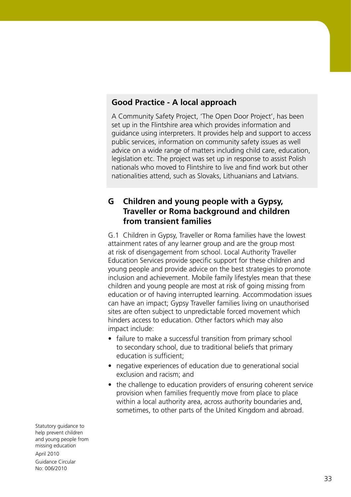## **Good Practice - A local approach**

A Community Safety Project, 'The Open Door Project', has been set up in the Flintshire area which provides information and guidance using interpreters. It provides help and support to access public services, information on community safety issues as well advice on a wide range of matters including child care, education, legislation etc. The project was set up in response to assist Polish nationals who moved to Flintshire to live and find work but other nationalities attend, such as Slovaks, Lithuanians and Latvians.

# **G Children and young people with a Gypsy, Traveller or Roma background and children from transient families**

G.1 Children in Gypsy, Traveller or Roma families have the lowest attainment rates of any learner group and are the group most at risk of disengagement from school. Local Authority Traveller Education Services provide specific support for these children and young people and provide advice on the best strategies to promote inclusion and achievement. Mobile family lifestyles mean that these children and young people are most at risk of going missing from education or of having interrupted learning. Accommodation issues can have an impact; Gypsy Traveller families living on unauthorised sites are often subject to unpredictable forced movement which hinders access to education. Other factors which may also impact include:

- failure to make a successful transition from primary school to secondary school, due to traditional beliefs that primary education is sufficient;
- negative experiences of education due to generational social exclusion and racism; and
- the challenge to education providers of ensuring coherent service provision when families frequently move from place to place within a local authority area, across authority boundaries and, sometimes, to other parts of the United Kingdom and abroad.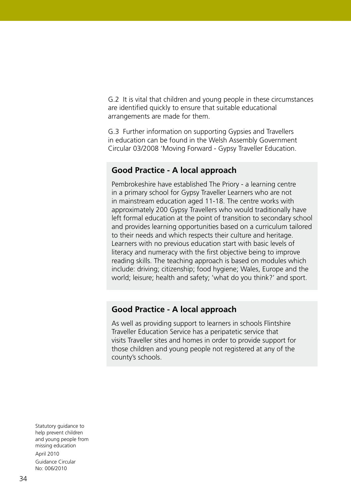G.2 It is vital that children and young people in these circumstances are identified quickly to ensure that suitable educational arrangements are made for them.

G.3 Further information on supporting Gypsies and Travellers in education can be found in the Welsh Assembly Government Circular 03/2008 'Moving Forward - Gypsy Traveller Education.

#### **Good Practice - A local approach**

Pembrokeshire have established The Priory - a learning centre in a primary school for Gypsy Traveller Learners who are not in mainstream education aged 11-18. The centre works with approximately 200 Gypsy Travellers who would traditionally have left formal education at the point of transition to secondary school and provides learning opportunities based on a curriculum tailored to their needs and which respects their culture and heritage. Learners with no previous education start with basic levels of literacy and numeracy with the first objective being to improve reading skills. The teaching approach is based on modules which include: driving; citizenship; food hygiene; Wales, Europe and the world; leisure; health and safety; 'what do you think?' and sport.

#### **Good Practice - A local approach**

As well as providing support to learners in schools Flintshire Traveller Education Service has a peripatetic service that visits Traveller sites and homes in order to provide support for those children and young people not registered at any of the county's schools.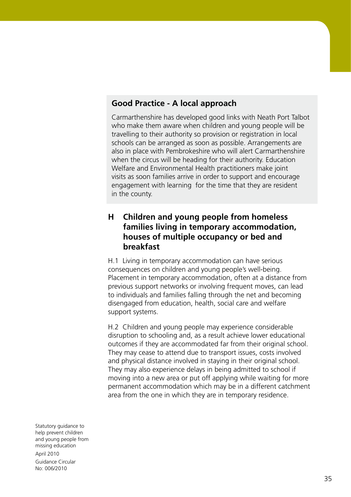# **Good Practice - A local approach**

Carmarthenshire has developed good links with Neath Port Talbot who make them aware when children and young people will be travelling to their authority so provision or registration in local schools can be arranged as soon as possible. Arrangements are also in place with Pembrokeshire who will alert Carmarthenshire when the circus will be heading for their authority. Education Welfare and Environmental Health practitioners make joint visits as soon families arrive in order to support and encourage engagement with learning for the time that they are resident in the county.

# **H Children and young people from homeless families living in temporary accommodation, houses of multiple occupancy or bed and breakfast**

H.1 Living in temporary accommodation can have serious consequences on children and young people's well-being. Placement in temporary accommodation, often at a distance from previous support networks or involving frequent moves, can lead to individuals and families falling through the net and becoming disengaged from education, health, social care and welfare support systems.

H.2 Children and young people may experience considerable disruption to schooling and, as a result achieve lower educational outcomes if they are accommodated far from their original school. They may cease to attend due to transport issues, costs involved and physical distance involved in staying in their original school. They may also experience delays in being admitted to school if moving into a new area or put off applying while waiting for more permanent accommodation which may be in a different catchment area from the one in which they are in temporary residence.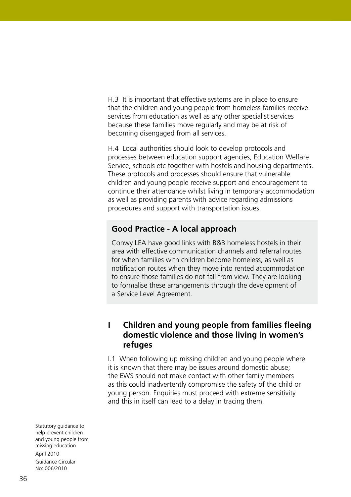H.3 It is important that effective systems are in place to ensure that the children and young people from homeless families receive services from education as well as any other specialist services because these families move regularly and may be at risk of becoming disengaged from all services.

H.4 Local authorities should look to develop protocols and processes between education support agencies, Education Welfare Service, schools etc together with hostels and housing departments. These protocols and processes should ensure that vulnerable children and young people receive support and encouragement to continue their attendance whilst living in temporary accommodation as well as providing parents with advice regarding admissions procedures and support with transportation issues.

#### **Good Practice - A local approach**

Conwy LEA have good links with B&B homeless hostels in their area with effective communication channels and referral routes for when families with children become homeless, as well as notification routes when they move into rented accommodation to ensure those families do not fall from view. They are looking to formalise these arrangements through the development of a Service Level Agreement.

# **I Children and young people from families fleeing domestic violence and those living in women's refuges**

I.1 When following up missing children and young people where it is known that there may be issues around domestic abuse; the EWS should not make contact with other family members as this could inadvertently compromise the safety of the child or young person. Enquiries must proceed with extreme sensitivity and this in itself can lead to a delay in tracing them.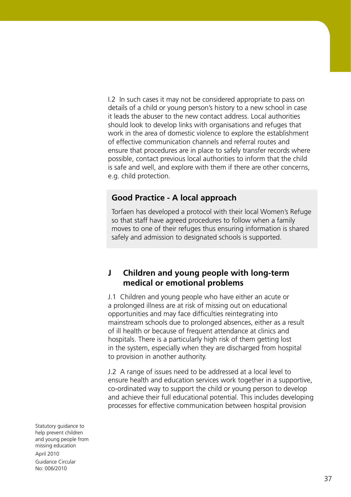I.2 In such cases it may not be considered appropriate to pass on details of a child or young person's history to a new school in case it leads the abuser to the new contact address. Local authorities should look to develop links with organisations and refuges that work in the area of domestic violence to explore the establishment of effective communication channels and referral routes and ensure that procedures are in place to safely transfer records where possible, contact previous local authorities to inform that the child is safe and well, and explore with them if there are other concerns, e.g. child protection.

# **Good Practice - A local approach**

Torfaen has developed a protocol with their local Women's Refuge so that staff have agreed procedures to follow when a family moves to one of their refuges thus ensuring information is shared safely and admission to designated schools is supported.

#### **J Children and young people with long-term medical or emotional problems**

J.1 Children and young people who have either an acute or a prolonged illness are at risk of missing out on educational opportunities and may face difficulties reintegrating into mainstream schools due to prolonged absences, either as a result of ill health or because of frequent attendance at clinics and hospitals. There is a particularly high risk of them getting lost in the system, especially when they are discharged from hospital to provision in another authority.

J.2 A range of issues need to be addressed at a local level to ensure health and education services work together in a supportive, co-ordinated way to support the child or young person to develop and achieve their full educational potential. This includes developing processes for effective communication between hospital provision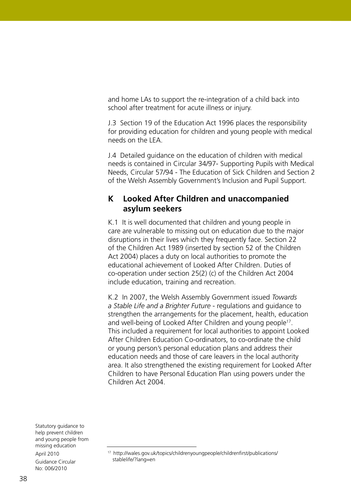and home LAs to support the re-integration of a child back into school after treatment for acute illness or injury.

J.3 Section 19 of the Education Act 1996 places the responsibility for providing education for children and young people with medical needs on the LEA.

J.4 Detailed guidance on the education of children with medical needs is contained in Circular 34/97- Supporting Pupils with Medical Needs, Circular 57/94 - The Education of Sick Children and Section 2 of the Welsh Assembly Government's Inclusion and Pupil Support.

# **K Looked After Children and unaccompanied asylum seekers**

K.1 It is well documented that children and young people in care are vulnerable to missing out on education due to the major disruptions in their lives which they frequently face. Section 22 of the Children Act 1989 (inserted by section 52 of the Children Act 2004) places a duty on local authorities to promote the educational achievement of Looked After Children. Duties of co-operation under section 25(2) (c) of the Children Act 2004 include education, training and recreation.

K.2 In 2007, the Welsh Assembly Government issued *Towards a Stable Life and a Brighter Future* - regulations and guidance to strengthen the arrangements for the placement, health, education and well-being of Looked After Children and young people<sup>17</sup>. This included a requirement for local authorities to appoint Looked After Children Education Co-ordinators, to co-ordinate the child or young person's personal education plans and address their education needs and those of care leavers in the local authority area. It also strengthened the existing requirement for Looked After Children to have Personal Education Plan using powers under the Children Act 2004.

<sup>17</sup> http://wales.gov.uk/topics/childrenyoungpeople/childrenfirst/publications/ stablelife/?lang=en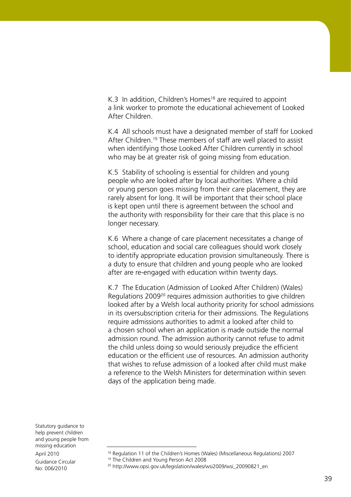K.3 In addition, Children's Homes<sup>18</sup> are required to appoint a link worker to promote the educational achievement of Looked After Children.

K.4 All schools must have a designated member of staff for Looked After Children.<sup>19</sup> These members of staff are well placed to assist when identifying those Looked After Children currently in school who may be at greater risk of going missing from education.

K.5 Stability of schooling is essential for children and young people who are looked after by local authorities. Where a child or young person goes missing from their care placement, they are rarely absent for long. It will be important that their school place is kept open until there is agreement between the school and the authority with responsibility for their care that this place is no longer necessary.

K.6 Where a change of care placement necessitates a change of school, education and social care colleagues should work closely to identify appropriate education provision simultaneously. There is a duty to ensure that children and young people who are looked after are re-engaged with education within twenty days.

K.7 The Education (Admission of Looked After Children) (Wales) Regulations 200920 requires admission authorities to give children looked after by a Welsh local authority priority for school admissions in its oversubscription criteria for their admissions. The Regulations require admissions authorities to admit a looked after child to a chosen school when an application is made outside the normal admission round. The admission authority cannot refuse to admit the child unless doing so would seriously prejudice the efficient education or the efficient use of resources. An admission authority that wishes to refuse admission of a looked after child must make a reference to the Welsh Ministers for determination within seven days of the application being made.

<sup>&</sup>lt;sup>18</sup> Regulation 11 of the Children's Homes (Wales) (Miscellaneous Regulations) 2007

<sup>&</sup>lt;sup>19</sup> The Children and Young Person Act 2008<br><sup>20</sup> http://www.opsi.gov.uk/legislation/wales/wsi2009/wsi\_20090821\_en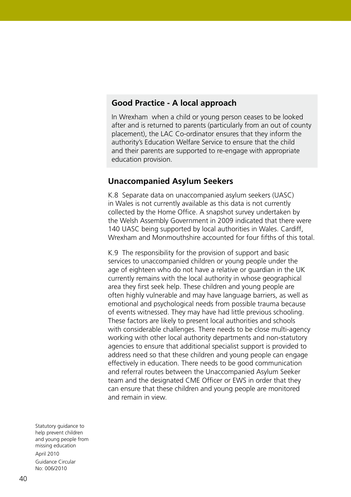#### **Good Practice - A local approach**

In Wrexham when a child or young person ceases to be looked after and is returned to parents (particularly from an out of county placement), the LAC Co-ordinator ensures that they inform the authority's Education Welfare Service to ensure that the child and their parents are supported to re-engage with appropriate education provision.

#### **Unaccompanied Asylum Seekers**

K.8 Separate data on unaccompanied asylum seekers (UASC) in Wales is not currently available as this data is not currently collected by the Home Office. A snapshot survey undertaken by the Welsh Assembly Government in 2009 indicated that there were 140 UASC being supported by local authorities in Wales. Cardiff, Wrexham and Monmouthshire accounted for four fifths of this total.

K.9 The responsibility for the provision of support and basic services to unaccompanied children or young people under the age of eighteen who do not have a relative or guardian in the UK currently remains with the local authority in whose geographical area they first seek help. These children and young people are often highly vulnerable and may have language barriers, as well as emotional and psychological needs from possible trauma because of events witnessed. They may have had little previous schooling. These factors are likely to present local authorities and schools with considerable challenges. There needs to be close multi-agency working with other local authority departments and non-statutory agencies to ensure that additional specialist support is provided to address need so that these children and young people can engage effectively in education. There needs to be good communication and referral routes between the Unaccompanied Asylum Seeker team and the designated CME Officer or EWS in order that they can ensure that these children and young people are monitored and remain in view.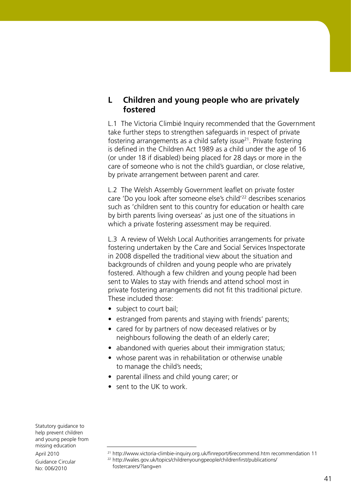# **L Children and young people who are privately fostered**

L.1 The Victoria Climbié Inquiry recommended that the Government take further steps to strengthen safeguards in respect of private fostering arrangements as a child safety issue<sup>21</sup>. Private fostering is defined in the Children Act 1989 as a child under the age of 16 (or under 18 if disabled) being placed for 28 days or more in the care of someone who is not the child's guardian, or close relative, by private arrangement between parent and carer.

L.2 The Welsh Assembly Government leaflet on private foster care 'Do you look after someone else's child'22 describes scenarios such as 'children sent to this country for education or health care by birth parents living overseas' as just one of the situations in which a private fostering assessment may be required.

L.3 A review of Welsh Local Authorities arrangements for private fostering undertaken by the Care and Social Services Inspectorate in 2008 dispelled the traditional view about the situation and backgrounds of children and young people who are privately fostered. Although a few children and young people had been sent to Wales to stay with friends and attend school most in private fostering arrangements did not fit this traditional picture. These included those:

- subject to court bail;
- estranged from parents and staying with friends' parents;
- cared for by partners of now deceased relatives or by neighbours following the death of an elderly carer;
- abandoned with queries about their immigration status;
- whose parent was in rehabilitation or otherwise unable to manage the child's needs;
- parental illness and child young carer; or
- sent to the UK to work.

Statutory guidance to help prevent children and young people from missing education April 2010

Guidance Circular No: 006/2010

<sup>22</sup> http://wales.gov.uk/topics/childrenyoungpeople/childrenfirst/publications/ fostercarers/?lang=en

<sup>21</sup> http://www.victoria-climbie-inquiry.org.uk/finreport/6recommend.htm recommendation 11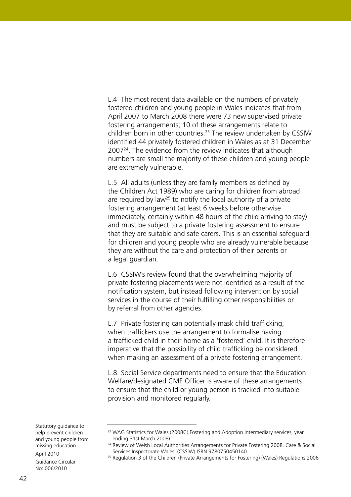L.4 The most recent data available on the numbers of privately fostered children and young people in Wales indicates that from April 2007 to March 2008 there were 73 new supervised private fostering arrangements; 10 of these arrangements relate to children born in other countries.<sup>23</sup> The review undertaken by CSSIW identified 44 privately fostered children in Wales as at 31 December 200724. The evidence from the review indicates that although numbers are small the majority of these children and young people are extremely vulnerable.

L.5 All adults (unless they are family members as defined by the Children Act 1989) who are caring for children from abroad are required by law<sup>25</sup> to notify the local authority of a private fostering arrangement (at least 6 weeks before otherwise immediately, certainly within 48 hours of the child arriving to stay) and must be subject to a private fostering assessment to ensure that they are suitable and safe carers. This is an essential safeguard for children and young people who are already vulnerable because they are without the care and protection of their parents or a legal guardian.

L.6 CSSIW's review found that the overwhelming majority of private fostering placements were not identified as a result of the notification system, but instead following intervention by social services in the course of their fulfilling other responsibilities or by referral from other agencies.

L.7 Private fostering can potentially mask child trafficking, when traffickers use the arrangement to formalise having a trafficked child in their home as a 'fostered' child. It is therefore imperative that the possibility of child trafficking be considered when making an assessment of a private fostering arrangement.

L.8 Social Service departments need to ensure that the Education Welfare/designated CME Officer is aware of these arrangements to ensure that the child or young person is tracked into suitable provision and monitored regularly.

Statutory guidance to help prevent children and young people from missing education April 2010

Guidance Circular No: 006/2010

<sup>&</sup>lt;sup>23</sup> WAG Statistics for Wales (2008C) Fostering and Adoption Intermediary services, year ending 31st March 2008)

<sup>&</sup>lt;sup>24</sup> Review of Welsh Local Authorities Arrangements for Private Fostering 2008. Care & Social Services Inspectorate Wales. (CSSIW) ISBN 9780750450140

<sup>&</sup>lt;sup>25</sup> Regulation 3 of the Children (Private Arrangements for Fostering) (Wales) Regulations 2006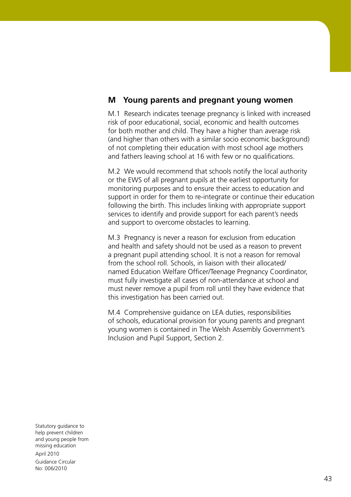# **M Young parents and pregnant young women**

M.1 Research indicates teenage pregnancy is linked with increased risk of poor educational, social, economic and health outcomes for both mother and child. They have a higher than average risk (and higher than others with a similar socio economic background) of not completing their education with most school age mothers and fathers leaving school at 16 with few or no qualifications.

M.2 We would recommend that schools notify the local authority or the EWS of all pregnant pupils at the earliest opportunity for monitoring purposes and to ensure their access to education and support in order for them to re-integrate or continue their education following the birth. This includes linking with appropriate support services to identify and provide support for each parent's needs and support to overcome obstacles to learning.

M.3 Pregnancy is never a reason for exclusion from education and health and safety should not be used as a reason to prevent a pregnant pupil attending school. It is not a reason for removal from the school roll. Schools, in liaison with their allocated/ named Education Welfare Officer/Teenage Pregnancy Coordinator, must fully investigate all cases of non-attendance at school and must never remove a pupil from roll until they have evidence that this investigation has been carried out.

M.4 Comprehensive guidance on LEA duties, responsibilities of schools, educational provision for young parents and pregnant young women is contained in The Welsh Assembly Government's Inclusion and Pupil Support, Section 2.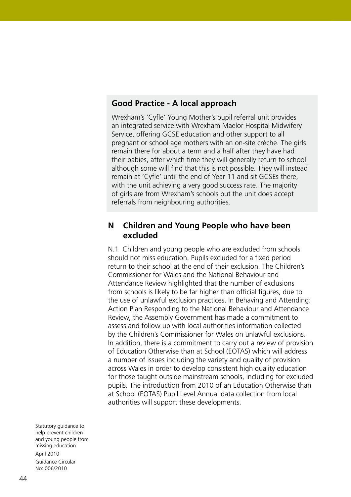## **Good Practice - A local approach**

Wrexham's 'Cyfle' Young Mother's pupil referral unit provides an integrated service with Wrexham Maelor Hospital Midwifery Service, offering GCSE education and other support to all pregnant or school age mothers with an on-site crèche. The girls remain there for about a term and a half after they have had their babies, after which time they will generally return to school although some will find that this is not possible. They will instead remain at 'Cyfle' until the end of Year 11 and sit GCSEs there, with the unit achieving a very good success rate. The majority of girls are from Wrexham's schools but the unit does accept referrals from neighbouring authorities.

#### **N Children and Young People who have been excluded**

N.1 Children and young people who are excluded from schools should not miss education. Pupils excluded for a fixed period return to their school at the end of their exclusion. The Children's Commissioner for Wales and the National Behaviour and Attendance Review highlighted that the number of exclusions from schools is likely to be far higher than official figures, due to the use of unlawful exclusion practices. In Behaving and Attending: Action Plan Responding to the National Behaviour and Attendance Review, the Assembly Government has made a commitment to assess and follow up with local authorities information collected by the Children's Commissioner for Wales on unlawful exclusions. In addition, there is a commitment to carry out a review of provision of Education Otherwise than at School (EOTAS) which will address a number of issues including the variety and quality of provision across Wales in order to develop consistent high quality education for those taught outside mainstream schools, including for excluded pupils. The introduction from 2010 of an Education Otherwise than at School (EOTAS) Pupil Level Annual data collection from local authorities will support these developments.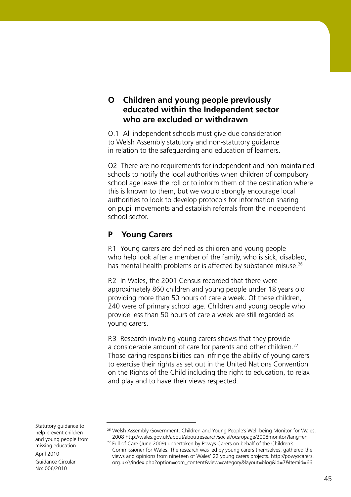# **O Children and young people previously educated within the Independent sector who are excluded or withdrawn**

O.1 All independent schools must give due consideration to Welsh Assembly statutory and non-statutory guidance in relation to the safeguarding and education of learners.

O2 There are no requirements for independent and non-maintained schools to notify the local authorities when children of compulsory school age leave the roll or to inform them of the destination where this is known to them, but we would strongly encourage local authorities to look to develop protocols for information sharing on pupil movements and establish referrals from the independent school sector.

# **P Young Carers**

P.1 Young carers are defined as children and young people who help look after a member of the family, who is sick, disabled, has mental health problems or is affected by substance misuse.<sup>26</sup>

P.2 In Wales, the 2001 Census recorded that there were approximately 860 children and young people under 18 years old providing more than 50 hours of care a week. Of these children, 240 were of primary school age. Children and young people who provide less than 50 hours of care a week are still regarded as young carers.

P.3 Research involving young carers shows that they provide a considerable amount of care for parents and other children.<sup>27</sup> Those caring responsibilities can infringe the ability of young carers to exercise their rights as set out in the United Nations Convention on the Rights of the Child including the right to education, to relax and play and to have their views respected.

<sup>&</sup>lt;sup>26</sup> Welsh Assembly Government. Children and Young People's Well-being Monitor for Wales. 2008 http://wales.gov.uk/about/aboutresearch/social/ocsropage/2008monitor?lang=en

<sup>&</sup>lt;sup>27</sup> Full of Care (June 2009) undertaken by Powys Carers on behalf of the Children's Commissioner for Wales. The research was led by young carers themselves, gathered the views and opinions from nineteen of Wales' 22 young carers projects. http://powyscarers. org.uk/s/index.php?option=com\_content&view=category&layout=blog&id=7&Itemid=66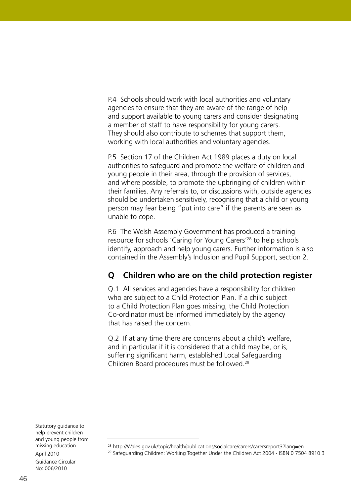P.4 Schools should work with local authorities and voluntary agencies to ensure that they are aware of the range of help and support available to young carers and consider designating a member of staff to have responsibility for young carers. They should also contribute to schemes that support them, working with local authorities and voluntary agencies.

P.5 Section 17 of the Children Act 1989 places a duty on local authorities to safeguard and promote the welfare of children and young people in their area, through the provision of services, and where possible, to promote the upbringing of children within their families. Any referrals to, or discussions with, outside agencies should be undertaken sensitively, recognising that a child or young person may fear being "put into care" if the parents are seen as unable to cope.

P.6 The Welsh Assembly Government has produced a training resource for schools 'Caring for Young Carers'28 to help schools identify, approach and help young carers. Further information is also contained in the Assembly's Inclusion and Pupil Support, section 2.

# **Q Children who are on the child protection register**

Q.1 All services and agencies have a responsibility for children who are subject to a Child Protection Plan. If a child subject to a Child Protection Plan goes missing, the Child Protection Co-ordinator must be informed immediately by the agency that has raised the concern.

Q.2 If at any time there are concerns about a child's welfare, and in particular if it is considered that a child may be, or is, suffering significant harm, established Local Safeguarding Children Board procedures must be followed.29

<sup>28</sup> http://Wales.gov.uk/topic/health/publications/socialcare/carers/carersreport3?lang=en

<sup>&</sup>lt;sup>29</sup> Safeguarding Children: Working Together Under the Children Act 2004 - ISBN 0 7504 8910 3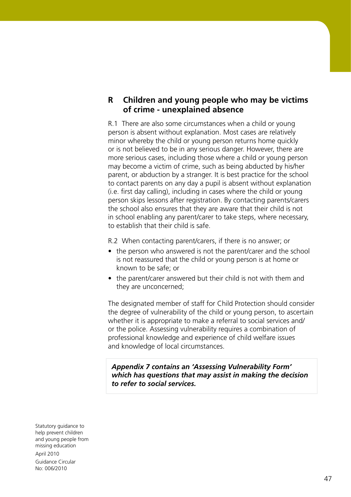# **R Children and young people who may be victims of crime - unexplained absence**

R.1 There are also some circumstances when a child or young person is absent without explanation. Most cases are relatively minor whereby the child or young person returns home quickly or is not believed to be in any serious danger. However, there are more serious cases, including those where a child or young person may become a victim of crime, such as being abducted by his/her parent, or abduction by a stranger. It is best practice for the school to contact parents on any day a pupil is absent without explanation (i.e. first day calling), including in cases where the child or young person skips lessons after registration. By contacting parents/carers the school also ensures that they are aware that their child is not in school enabling any parent/carer to take steps, where necessary, to establish that their child is safe.

R.2 When contacting parent/carers, if there is no answer; or

- the person who answered is not the parent/carer and the school is not reassured that the child or young person is at home or known to be safe; or
- the parent/carer answered but their child is not with them and they are unconcerned;

The designated member of staff for Child Protection should consider the degree of vulnerability of the child or young person, to ascertain whether it is appropriate to make a referral to social services and/ or the police. Assessing vulnerability requires a combination of professional knowledge and experience of child welfare issues and knowledge of local circumstances.

*Appendix 7 contains an 'Assessing Vulnerability Form' which has questions that may assist in making the decision to refer to social services.*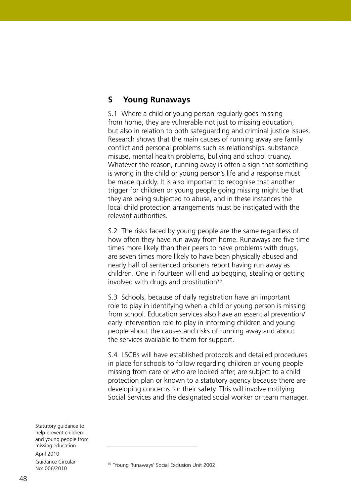# **S Young Runaways**

S.1 Where a child or young person regularly goes missing from home, they are vulnerable not just to missing education, but also in relation to both safeguarding and criminal justice issues. Research shows that the main causes of running away are family conflict and personal problems such as relationships, substance misuse, mental health problems, bullying and school truancy. Whatever the reason, running away is often a sign that something is wrong in the child or young person's life and a response must be made quickly. It is also important to recognise that another trigger for children or young people going missing might be that they are being subjected to abuse, and in these instances the local child protection arrangements must be instigated with the relevant authorities.

S.2 The risks faced by young people are the same regardless of how often they have run away from home. Runaways are five time times more likely than their peers to have problems with drugs, are seven times more likely to have been physically abused and nearly half of sentenced prisoners report having run away as children. One in fourteen will end up begging, stealing or getting involved with drugs and prostitution<sup>30</sup>.

S.3 Schools, because of daily registration have an important role to play in identifying when a child or young person is missing from school. Education services also have an essential prevention/ early intervention role to play in informing children and young people about the causes and risks of running away and about the services available to them for support.

S.4 LSCBs will have established protocols and detailed procedures in place for schools to follow regarding children or young people missing from care or who are looked after, are subject to a child protection plan or known to a statutory agency because there are developing concerns for their safety. This will involve notifying Social Services and the designated social worker or team manager.

Statutory guidance to help prevent children and young people from missing education April 2010 Guidance Circular No: 006/2010

<sup>30</sup> 'Young Runaways' Social Exclusion Unit 2002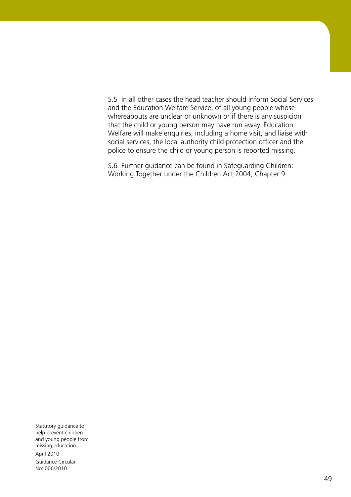S.5 In all other cases the head teacher should inform Social Services and the Education Welfare Service, of all young people whose whereabouts are unclear or unknown or if there is any suspicion that the child or young person may have run away. Education Welfare will make enquiries, including a home visit, and liaise with social services, the local authority child protection officer and the police to ensure the child or young person is reported missing.

S.6 Further guidance can be found in Safeguarding Children: Working Together under the Children Act 2004, Chapter 9.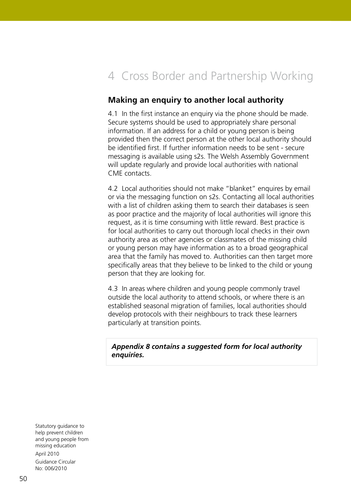# 4 Cross Border and Partnership Working

# **Making an enquiry to another local authority**

4.1 In the first instance an enquiry via the phone should be made. Secure systems should be used to appropriately share personal information. If an address for a child or young person is being provided then the correct person at the other local authority should be identified first. If further information needs to be sent - secure messaging is available using s2s. The Welsh Assembly Government will update regularly and provide local authorities with national CME contacts.

4.2 Local authorities should not make "blanket" enquires by email or via the messaging function on s2s. Contacting all local authorities with a list of children asking them to search their databases is seen as poor practice and the majority of local authorities will ignore this request, as it is time consuming with little reward. Best practice is for local authorities to carry out thorough local checks in their own authority area as other agencies or classmates of the missing child or young person may have information as to a broad geographical area that the family has moved to. Authorities can then target more specifically areas that they believe to be linked to the child or young person that they are looking for.

4.3 In areas where children and young people commonly travel outside the local authority to attend schools, or where there is an established seasonal migration of families, local authorities should develop protocols with their neighbours to track these learners particularly at transition points.

#### *Appendix 8 contains a suggested form for local authority enquiries.*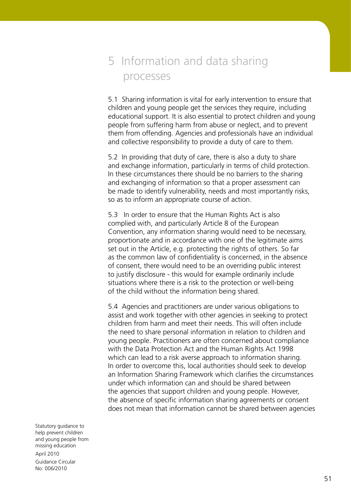# 5 Information and data sharing processes

5.1 Sharing information is vital for early intervention to ensure that children and young people get the services they require, including educational support. It is also essential to protect children and young people from suffering harm from abuse or neglect, and to prevent them from offending. Agencies and professionals have an individual and collective responsibility to provide a duty of care to them.

5.2 In providing that duty of care, there is also a duty to share and exchange information, particularly in terms of child protection. In these circumstances there should be no barriers to the sharing and exchanging of information so that a proper assessment can be made to identify vulnerability, needs and most importantly risks, so as to inform an appropriate course of action.

5.3 In order to ensure that the Human Rights Act is also complied with, and particularly Article 8 of the European Convention, any information sharing would need to be necessary, proportionate and in accordance with one of the legitimate aims set out in the Article, e.g. protecting the rights of others. So far as the common law of confidentiality is concerned, in the absence of consent, there would need to be an overriding public interest to justify disclosure - this would for example ordinarily include situations where there is a risk to the protection or well-being of the child without the information being shared.

5.4 Agencies and practitioners are under various obligations to assist and work together with other agencies in seeking to protect children from harm and meet their needs. This will often include the need to share personal information in relation to children and young people. Practitioners are often concerned about compliance with the Data Protection Act and the Human Rights Act 1998 which can lead to a risk averse approach to information sharing. In order to overcome this, local authorities should seek to develop an Information Sharing Framework which clarifies the circumstances under which information can and should be shared between the agencies that support children and young people. However, the absence of specific information sharing agreements or consent does not mean that information cannot be shared between agencies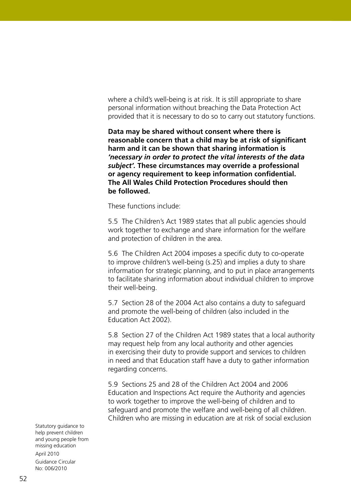where a child's well-being is at risk. It is still appropriate to share personal information without breaching the Data Protection Act provided that it is necessary to do so to carry out statutory functions.

**Data may be shared without consent where there is reasonable concern that a child may be at risk of significant harm and it can be shown that sharing information is**  *'necessary in order to protect the vital interests of the data subject'.* **These circumstances may override a professional or agency requirement to keep information confidential. The All Wales Child Protection Procedures should then be followed.**

These functions include:

5.5 The Children's Act 1989 states that all public agencies should work together to exchange and share information for the welfare and protection of children in the area.

5.6 The Children Act 2004 imposes a specific duty to co-operate to improve children's well-being (s.25) and implies a duty to share information for strategic planning, and to put in place arrangements to facilitate sharing information about individual children to improve their well-being.

5.7 Section 28 of the 2004 Act also contains a duty to safeguard and promote the well-being of children (also included in the Education Act 2002).

5.8 Section 27 of the Children Act 1989 states that a local authority may request help from any local authority and other agencies in exercising their duty to provide support and services to children in need and that Education staff have a duty to gather information regarding concerns.

5.9 Sections 25 and 28 of the Children Act 2004 and 2006 Education and Inspections Act require the Authority and agencies to work together to improve the well-being of children and to safeguard and promote the welfare and well-being of all children. Children who are missing in education are at risk of social exclusion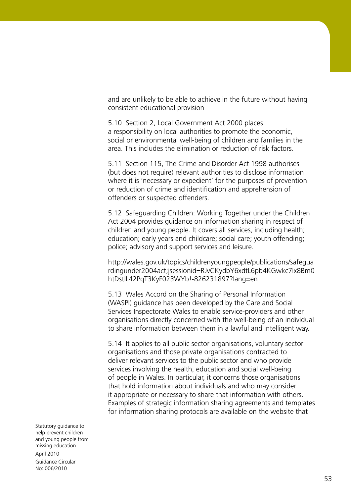and are unlikely to be able to achieve in the future without having consistent educational provision

5.10 Section 2, Local Government Act 2000 places a responsibility on local authorities to promote the economic, social or environmental well-being of children and families in the area. This includes the elimination or reduction of risk factors.

5.11 Section 115, The Crime and Disorder Act 1998 authorises (but does not require) relevant authorities to disclose information where it is 'necessary or expedient' for the purposes of prevention or reduction of crime and identification and apprehension of offenders or suspected offenders.

5.12 Safeguarding Children: Working Together under the Children Act 2004 provides guidance on information sharing in respect of children and young people. It covers all services, including health; education; early years and childcare; social care; youth offending; police; advisory and support services and leisure.

http://wales.gov.uk/topics/childrenyoungpeople/publications/safegua rdingunder2004act;jsessionid=RJvCKydbY6xdtL6pb4KGwkc7lx8Bm0 htDstlL42PqT3KyF023WYb!-826231897?lang=en

5.13 Wales Accord on the Sharing of Personal Information (WASPI) guidance has been developed by the Care and Social Services Inspectorate Wales to enable service-providers and other organisations directly concerned with the well-being of an individual to share information between them in a lawful and intelligent way.

5.14 It applies to all public sector organisations, voluntary sector organisations and those private organisations contracted to deliver relevant services to the public sector and who provide services involving the health, education and social well-being of people in Wales. In particular, it concerns those organisations that hold information about individuals and who may consider it appropriate or necessary to share that information with others. Examples of strategic information sharing agreements and templates for information sharing protocols are available on the website that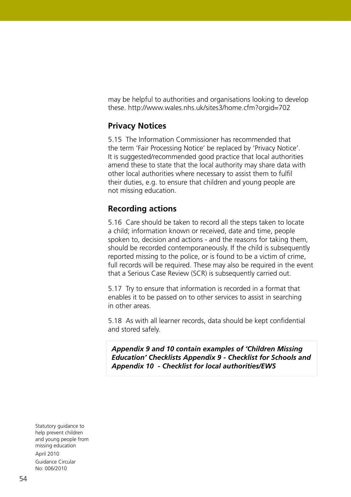may be helpful to authorities and organisations looking to develop these. http://www.wales.nhs.uk/sites3/home.cfm?orgid=702

# **Privacy Notices**

5.15 The Information Commissioner has recommended that the term 'Fair Processing Notice' be replaced by 'Privacy Notice'. It is suggested/recommended good practice that local authorities amend these to state that the local authority may share data with other local authorities where necessary to assist them to fulfil their duties, e.g. to ensure that children and young people are not missing education.

#### **Recording actions**

5.16 Care should be taken to record all the steps taken to locate a child; information known or received, date and time, people spoken to, decision and actions - and the reasons for taking them, should be recorded contemporaneously. If the child is subsequently reported missing to the police, or is found to be a victim of crime, full records will be required. These may also be required in the event that a Serious Case Review (SCR) is subsequently carried out.

5.17 Try to ensure that information is recorded in a format that enables it to be passed on to other services to assist in searching in other areas.

5.18 As with all learner records, data should be kept confidential and stored safely.

*Appendix 9 and 10 contain examples of 'Children Missing Education' Checklists Appendix 9 - Checklist for Schools and Appendix 10 - Checklist for local authorities/EWS*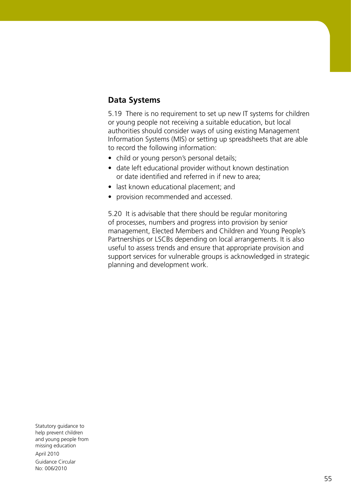# **Data Systems**

5.19 There is no requirement to set up new IT systems for children or young people not receiving a suitable education, but local authorities should consider ways of using existing Management Information Systems (MIS) or setting up spreadsheets that are able to record the following information:

- child or young person's personal details;
- date left educational provider without known destination or date identified and referred in if new to area;
- last known educational placement; and
- provision recommended and accessed.

5.20 It is advisable that there should be regular monitoring of processes, numbers and progress into provision by senior management, Elected Members and Children and Young People's Partnerships or LSCBs depending on local arrangements. It is also useful to assess trends and ensure that appropriate provision and support services for vulnerable groups is acknowledged in strategic planning and development work.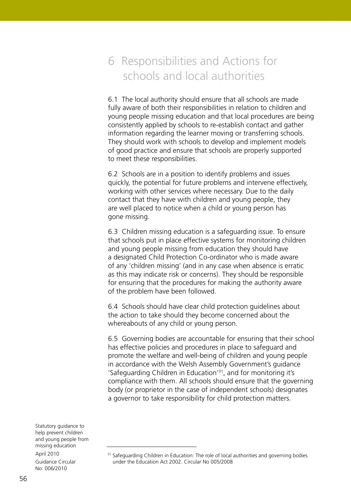# 6 Responsibilities and Actions for schools and local authorities

6.1 The local authority should ensure that all schools are made fully aware of both their responsibilities in relation to children and young people missing education and that local procedures are being consistently applied by schools to re-establish contact and gather information regarding the learner moving or transferring schools. They should work with schools to develop and implement models of good practice and ensure that schools are properly supported to meet these responsibilities.

6.2 Schools are in a position to identify problems and issues quickly, the potential for future problems and intervene effectively, working with other services where necessary. Due to the daily contact that they have with children and young people, they are well placed to notice when a child or young person has gone missing.

6.3 Children missing education is a safeguarding issue. To ensure that schools put in place effective systems for monitoring children and young people missing from education they should have a designated Child Protection Co-ordinator who is made aware of any 'children missing' (and in any case when absence is erratic as this may indicate risk or concerns). They should be responsible for ensuring that the procedures for making the authority aware of the problem have been followed.

6.4 Schools should have clear child protection guidelines about the action to take should they become concerned about the whereabouts of any child or young person.

6.5 Governing bodies are accountable for ensuring that their school has effective policies and procedures in place to safeguard and promote the welfare and well-being of children and young people in accordance with the Welsh Assembly Government's guidance 'Safeguarding Children in Education'31, and for monitoring it's compliance with them. All schools should ensure that the governing body (or proprietor in the case of independent schools) designates a governor to take responsibility for child protection matters.

<sup>&</sup>lt;sup>31</sup> Safeguarding Children in Education: The role of local authorities and governing bodies under the Education Act 2002. Circular No 005/2008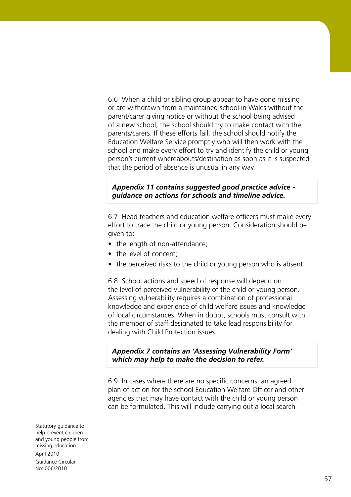6.6 When a child or sibling group appear to have gone missing or are withdrawn from a maintained school in Wales without the parent/carer giving notice or without the school being advised of a new school, the school should try to make contact with the parents/carers. If these efforts fail, the school should notify the Education Welfare Service promptly who will then work with the school and make every effort to try and identify the child or young person's current whereabouts/destination as soon as it is suspected that the period of absence is unusual in any way.

#### *Appendix 11 contains suggested good practice advice guidance on actions for schools and timeline advice.*

6.7 Head teachers and education welfare officers must make every effort to trace the child or young person. Consideration should be given to:

- the length of non-attendance;
- the level of concern;
- the perceived risks to the child or young person who is absent.

6.8 School actions and speed of response will depend on the level of perceived vulnerability of the child or young person. Assessing vulnerability requires a combination of professional knowledge and experience of child welfare issues and knowledge of local circumstances. When in doubt, schools must consult with the member of staff designated to take lead responsibility for dealing with Child Protection issues.

*Appendix 7 contains an 'Assessing Vulnerability Form' which may help to make the decision to refer.*

6.9 In cases where there are no specific concerns, an agreed plan of action for the school Education Welfare Officer and other agencies that may have contact with the child or young person can be formulated. This will include carrying out a local search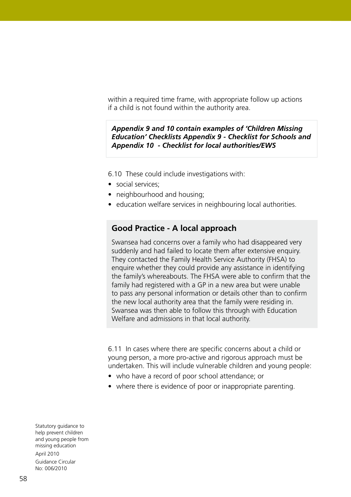within a required time frame, with appropriate follow up actions if a child is not found within the authority area.

#### *Appendix 9 and 10 contain examples of 'Children Missing Education' Checklists Appendix 9 - Checklist for Schools and Appendix 10 - Checklist for local authorities/EWS*

6.10 These could include investigations with:

- social services:
- neighbourhood and housing;
- education welfare services in neighbouring local authorities.

#### **Good Practice - A local approach**

Swansea had concerns over a family who had disappeared very suddenly and had failed to locate them after extensive enquiry. They contacted the Family Health Service Authority (FHSA) to enquire whether they could provide any assistance in identifying the family's whereabouts. The FHSA were able to confirm that the family had registered with a GP in a new area but were unable to pass any personal information or details other than to confirm the new local authority area that the family were residing in. Swansea was then able to follow this through with Education Welfare and admissions in that local authority.

6.11 In cases where there are specific concerns about a child or young person, a more pro-active and rigorous approach must be undertaken. This will include vulnerable children and young people:

- who have a record of poor school attendance; or
- where there is evidence of poor or inappropriate parenting.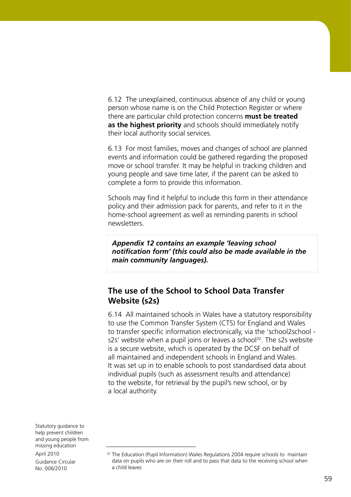6.12 The unexplained, continuous absence of any child or young person whose name is on the Child Protection Register or where there are particular child protection concerns **must be treated as the highest priority** and schools should immediately notify their local authority social services.

6.13 For most families, moves and changes of school are planned events and information could be gathered regarding the proposed move or school transfer. It may be helpful in tracking children and young people and save time later, if the parent can be asked to complete a form to provide this information.

Schools may find it helpful to include this form in their attendance policy and their admission pack for parents, and refer to it in the home-school agreement as well as reminding parents in school newsletters.

*Appendix 12 contains an example 'leaving school notification form' (this could also be made available in the main community languages).* 

## **The use of the School to School Data Transfer Website (s2s)**

6.14 All maintained schools in Wales have a statutory responsibility to use the Common Transfer System (CTS) for England and Wales to transfer specific information electronically, via the 'school2school s2s' website when a pupil joins or leaves a school<sup>32</sup>. The s2s website is a secure website, which is operated by the DCSF on behalf of all maintained and independent schools in England and Wales. It was set up in to enable schools to post standardised data about individual pupils (such as assessment results and attendance) to the website, for retrieval by the pupil's new school, or by a local authority.

<sup>&</sup>lt;sup>32</sup> The Education (Pupil Information) Wales Regulations 2004 require schools to maintain data on pupils who are on their roll and to pass that data to the receiving school when a child leaves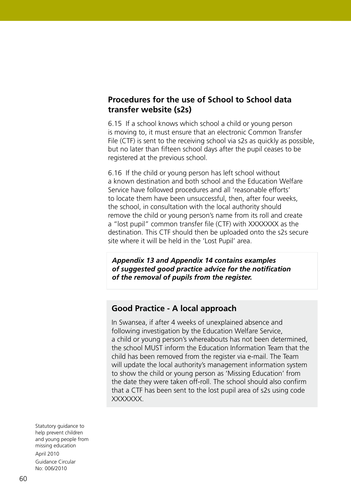# **Procedures for the use of School to School data transfer website (s2s)**

6.15 If a school knows which school a child or young person is moving to, it must ensure that an electronic Common Transfer File (CTF) is sent to the receiving school via s2s as quickly as possible, but no later than fifteen school days after the pupil ceases to be registered at the previous school.

6.16 If the child or young person has left school without a known destination and both school and the Education Welfare Service have followed procedures and all 'reasonable efforts' to locate them have been unsuccessful, then, after four weeks, the school, in consultation with the local authority should remove the child or young person's name from its roll and create a "lost pupil" common transfer file (CTF) with XXXXXXX as the destination. This CTF should then be uploaded onto the s2s secure site where it will be held in the 'Lost Pupil' area.

*Appendix 13 and Appendix 14 contains examples of suggested good practice advice for the notification of the removal of pupils from the register.*

#### **Good Practice - A local approach**

In Swansea, if after 4 weeks of unexplained absence and following investigation by the Education Welfare Service, a child or young person's whereabouts has not been determined, the school MUST inform the Education Information Team that the child has been removed from the register via e-mail. The Team will update the local authority's management information system to show the child or young person as 'Missing Education' from the date they were taken off-roll. The school should also confirm that a CTF has been sent to the lost pupil area of s2s using code XXXXXXX.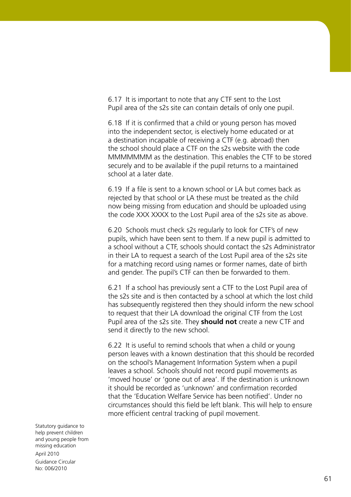6.17 It is important to note that any CTF sent to the Lost Pupil area of the s2s site can contain details of only one pupil.

6.18 If it is confirmed that a child or young person has moved into the independent sector, is electively home educated or at a destination incapable of receiving a CTF (e.g. abroad) then the school should place a CTF on the s2s website with the code MMMMMMM as the destination. This enables the CTF to be stored securely and to be available if the pupil returns to a maintained school at a later date.

6.19 If a file is sent to a known school or LA but comes back as rejected by that school or LA these must be treated as the child now being missing from education and should be uploaded using the code XXX XXXX to the Lost Pupil area of the s2s site as above.

6.20 Schools must check s2s regularly to look for CTF's of new pupils, which have been sent to them. If a new pupil is admitted to a school without a CTF, schools should contact the s2s Administrator in their LA to request a search of the Lost Pupil area of the s2s site for a matching record using names or former names, date of birth and gender. The pupil's CTF can then be forwarded to them.

6.21 If a school has previously sent a CTF to the Lost Pupil area of the s2s site and is then contacted by a school at which the lost child has subsequently registered then they should inform the new school to request that their LA download the original CTF from the Lost Pupil area of the s2s site. They **should not** create a new CTF and send it directly to the new school.

6.22 It is useful to remind schools that when a child or young person leaves with a known destination that this should be recorded on the school's Management Information System when a pupil leaves a school. Schools should not record pupil movements as 'moved house' or 'gone out of area'. If the destination is unknown it should be recorded as 'unknown' and confirmation recorded that the 'Education Welfare Service has been notified'. Under no circumstances should this field be left blank. This will help to ensure more efficient central tracking of pupil movement.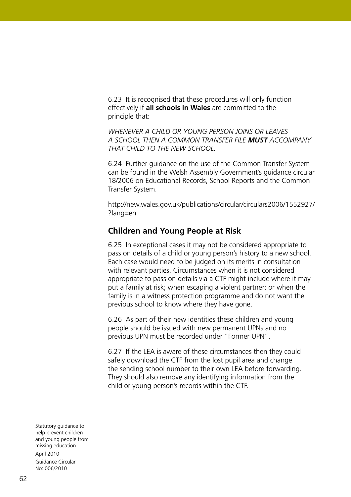6.23 It is recognised that these procedures will only function effectively if **all schools in Wales** are committed to the principle that:

*WHENEVER A CHILD OR YOUNG PERSON JOINS OR LEAVES A SCHOOL THEN A COMMON TRANSFER FILE MUST ACCOMPANY THAT CHILD TO THE NEW SCHOOL.*

6.24 Further guidance on the use of the Common Transfer System can be found in the Welsh Assembly Government's guidance circular 18/2006 on Educational Records, School Reports and the Common Transfer System.

http://new.wales.gov.uk/publications/circular/circulars2006/1552927/ ?lang=en

#### **Children and Young People at Risk**

6.25 In exceptional cases it may not be considered appropriate to pass on details of a child or young person's history to a new school. Each case would need to be judged on its merits in consultation with relevant parties. Circumstances when it is not considered appropriate to pass on details via a CTF might include where it may put a family at risk; when escaping a violent partner; or when the family is in a witness protection programme and do not want the previous school to know where they have gone.

6.26 As part of their new identities these children and young people should be issued with new permanent UPNs and no previous UPN must be recorded under "Former UPN".

6.27 If the LEA is aware of these circumstances then they could safely download the CTF from the lost pupil area and change the sending school number to their own LEA before forwarding. They should also remove any identifying information from the child or young person's records within the CTF.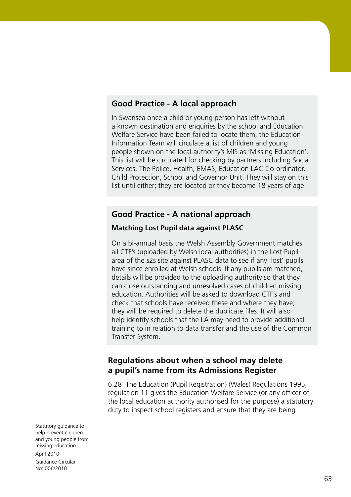# **Good Practice - A local approach**

In Swansea once a child or young person has left without a known destination and enquiries by the school and Education Welfare Service have been failed to locate them, the Education Information Team will circulate a list of children and young people shown on the local authority's MIS as 'Missing Education'. This list will be circulated for checking by partners including Social Services, The Police, Health, EMAS, Education LAC Co-ordinator, Child Protection, School and Governor Unit. They will stay on this list until either; they are located or they become 18 years of age.

#### **Good Practice - A national approach**

#### **Matching Lost Pupil data against PLASC**

On a bi-annual basis the Welsh Assembly Government matches all CTF's (uploaded by Welsh local authorities) in the Lost Pupil area of the s2s site against PLASC data to see if any 'lost' pupils have since enrolled at Welsh schools. If any pupils are matched, details will be provided to the uploading authority so that they can close outstanding and unresolved cases of children missing education. Authorities will be asked to download CTF's and check that schools have received these and where they have; they will be required to delete the duplicate files. It will also help identify schools that the LA may need to provide additional training to in relation to data transfer and the use of the Common Transfer System.

#### **Regulations about when a school may delete a pupil's name from its Admissions Register**

6.28 The Education (Pupil Registration) (Wales) Regulations 1995, regulation 11 gives the Education Welfare Service (or any officer of the local education authority authorised for the purpose) a statutory duty to inspect school registers and ensure that they are being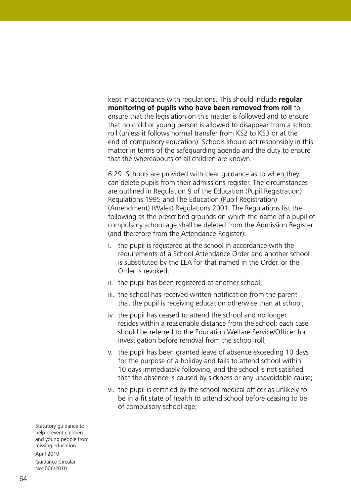kept in accordance with regulations. This should include **regular monitoring of pupils who have been removed from roll** to ensure that the legislation on this matter is followed and to ensure that no child or young person is allowed to disappear from a school roll (unless it follows normal transfer from KS2 to KS3 or at the end of compulsory education). Schools should act responsibly in this matter in terms of the safeguarding agenda and the duty to ensure that the whereabouts of all children are known.

6.29 Schools are provided with clear guidance as to when they can delete pupils from their admissions register. The circumstances are outlined in Regulation 9 of the Education (Pupil Registration) Regulations 1995 and The Education (Pupil Registration) (Amendment) (Wales) Regulations 2001. The Regulations list the following as the prescribed grounds on which the name of a pupil of compulsory school age shall be deleted from the Admission Register (and therefore from the Attendance Register):

- i. the pupil is registered at the school in accordance with the requirements of a School Attendance Order and another school is substituted by the LEA for that named in the Order, or the Order is revoked;
- ii. the pupil has been registered at another school;
- iii. the school has received written notification from the parent that the pupil is receiving education otherwise than at school;
- iv. the pupil has ceased to attend the school and no longer resides within a reasonable distance from the school; each case should be referred to the Education Welfare Service/Officer for investigation before removal from the school roll;
- v. the pupil has been granted leave of absence exceeding 10 days for the purpose of a holiday and fails to attend school within 10 days immediately following, and the school is not satisfied that the absence is caused by sickness or any unavoidable cause;
- vi. the pupil is certified by the school medical officer as unlikely to be in a fit state of health to attend school before ceasing to be of compulsory school age;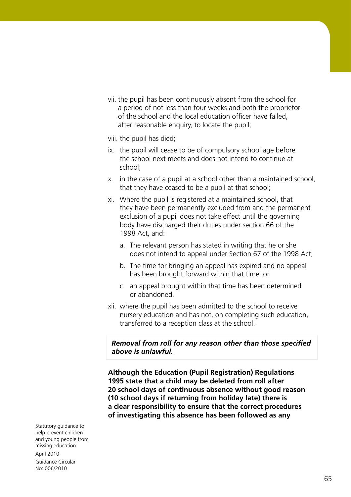- vii. the pupil has been continuously absent from the school for a period of not less than four weeks and both the proprietor of the school and the local education officer have failed, after reasonable enquiry, to locate the pupil;
- viii. the pupil has died;
- ix. the pupil will cease to be of compulsory school age before the school next meets and does not intend to continue at school;
- x. in the case of a pupil at a school other than a maintained school, that they have ceased to be a pupil at that school;
- xi. Where the pupil is registered at a maintained school, that they have been permanently excluded from and the permanent exclusion of a pupil does not take effect until the governing body have discharged their duties under section 66 of the 1998 Act, and:
	- a. The relevant person has stated in writing that he or she does not intend to appeal under Section 67 of the 1998 Act;
	- b. The time for bringing an appeal has expired and no appeal has been brought forward within that time; or
	- c. an appeal brought within that time has been determined or abandoned.
- xii. where the pupil has been admitted to the school to receive nursery education and has not, on completing such education, transferred to a reception class at the school.

*Removal from roll for any reason other than those specified above is unlawful.*

**Although the Education (Pupil Registration) Regulations 1995 state that a child may be deleted from roll after 20 school days of continuous absence without good reason (10 school days if returning from holiday late) there is a clear responsibility to ensure that the correct procedures of investigating this absence has been followed as any**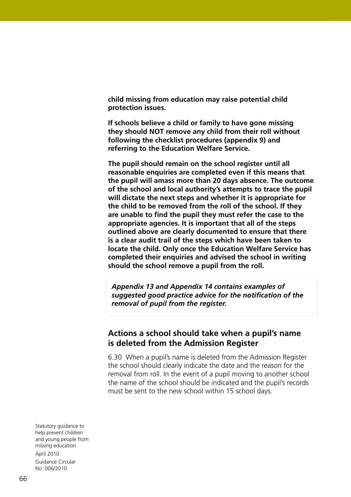**child missing from education may raise potential child protection issues.** 

**If schools believe a child or family to have gone missing they should NOT remove any child from their roll without following the checklist procedures (appendix 9) and referring to the Education Welfare Service.** 

**The pupil should remain on the school register until all reasonable enquiries are completed even if this means that the pupil will amass more than 20 days absence. The outcome of the school and local authority's attempts to trace the pupil will dictate the next steps and whether it is appropriate for the child to be removed from the roll of the school. If they are unable to find the pupil they must refer the case to the appropriate agencies. It is important that all of the steps outlined above are clearly documented to ensure that there is a clear audit trail of the steps which have been taken to locate the child. Only once the Education Welfare Service has completed their enquiries and advised the school in writing should the school remove a pupil from the roll.**

*Appendix 13 and Appendix 14 contains examples of suggested good practice advice for the notification of the removal of pupil from the register.* 

#### **Actions a school should take when a pupil's name is deleted from the Admission Register**

6.30 When a pupil's name is deleted from the Admission Register the school should clearly indicate the date and the reason for the removal from roll. In the event of a pupil moving to another school the name of the school should be indicated and the pupil's records must be sent to the new school within 15 school days.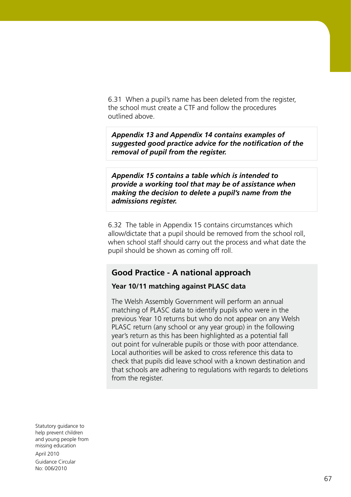6.31 When a pupil's name has been deleted from the register, the school must create a CTF and follow the procedures outlined above.

*Appendix 13 and Appendix 14 contains examples of suggested good practice advice for the notification of the removal of pupil from the register.*

*Appendix 15 contains a table which is intended to provide a working tool that may be of assistance when making the decision to delete a pupil's name from the admissions register.*

6.32 The table in Appendix 15 contains circumstances which allow/dictate that a pupil should be removed from the school roll, when school staff should carry out the process and what date the pupil should be shown as coming off roll.

# **Good Practice - A national approach**

#### **Year 10/11 matching against PLASC data**

The Welsh Assembly Government will perform an annual matching of PLASC data to identify pupils who were in the previous Year 10 returns but who do not appear on any Welsh PLASC return (any school or any year group) in the following year's return as this has been highlighted as a potential fall out point for vulnerable pupils or those with poor attendance. Local authorities will be asked to cross reference this data to check that pupils did leave school with a known destination and that schools are adhering to regulations with regards to deletions from the register.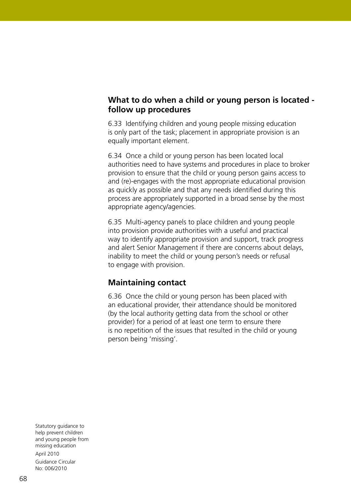# **What to do when a child or young person is located follow up procedures**

6.33 Identifying children and young people missing education is only part of the task; placement in appropriate provision is an equally important element.

6.34 Once a child or young person has been located local authorities need to have systems and procedures in place to broker provision to ensure that the child or young person gains access to and (re)-engages with the most appropriate educational provision as quickly as possible and that any needs identified during this process are appropriately supported in a broad sense by the most appropriate agency/agencies.

6.35 Multi-agency panels to place children and young people into provision provide authorities with a useful and practical way to identify appropriate provision and support, track progress and alert Senior Management if there are concerns about delays, inability to meet the child or young person's needs or refusal to engage with provision.

# **Maintaining contact**

6.36 Once the child or young person has been placed with an educational provider, their attendance should be monitored (by the local authority getting data from the school or other provider) for a period of at least one term to ensure there is no repetition of the issues that resulted in the child or young person being 'missing'.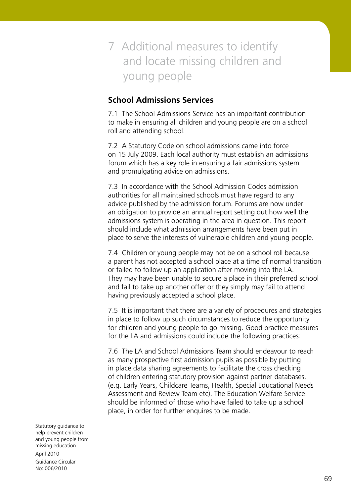# 7 Additional measures to identify and locate missing children and young people

# **School Admissions Services**

7.1 The School Admissions Service has an important contribution to make in ensuring all children and young people are on a school roll and attending school.

7.2 A Statutory Code on school admissions came into force on 15 July 2009. Each local authority must establish an admissions forum which has a key role in ensuring a fair admissions system and promulgating advice on admissions.

7.3 In accordance with the School Admission Codes admission authorities for all maintained schools must have regard to any advice published by the admission forum. Forums are now under an obligation to provide an annual report setting out how well the admissions system is operating in the area in question. This report should include what admission arrangements have been put in place to serve the interests of vulnerable children and young people.

7.4 Children or young people may not be on a school roll because a parent has not accepted a school place at a time of normal transition or failed to follow up an application after moving into the LA. They may have been unable to secure a place in their preferred school and fail to take up another offer or they simply may fail to attend having previously accepted a school place.

7.5 It is important that there are a variety of procedures and strategies in place to follow up such circumstances to reduce the opportunity for children and young people to go missing. Good practice measures for the LA and admissions could include the following practices:

7.6 The LA and School Admissions Team should endeavour to reach as many prospective first admission pupils as possible by putting in place data sharing agreements to facilitate the cross checking of children entering statutory provision against partner databases. (e.g. Early Years, Childcare Teams, Health, Special Educational Needs Assessment and Review Team etc). The Education Welfare Service should be informed of those who have failed to take up a school place, in order for further enquires to be made.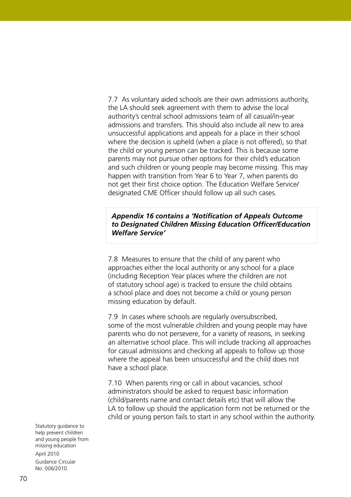7.7 As voluntary aided schools are their own admissions authority, the LA should seek agreement with them to advise the local authority's central school admissions team of all casual/in-year admissions and transfers. This should also include all new to area unsuccessful applications and appeals for a place in their school where the decision is upheld (when a place is not offered), so that the child or young person can be tracked. This is because some parents may not pursue other options for their child's education and such children or young people may become missing. This may happen with transition from Year 6 to Year 7, when parents do not get their first choice option. The Education Welfare Service/ designated CME Officer should follow up all such cases.

#### *Appendix 16 contains a 'Notification of Appeals Outcome to Designated Children Missing Education Officer/Education Welfare Service'*

7.8 Measures to ensure that the child of any parent who approaches either the local authority or any school for a place (including Reception Year places where the children are not of statutory school age) is tracked to ensure the child obtains a school place and does not become a child or young person missing education by default.

7.9 In cases where schools are regularly oversubscribed, some of the most vulnerable children and young people may have parents who do not persevere, for a variety of reasons, in seeking an alternative school place. This will include tracking all approaches for casual admissions and checking all appeals to follow up those where the appeal has been unsuccessful and the child does not have a school place.

7.10 When parents ring or call in about vacancies, school administrators should be asked to request basic information (child/parents name and contact details etc) that will allow the LA to follow up should the application form not be returned or the child or young person fails to start in any school within the authority.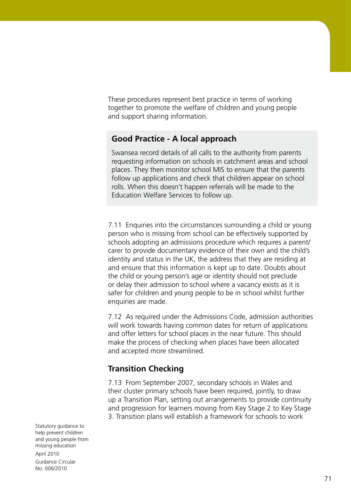These procedures represent best practice in terms of working together to promote the welfare of children and young people and support sharing information.

## **Good Practice - A local approach**

Swansea record details of all calls to the authority from parents requesting information on schools in catchment areas and school places. They then monitor school MIS to ensure that the parents follow up applications and check that children appear on school rolls. When this doesn't happen referrals will be made to the Education Welfare Services to follow up.

7.11 Enquiries into the circumstances surrounding a child or young person who is missing from school can be effectively supported by schools adopting an admissions procedure which requires a parent/ carer to provide documentary evidence of their own and the child's identity and status in the UK, the address that they are residing at and ensure that this information is kept up to date. Doubts about the child or young person's age or identity should not preclude or delay their admission to school where a vacancy exists as it is safer for children and young people to be in school whilst further enquiries are made.

7.12 As required under the Admissions Code, admission authorities will work towards having common dates for return of applications and offer letters for school places in the near future. This should make the process of checking when places have been allocated and accepted more streamlined.

## **Transition Checking**

7.13 From September 2007, secondary schools in Wales and their cluster primary schools have been required, jointly, to draw up a Transition Plan, setting out arrangements to provide continuity and progression for learners moving from Key Stage 2 to Key Stage 3. Transition plans will establish a framework for schools to work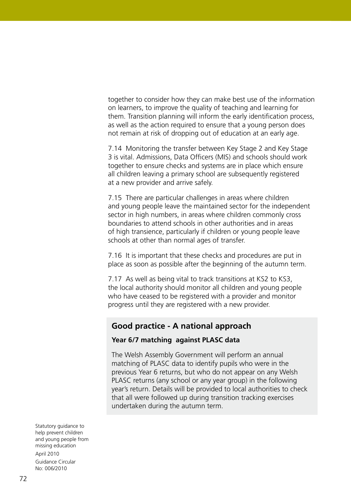together to consider how they can make best use of the information on learners, to improve the quality of teaching and learning for them. Transition planning will inform the early identification process, as well as the action required to ensure that a young person does not remain at risk of dropping out of education at an early age.

7.14 Monitoring the transfer between Key Stage 2 and Key Stage 3 is vital. Admissions, Data Officers (MIS) and schools should work together to ensure checks and systems are in place which ensure all children leaving a primary school are subsequently registered at a new provider and arrive safely.

7.15 There are particular challenges in areas where children and young people leave the maintained sector for the independent sector in high numbers, in areas where children commonly cross boundaries to attend schools in other authorities and in areas of high transience, particularly if children or young people leave schools at other than normal ages of transfer.

7.16 It is important that these checks and procedures are put in place as soon as possible after the beginning of the autumn term.

7.17 As well as being vital to track transitions at KS2 to KS3, the local authority should monitor all children and young people who have ceased to be registered with a provider and monitor progress until they are registered with a new provider.

## **Good practice - A national approach**

#### **Year 6/7 matching against PLASC data**

The Welsh Assembly Government will perform an annual matching of PLASC data to identify pupils who were in the previous Year 6 returns, but who do not appear on any Welsh PLASC returns (any school or any year group) in the following year's return. Details will be provided to local authorities to check that all were followed up during transition tracking exercises undertaken during the autumn term.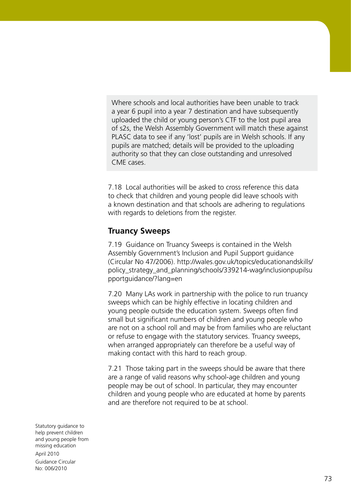Where schools and local authorities have been unable to track a year 6 pupil into a year 7 destination and have subsequently uploaded the child or young person's CTF to the lost pupil area of s2s, the Welsh Assembly Government will match these against PLASC data to see if any 'lost' pupils are in Welsh schools. If any pupils are matched; details will be provided to the uploading authority so that they can close outstanding and unresolved CME cases.

7.18 Local authorities will be asked to cross reference this data to check that children and young people did leave schools with a known destination and that schools are adhering to regulations with regards to deletions from the register.

### **Truancy Sweeps**

7.19 Guidance on Truancy Sweeps is contained in the Welsh Assembly Government's Inclusion and Pupil Support guidance (Circular No 47/2006). http://wales.gov.uk/topics/educationandskills/ policy\_strategy\_and\_planning/schools/339214-wag/inclusionpupilsu pportguidance/?lang=en

7.20 Many LAs work in partnership with the police to run truancy sweeps which can be highly effective in locating children and young people outside the education system. Sweeps often find small but significant numbers of children and young people who are not on a school roll and may be from families who are reluctant or refuse to engage with the statutory services. Truancy sweeps, when arranged appropriately can therefore be a useful way of making contact with this hard to reach group.

7.21 Those taking part in the sweeps should be aware that there are a range of valid reasons why school-age children and young people may be out of school. In particular, they may encounter children and young people who are educated at home by parents and are therefore not required to be at school.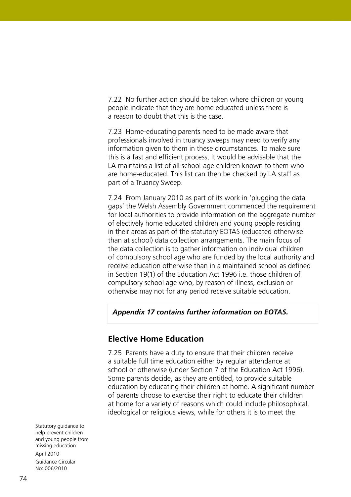7.22 No further action should be taken where children or young people indicate that they are home educated unless there is a reason to doubt that this is the case.

7.23 Home-educating parents need to be made aware that professionals involved in truancy sweeps may need to verify any information given to them in these circumstances. To make sure this is a fast and efficient process, it would be advisable that the LA maintains a list of all school-age children known to them who are home-educated. This list can then be checked by LA staff as part of a Truancy Sweep.

7.24 From January 2010 as part of its work in 'plugging the data gaps' the Welsh Assembly Government commenced the requirement for local authorities to provide information on the aggregate number of electively home educated children and young people residing in their areas as part of the statutory EOTAS (educated otherwise than at school) data collection arrangements. The main focus of the data collection is to gather information on individual children of compulsory school age who are funded by the local authority and receive education otherwise than in a maintained school as defined in Section 19(1) of the Education Act 1996 i.e. those children of compulsory school age who, by reason of illness, exclusion or otherwise may not for any period receive suitable education.

#### *Appendix 17 contains further information on EOTAS.*

#### **Elective Home Education**

7.25 Parents have a duty to ensure that their children receive a suitable full time education either by regular attendance at school or otherwise (under Section 7 of the Education Act 1996). Some parents decide, as they are entitled, to provide suitable education by educating their children at home. A significant number of parents choose to exercise their right to educate their children at home for a variety of reasons which could include philosophical, ideological or religious views, while for others it is to meet the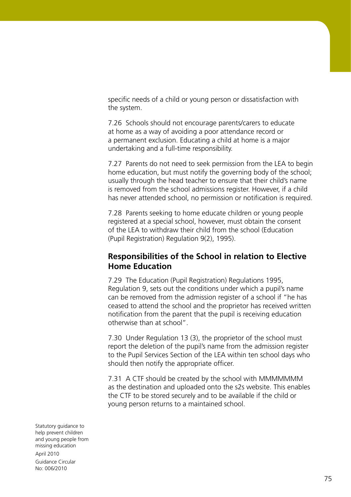specific needs of a child or young person or dissatisfaction with the system.

7.26 Schools should not encourage parents/carers to educate at home as a way of avoiding a poor attendance record or a permanent exclusion. Educating a child at home is a major undertaking and a full-time responsibility.

7.27 Parents do not need to seek permission from the LEA to begin home education, but must notify the governing body of the school; usually through the head teacher to ensure that their child's name is removed from the school admissions register. However, if a child has never attended school, no permission or notification is required.

7.28 Parents seeking to home educate children or young people registered at a special school, however, must obtain the consent of the LEA to withdraw their child from the school (Education (Pupil Registration) Regulation 9(2), 1995).

## **Responsibilities of the School in relation to Elective Home Education**

7.29 The Education (Pupil Registration) Regulations 1995, Regulation 9, sets out the conditions under which a pupil's name can be removed from the admission register of a school if "he has ceased to attend the school and the proprietor has received written notification from the parent that the pupil is receiving education otherwise than at school".

7.30 Under Regulation 13 (3), the proprietor of the school must report the deletion of the pupil's name from the admission register to the Pupil Services Section of the LEA within ten school days who should then notify the appropriate officer.

7.31 A CTF should be created by the school with MMMMMMM as the destination and uploaded onto the s2s website. This enables the CTF to be stored securely and to be available if the child or young person returns to a maintained school.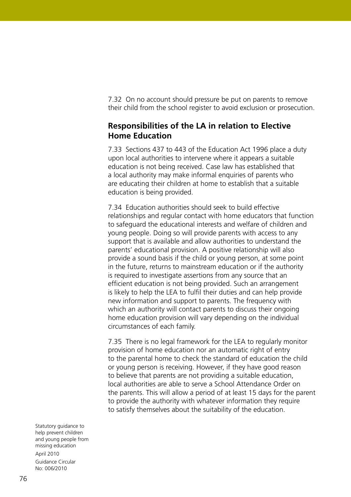7.32 On no account should pressure be put on parents to remove their child from the school register to avoid exclusion or prosecution.

# **Responsibilities of the LA in relation to Elective Home Education**

7.33 Sections 437 to 443 of the Education Act 1996 place a duty upon local authorities to intervene where it appears a suitable education is not being received. Case law has established that a local authority may make informal enquiries of parents who are educating their children at home to establish that a suitable education is being provided.

7.34 Education authorities should seek to build effective relationships and regular contact with home educators that function to safeguard the educational interests and welfare of children and young people. Doing so will provide parents with access to any support that is available and allow authorities to understand the parents' educational provision. A positive relationship will also provide a sound basis if the child or young person, at some point in the future, returns to mainstream education or if the authority is required to investigate assertions from any source that an efficient education is not being provided. Such an arrangement is likely to help the LEA to fulfil their duties and can help provide new information and support to parents. The frequency with which an authority will contact parents to discuss their ongoing home education provision will vary depending on the individual circumstances of each family.

7.35 There is no legal framework for the LEA to regularly monitor provision of home education nor an automatic right of entry to the parental home to check the standard of education the child or young person is receiving. However, if they have good reason to believe that parents are not providing a suitable education, local authorities are able to serve a School Attendance Order on the parents. This will allow a period of at least 15 days for the parent to provide the authority with whatever information they require to satisfy themselves about the suitability of the education.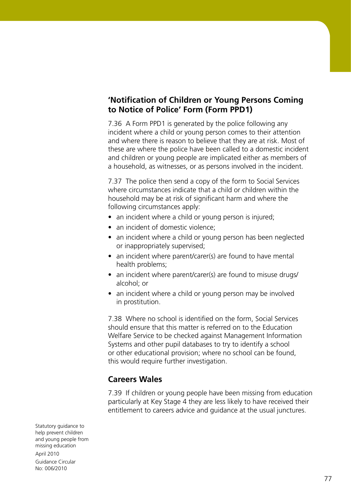# **'Notification of Children or Young Persons Coming to Notice of Police' Form (Form PPD1)**

7.36 A Form PPD1 is generated by the police following any incident where a child or young person comes to their attention and where there is reason to believe that they are at risk. Most of these are where the police have been called to a domestic incident and children or young people are implicated either as members of a household, as witnesses, or as persons involved in the incident.

7.37 The police then send a copy of the form to Social Services where circumstances indicate that a child or children within the household may be at risk of significant harm and where the following circumstances apply:

- an incident where a child or young person is injured;
- an incident of domestic violence;
- an incident where a child or young person has been neglected or inappropriately supervised;
- an incident where parent/carer(s) are found to have mental health problems;
- an incident where parent/carer(s) are found to misuse drugs/ alcohol; or
- an incident where a child or young person may be involved in prostitution.

7.38 Where no school is identified on the form, Social Services should ensure that this matter is referred on to the Education Welfare Service to be checked against Management Information Systems and other pupil databases to try to identify a school or other educational provision; where no school can be found, this would require further investigation.

# **Careers Wales**

7.39 If children or young people have been missing from education particularly at Key Stage 4 they are less likely to have received their entitlement to careers advice and guidance at the usual junctures.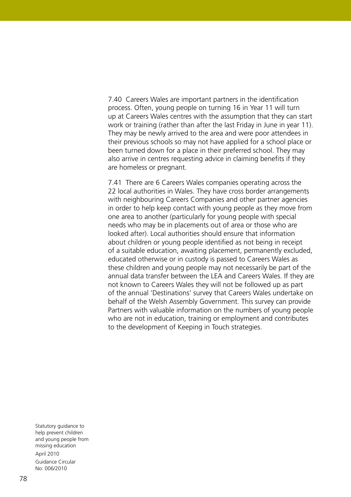7.40 Careers Wales are important partners in the identification process. Often, young people on turning 16 in Year 11 will turn up at Careers Wales centres with the assumption that they can start work or training (rather than after the last Friday in June in year 11). They may be newly arrived to the area and were poor attendees in their previous schools so may not have applied for a school place or been turned down for a place in their preferred school. They may also arrive in centres requesting advice in claiming benefits if they are homeless or pregnant.

7.41 There are 6 Careers Wales companies operating across the 22 local authorities in Wales. They have cross border arrangements with neighbouring Careers Companies and other partner agencies in order to help keep contact with young people as they move from one area to another (particularly for young people with special needs who may be in placements out of area or those who are looked after). Local authorities should ensure that information about children or young people identified as not being in receipt of a suitable education, awaiting placement, permanently excluded, educated otherwise or in custody is passed to Careers Wales as these children and young people may not necessarily be part of the annual data transfer between the LEA and Careers Wales. If they are not known to Careers Wales they will not be followed up as part of the annual 'Destinations' survey that Careers Wales undertake on behalf of the Welsh Assembly Government. This survey can provide Partners with valuable information on the numbers of young people who are not in education, training or employment and contributes to the development of Keeping in Touch strategies.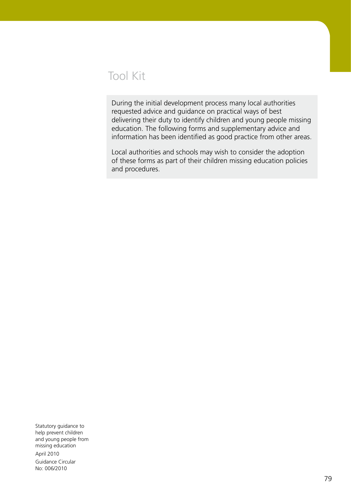# Tool Kit

During the initial development process many local authorities requested advice and guidance on practical ways of best delivering their duty to identify children and young people missing education. The following forms and supplementary advice and information has been identified as good practice from other areas.

Local authorities and schools may wish to consider the adoption of these forms as part of their children missing education policies and procedures.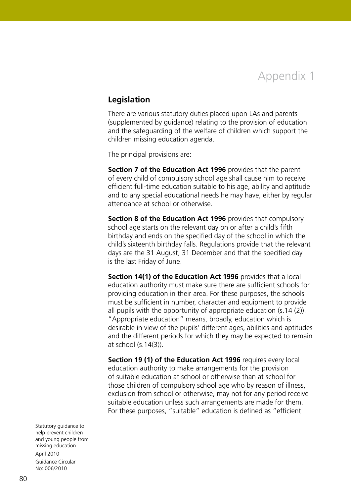Appendix 1

### **Legislation**

There are various statutory duties placed upon LAs and parents (supplemented by guidance) relating to the provision of education and the safeguarding of the welfare of children which support the children missing education agenda.

The principal provisions are:

**Section 7 of the Education Act 1996** provides that the parent of every child of compulsory school age shall cause him to receive efficient full-time education suitable to his age, ability and aptitude and to any special educational needs he may have, either by regular attendance at school or otherwise.

**Section 8 of the Education Act 1996** provides that compulsory school age starts on the relevant day on or after a child's fifth birthday and ends on the specified day of the school in which the child's sixteenth birthday falls. Regulations provide that the relevant days are the 31 August, 31 December and that the specified day is the last Friday of June.

**Section 14(1) of the Education Act 1996** provides that a local education authority must make sure there are sufficient schools for providing education in their area. For these purposes, the schools must be sufficient in number, character and equipment to provide all pupils with the opportunity of appropriate education (s.14 (2)). "Appropriate education" means, broadly, education which is desirable in view of the pupils' different ages, abilities and aptitudes and the different periods for which they may be expected to remain at school (s.14(3)).

**Section 19 (1) of the Education Act 1996** requires every local education authority to make arrangements for the provision of suitable education at school or otherwise than at school for those children of compulsory school age who by reason of illness, exclusion from school or otherwise, may not for any period receive suitable education unless such arrangements are made for them. For these purposes, "suitable" education is defined as "efficient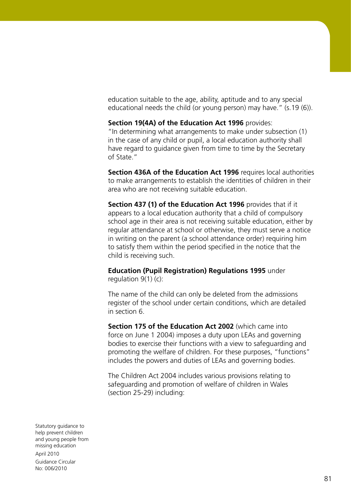education suitable to the age, ability, aptitude and to any special educational needs the child (or young person) may have." (s.19 (6)).

**Section 19(4A) of the Education Act 1996** provides: "In determining what arrangements to make under subsection (1) in the case of any child or pupil, a local education authority shall have regard to guidance given from time to time by the Secretary of State."

**Section 436A of the Education Act 1996** requires local authorities to make arrangements to establish the identities of children in their area who are not receiving suitable education.

**Section 437 (1) of the Education Act 1996** provides that if it appears to a local education authority that a child of compulsory school age in their area is not receiving suitable education, either by regular attendance at school or otherwise, they must serve a notice in writing on the parent (a school attendance order) requiring him to satisfy them within the period specified in the notice that the child is receiving such.

**Education (Pupil Registration) Regulations 1995** under regulation  $9(1)$  (c):

The name of the child can only be deleted from the admissions register of the school under certain conditions, which are detailed in section 6.

**Section 175 of the Education Act 2002** (which came into force on June 1 2004) imposes a duty upon LEAs and governing bodies to exercise their functions with a view to safeguarding and promoting the welfare of children. For these purposes, "functions" includes the powers and duties of LEAs and governing bodies.

The Children Act 2004 includes various provisions relating to safeguarding and promotion of welfare of children in Wales (section 25-29) including: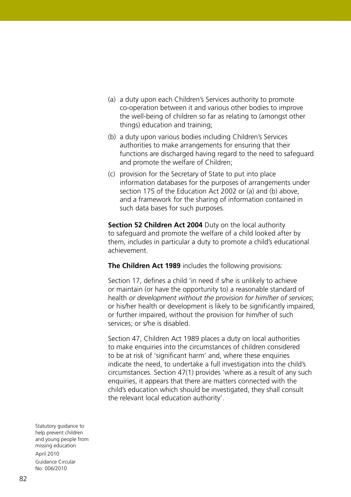- (a) a duty upon each Children's Services authority to promote co-operation between it and various other bodies to improve the well-being of children so far as relating to (amongst other things) education and training;
- (b) a duty upon various bodies including Children's Services authorities to make arrangements for ensuring that their functions are discharged having regard to the need to safeguard and promote the welfare of Children;
- (c) provision for the Secretary of State to put into place information databases for the purposes of arrangements under section 175 of the Education Act 2002 or (a) and (b) above, and a framework for the sharing of information contained in such data bases for such purposes.

**Section 52 Children Act 2004** Duty on the local authority to safeguard and promote the welfare of a child looked after by them, includes in particular a duty to promote a child's educational achievement.

**The Children Act 1989** includes the following provisions:

Section 17, defines a child 'in need if s/he is unlikely to achieve or maintain (or have the opportunity to) a reasonable standard of health *or development without the provision for him/her of services*; or his/her health or development is likely to be significantly impaired, or further impaired, without the provision for him/her of such services; or s/he is disabled.

Section 47, Children Act 1989 places a duty on local authorities to make enquiries into the circumstances of children considered to be at risk of 'significant harm' and, where these enquiries indicate the need, to undertake a full investigation into the child's circumstances. Section 47(1) provides 'where as a result of any such enquiries, it appears that there are matters connected with the child's education which should be investigated, they shall consult the relevant local education authority'.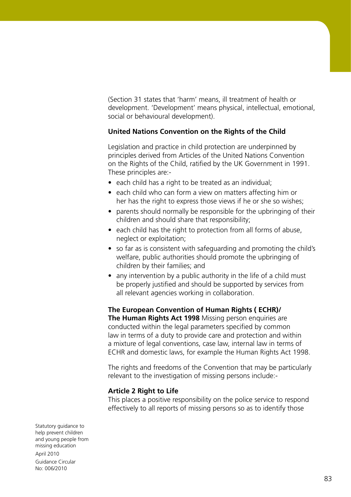(Section 31 states that 'harm' means, ill treatment of health or development. 'Development' means physical, intellectual, emotional, social or behavioural development).

#### **United Nations Convention on the Rights of the Child**

Legislation and practice in child protection are underpinned by principles derived from Articles of the United Nations Convention on the Rights of the Child, ratified by the UK Government in 1991. These principles are:-

- each child has a right to be treated as an individual;
- each child who can form a view on matters affecting him or her has the right to express those views if he or she so wishes;
- parents should normally be responsible for the upbringing of their children and should share that responsibility;
- each child has the right to protection from all forms of abuse, neglect or exploitation;
- so far as is consistent with safeguarding and promoting the child's welfare, public authorities should promote the upbringing of children by their families; and
- any intervention by a public authority in the life of a child must be properly justified and should be supported by services from all relevant agencies working in collaboration.

#### **The European Convention of Human Rights ( ECHR)/**

**The Human Rights Act 1998** Missing person enquiries are conducted within the legal parameters specified by common law in terms of a duty to provide care and protection and within a mixture of legal conventions, case law, internal law in terms of ECHR and domestic laws, for example the Human Rights Act 1998.

The rights and freedoms of the Convention that may be particularly relevant to the investigation of missing persons include:-

#### **Article 2 Right to Life**

This places a positive responsibility on the police service to respond effectively to all reports of missing persons so as to identify those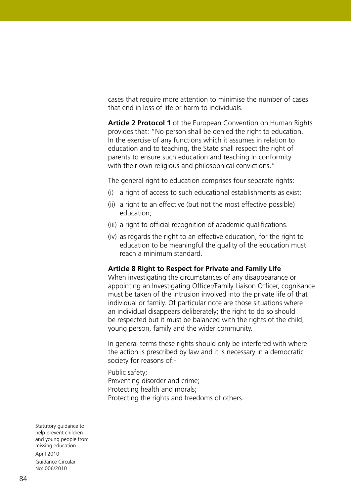cases that require more attention to minimise the number of cases that end in loss of life or harm to individuals.

**Article 2 Protocol 1** of the European Convention on Human Rights provides that: "No person shall be denied the right to education. In the exercise of any functions which it assumes in relation to education and to teaching, the State shall respect the right of parents to ensure such education and teaching in conformity with their own religious and philosophical convictions."

The general right to education comprises four separate rights:

- (i) a right of access to such educational establishments as exist;
- (ii) a right to an effective (but not the most effective possible) education;
- (iii) a right to official recognition of academic qualifications.
- (iv) as regards the right to an effective education, for the right to education to be meaningful the quality of the education must reach a minimum standard.

#### **Article 8 Right to Respect for Private and Family Life**

When investigating the circumstances of any disappearance or appointing an Investigating Officer/Family Liaison Officer, cognisance must be taken of the intrusion involved into the private life of that individual or family. Of particular note are those situations where an individual disappears deliberately; the right to do so should be respected but it must be balanced with the rights of the child, young person, family and the wider community.

In general terms these rights should only be interfered with where the action is prescribed by law and it is necessary in a democratic society for reasons of:-

Public safety; Preventing disorder and crime; Protecting health and morals; Protecting the rights and freedoms of others.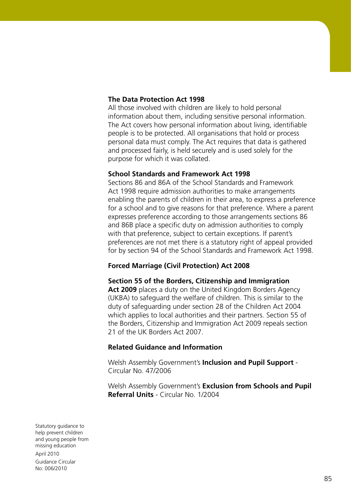#### **The Data Protection Act 1998**

All those involved with children are likely to hold personal information about them, including sensitive personal information. The Act covers how personal information about living, identifiable people is to be protected. All organisations that hold or process personal data must comply. The Act requires that data is gathered and processed fairly, is held securely and is used solely for the purpose for which it was collated.

#### **School Standards and Framework Act 1998**

Sections 86 and 86A of the School Standards and Framework Act 1998 require admission authorities to make arrangements enabling the parents of children in their area, to express a preference for a school and to give reasons for that preference. Where a parent expresses preference according to those arrangements sections 86 and 86B place a specific duty on admission authorities to comply with that preference, subject to certain exceptions. If parent's preferences are not met there is a statutory right of appeal provided for by section 94 of the School Standards and Framework Act 1998.

#### **Forced Marriage (Civil Protection) Act 2008**

**Section 55 of the Borders, Citizenship and Immigration Act 2009** places a duty on the United Kingdom Borders Agency (UKBA) to safeguard the welfare of children. This is similar to the duty of safeguarding under section 28 of the Children Act 2004 which applies to local authorities and their partners. Section 55 of the Borders, Citizenship and Immigration Act 2009 repeals section 21 of the UK Borders Act 2007.

#### **Related Guidance and Information**

Welsh Assembly Government's **Inclusion and Pupil Support** - Circular No. 47/2006

Welsh Assembly Government's **Exclusion from Schools and Pupil Referral Units** - Circular No. 1/2004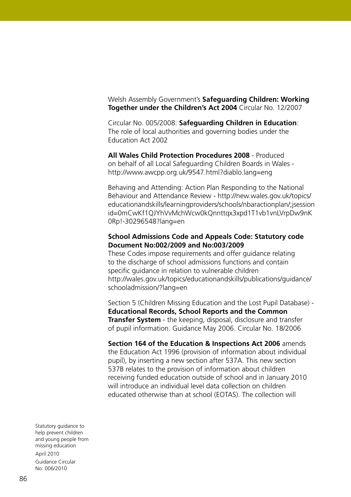Welsh Assembly Government's **Safeguarding Children: Working Together under the Children's Act 2004** Circular No. 12/2007

Circular No. 005/2008: **Safeguarding Children in Education**: The role of local authorities and governing bodies under the Education Act 2002

**All Wales Child Protection Procedures 2008** - Produced on behalf of all Local Safeguarding Children Boards in Wales http://www.awcpp.org.uk/9547.html?diablo.lang=eng

Behaving and Attending: Action Plan Responding to the National Behaviour and Attendance Review - http://new.wales.gov.uk/topics/ educationandskills/learningproviders/schools/nbaractionplan/;jsession id=0mCwKf1QJYhVvMchWcw0kQnnttqx3xpd1T1vb1vnLVrpDw9nK 0Rp!-30296548?lang=en

#### **School Admissions Code and Appeals Code: Statutory code Document No:002/2009 and No:003/2009**

These Codes impose requirements and offer guidance relating to the discharge of school admissions functions and contain specific guidance in relation to vulnerable children http://wales.gov.uk/topics/educationandskills/publications/guidance/ schooladmission/?lang=en

Section 5 (Children Missing Education and the Lost Pupil Database) - **Educational Records, School Reports and the Common Transfer System** - the keeping, disposal, disclosure and transfer of pupil information. Guidance May 2006. Circular No. 18/2006

**Section 164 of the Education & Inspections Act 2006** amends the Education Act 1996 (provision of information about individual pupil), by inserting a new section after 537A. This new section 537B relates to the provision of information about children receiving funded education outside of school and in January 2010 will introduce an individual level data collection on children educated otherwise than at school (EOTAS). The collection will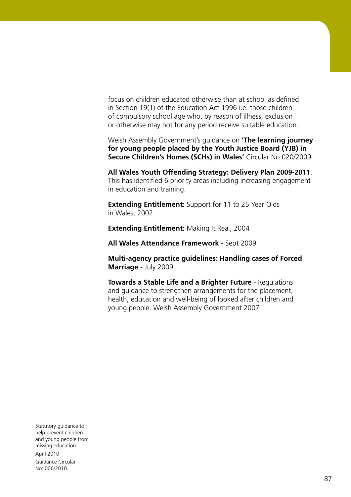focus on children educated otherwise than at school as defined in Section 19(1) of the Education Act 1996 i.e. those children of compulsory school age who, by reason of illness, exclusion or otherwise may not for any period receive suitable education.

Welsh Assembly Government's guidance on **'The learning journey for young people placed by the Youth Justice Board (YJB) in Secure Children's Homes (SCHs) in Wales'** Circular No:020/2009

**All Wales Youth Offending Strategy: Delivery Plan 2009-2011**. This has identified 6 priority areas including increasing engagement in education and training.

**Extending Entitlement:** Support for 11 to 25 Year Olds in Wales, 2002

**Extending Entitlement:** Making It Real, 2004

**All Wales Attendance Framework** - Sept 2009

**Multi-agency practice guidelines: Handling cases of Forced Marriage** - July 2009

**Towards a Stable Life and a Brighter Future** - Regulations and guidance to strengthen arrangements for the placement, health, education and well-being of looked after children and young people. Welsh Assembly Government 2007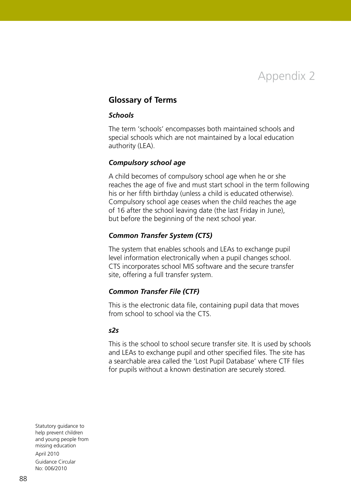Appendix 2

#### **Glossary of Terms**

#### *Schools*

The term 'schools' encompasses both maintained schools and special schools which are not maintained by a local education authority (LEA).

#### *Compulsory school age*

A child becomes of compulsory school age when he or she reaches the age of five and must start school in the term following his or her fifth birthday (unless a child is educated otherwise). Compulsory school age ceases when the child reaches the age of 16 after the school leaving date (the last Friday in June), but before the beginning of the next school year.

#### *Common Transfer System (CTS)*

The system that enables schools and LEAs to exchange pupil level information electronically when a pupil changes school. CTS incorporates school MIS software and the secure transfer site, offering a full transfer system.

#### *Common Transfer File (CTF)*

This is the electronic data file, containing pupil data that moves from school to school via the CTS.

#### *s2s*

This is the school to school secure transfer site. It is used by schools and LEAs to exchange pupil and other specified files. The site has a searchable area called the 'Lost Pupil Database' where CTF files for pupils without a known destination are securely stored.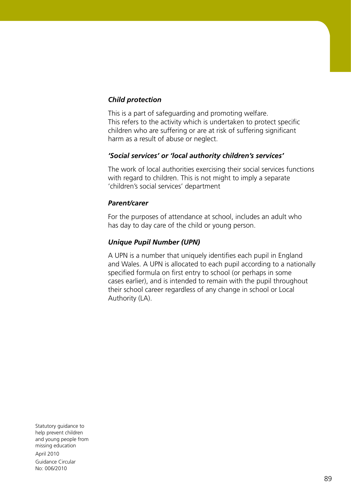## *Child protection*

This is a part of safeguarding and promoting welfare. This refers to the activity which is undertaken to protect specific children who are suffering or are at risk of suffering significant harm as a result of abuse or neglect.

#### *'Social services' or 'local authority children's services'*

The work of local authorities exercising their social services functions with regard to children. This is not might to imply a separate 'children's social services' department

#### *Parent/carer*

For the purposes of attendance at school, includes an adult who has day to day care of the child or young person.

#### *Unique Pupil Number (UPN)*

A UPN is a number that uniquely identifies each pupil in England and Wales. A UPN is allocated to each pupil according to a nationally specified formula on first entry to school (or perhaps in some cases earlier), and is intended to remain with the pupil throughout their school career regardless of any change in school or Local Authority (LA).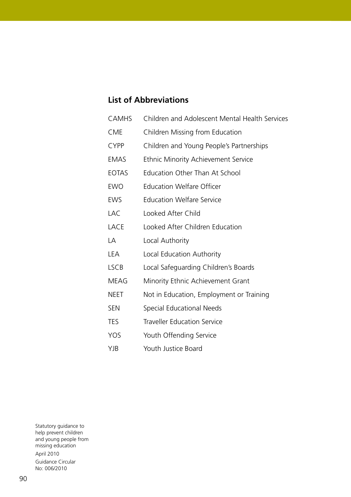# **List of Abbreviations**

| <b>CAMHS</b> | Children and Adolescent Mental Health Services |
|--------------|------------------------------------------------|
| <b>CME</b>   | Children Missing from Education                |
| <b>CYPP</b>  | Children and Young People's Partnerships       |
| <b>EMAS</b>  | <b>Ethnic Minority Achievement Service</b>     |
| <b>EOTAS</b> | <b>Education Other Than At School</b>          |
| <b>EWO</b>   | <b>Education Welfare Officer</b>               |
| <b>EWS</b>   | <b>Education Welfare Service</b>               |
| <b>LAC</b>   | Looked After Child                             |
| <b>LACE</b>  | Looked After Children Education                |
| LA           | Local Authority                                |
| <b>LEA</b>   | Local Education Authority                      |
| <b>LSCB</b>  | Local Safeguarding Children's Boards           |
| <b>MEAG</b>  | Minority Ethnic Achievement Grant              |
| <b>NEET</b>  | Not in Education, Employment or Training       |
| <b>SEN</b>   | Special Educational Needs                      |
| <b>TES</b>   | <b>Traveller Education Service</b>             |
| <b>YOS</b>   | Youth Offending Service                        |
| YJB          | Youth Justice Board                            |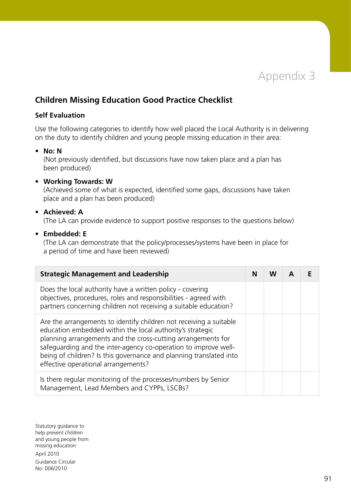

# **Children Missing Education Good Practice Checklist**

#### **Self Evaluation**

Use the following categories to identify how well placed the Local Authority is in delivering on the duty to identify children and young people missing education in their area:

#### • **No: N**

(Not previously identified, but discussions have now taken place and a plan has been produced)

#### • **Working Towards: W**

(Achieved some of what is expected, identified some gaps, discussions have taken place and a plan has been produced)

#### • **Achieved: A**

(The LA can provide evidence to support positive responses to the questions below)

• **Embedded: E**

(The LA can demonstrate that the policy/processes/systems have been in place for a period of time and have been reviewed)

| <b>Strategic Management and Leadership</b>                                                                                                                                                                                                                                                                                                                                      |  | W |  |
|---------------------------------------------------------------------------------------------------------------------------------------------------------------------------------------------------------------------------------------------------------------------------------------------------------------------------------------------------------------------------------|--|---|--|
| Does the local authority have a written policy - covering<br>objectives, procedures, roles and responsibilities - agreed with<br>partners concerning children not receiving a suitable education?                                                                                                                                                                               |  |   |  |
| Are the arrangements to identify children not receiving a suitable<br>education embedded within the local authority's strategic<br>planning arrangements and the cross-cutting arrangements for<br>safeguarding and the inter-agency co-operation to improve well-<br>being of children? Is this governance and planning translated into<br>effective operational arrangements? |  |   |  |
| Is there regular monitoring of the processes/numbers by Senior<br>Management, Lead Members and CYPPs, LSCBs?                                                                                                                                                                                                                                                                    |  |   |  |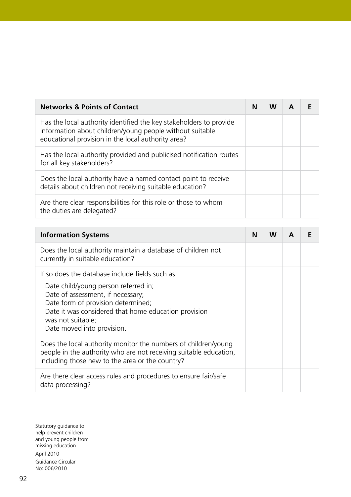| <b>Networks &amp; Points of Contact</b>                                                                                                                                              |  | W |  |
|--------------------------------------------------------------------------------------------------------------------------------------------------------------------------------------|--|---|--|
| Has the local authority identified the key stakeholders to provide<br>information about children/young people without suitable<br>educational provision in the local authority area? |  |   |  |
| Has the local authority provided and publicised notification routes<br>for all key stakeholders?                                                                                     |  |   |  |
| Does the local authority have a named contact point to receive<br>details about children not receiving suitable education?                                                           |  |   |  |
| Are there clear responsibilities for this role or those to whom<br>the duties are delegated?                                                                                         |  |   |  |

| <b>Information Systems</b>                                                                                                                                                                                                                                                    | N | w |  |
|-------------------------------------------------------------------------------------------------------------------------------------------------------------------------------------------------------------------------------------------------------------------------------|---|---|--|
| Does the local authority maintain a database of children not<br>currently in suitable education?                                                                                                                                                                              |   |   |  |
| If so does the database include fields such as:<br>Date child/young person referred in;<br>Date of assessment, if necessary;<br>Date form of provision determined;<br>Date it was considered that home education provision<br>was not suitable;<br>Date moved into provision. |   |   |  |
| Does the local authority monitor the numbers of children/young<br>people in the authority who are not receiving suitable education,<br>including those new to the area or the country?                                                                                        |   |   |  |
| Are there clear access rules and procedures to ensure fair/safe<br>data processing?                                                                                                                                                                                           |   |   |  |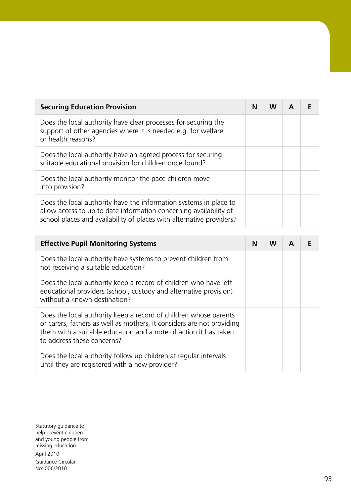| <b>Securing Education Provision</b>                                                                                                                                                                            |  | w |  |
|----------------------------------------------------------------------------------------------------------------------------------------------------------------------------------------------------------------|--|---|--|
| Does the local authority have clear processes for securing the<br>support of other agencies where it is needed e.g. for welfare<br>or health reasons?                                                          |  |   |  |
| Does the local authority have an agreed process for securing<br>suitable educational provision for children once found?                                                                                        |  |   |  |
| Does the local authority monitor the pace children move<br>into provision?                                                                                                                                     |  |   |  |
| Does the local authority have the information systems in place to<br>allow access to up to date information concerning availability of<br>school places and availability of places with alternative providers? |  |   |  |

| <b>Effective Pupil Monitoring Systems</b>                                                                                                                                                                                                   | N | w |  |
|---------------------------------------------------------------------------------------------------------------------------------------------------------------------------------------------------------------------------------------------|---|---|--|
| Does the local authority have systems to prevent children from<br>not receiving a suitable education?                                                                                                                                       |   |   |  |
| Does the local authority keep a record of children who have left<br>educational providers (school, custody and alternative provision)<br>without a known destination?                                                                       |   |   |  |
| Does the local authority keep a record of children whose parents<br>or carers, fathers as well as mothers, it considers are not providing<br>them with a suitable education and a note of action it has taken<br>to address these concerns? |   |   |  |
| Does the local authority follow up children at regular intervals<br>until they are registered with a new provider?                                                                                                                          |   |   |  |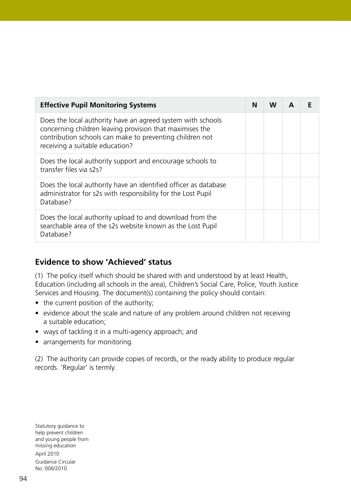| <b>Effective Pupil Monitoring Systems</b>                                                                                                                                                                              |  | w |  |
|------------------------------------------------------------------------------------------------------------------------------------------------------------------------------------------------------------------------|--|---|--|
| Does the local authority have an agreed system with schools<br>concerning children leaving provision that maximises the<br>contribution schools can make to preventing children not<br>receiving a suitable education? |  |   |  |
| Does the local authority support and encourage schools to<br>transfer files via s2s?                                                                                                                                   |  |   |  |
| Does the local authority have an identified officer as database<br>administrator for s2s with responsibility for the Lost Pupil<br>Database?                                                                           |  |   |  |
| Does the local authority upload to and download from the<br>searchable area of the s2s website known as the Lost Pupil<br>Database?                                                                                    |  |   |  |

# **Evidence to show 'Achieved' status**

(1) The policy itself which should be shared with and understood by at least Health, Education (including all schools in the area), Children's Social Care, Police, Youth Justice Services and Housing. The document(s) containing the policy should contain:

- the current position of the authority;
- evidence about the scale and nature of any problem around children not receiving a suitable education;
- ways of tackling it in a multi-agency approach; and
- arrangements for monitoring.

(2) The authority can provide copies of records, or the ready ability to produce regular records. 'Regular' is termly.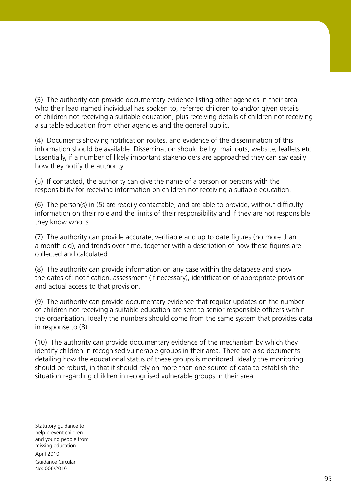(3) The authority can provide documentary evidence listing other agencies in their area who their lead named individual has spoken to, referred children to and/or given details of children not receiving a suiitable education, plus receiving details of children not receiving a suitable education from other agencies and the general public.

(4) Documents showing notification routes, and evidence of the dissemination of this information should be available. Dissemination should be by: mail outs, website, leaflets etc. Essentially, if a number of likely important stakeholders are approached they can say easily how they notify the authority.

(5) If contacted, the authority can give the name of a person or persons with the responsibility for receiving information on children not receiving a suitable education.

(6) The person(s) in (5) are readily contactable, and are able to provide, without difficulty information on their role and the limits of their responsibility and if they are not responsible they know who is.

(7) The authority can provide accurate, verifiable and up to date figures (no more than a month old), and trends over time, together with a description of how these figures are collected and calculated.

(8) The authority can provide information on any case within the database and show the dates of: notification, assessment (if necessary), identification of appropriate provision and actual access to that provision.

(9) The authority can provide documentary evidence that regular updates on the number of children not receiving a suitable education are sent to senior responsible officers within the organisation. Ideally the numbers should come from the same system that provides data in response to (8).

(10) The authority can provide documentary evidence of the mechanism by which they identify children in recognised vulnerable groups in their area. There are also documents detailing how the educational status of these groups is monitored. Ideally the monitoring should be robust, in that it should rely on more than one source of data to establish the situation regarding children in recognised vulnerable groups in their area.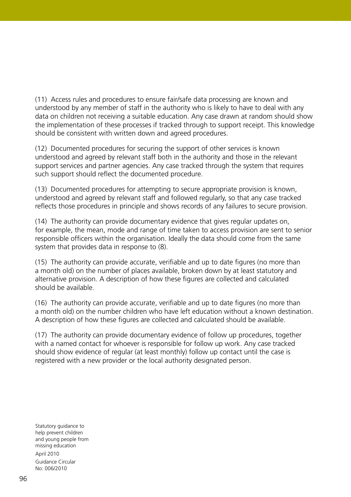(11) Access rules and procedures to ensure fair/safe data processing are known and understood by any member of staff in the authority who is likely to have to deal with any data on children not receiving a suitable education. Any case drawn at random should show the implementation of these processes if tracked through to support receipt. This knowledge should be consistent with written down and agreed procedures.

(12) Documented procedures for securing the support of other services is known understood and agreed by relevant staff both in the authority and those in the relevant support services and partner agencies. Any case tracked through the system that requires such support should reflect the documented procedure.

(13) Documented procedures for attempting to secure appropriate provision is known, understood and agreed by relevant staff and followed regularly, so that any case tracked reflects those procedures in principle and shows records of any failures to secure provision.

(14) The authority can provide documentary evidence that gives regular updates on, for example, the mean, mode and range of time taken to access provision are sent to senior responsible officers within the organisation. Ideally the data should come from the same system that provides data in response to (8).

(15) The authority can provide accurate, verifiable and up to date figures (no more than a month old) on the number of places available, broken down by at least statutory and alternative provision. A description of how these figures are collected and calculated should be available.

(16) The authority can provide accurate, verifiable and up to date figures (no more than a month old) on the number children who have left education without a known destination. A description of how these figures are collected and calculated should be available.

(17) The authority can provide documentary evidence of follow up procedures, together with a named contact for whoever is responsible for follow up work. Any case tracked should show evidence of regular (at least monthly) follow up contact until the case is registered with a new provider or the local authority designated person.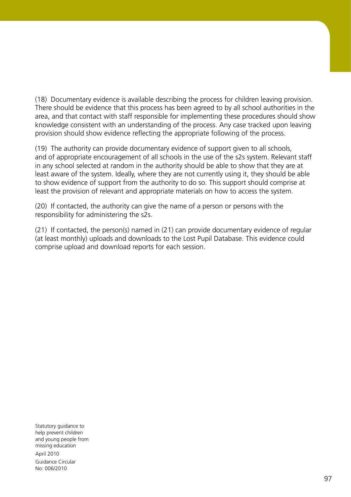(18) Documentary evidence is available describing the process for children leaving provision. There should be evidence that this process has been agreed to by all school authorities in the area, and that contact with staff responsible for implementing these procedures should show knowledge consistent with an understanding of the process. Any case tracked upon leaving provision should show evidence reflecting the appropriate following of the process.

(19) The authority can provide documentary evidence of support given to all schools, and of appropriate encouragement of all schools in the use of the s2s system. Relevant staff in any school selected at random in the authority should be able to show that they are at least aware of the system. Ideally, where they are not currently using it, they should be able to show evidence of support from the authority to do so. This support should comprise at least the provision of relevant and appropriate materials on how to access the system.

(20) If contacted, the authority can give the name of a person or persons with the responsibility for administering the s2s.

(21) If contacted, the person(s) named in (21) can provide documentary evidence of regular (at least monthly) uploads and downloads to the Lost Pupil Database. This evidence could comprise upload and download reports for each session.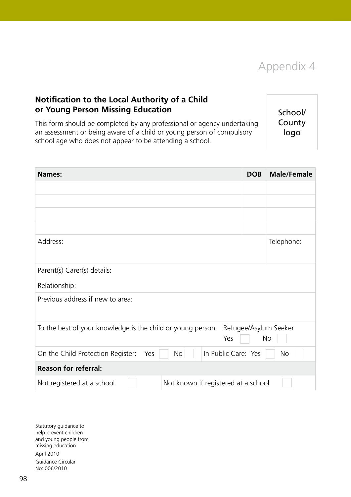Appendix 4

# **Notification to the Local Authority of a Child or Young Person Missing Education**

This form should be completed by any professional or agency undertaking an assessment or being aware of a child or young person of compulsory school age who does not appear to be attending a school.

School/ County logo

| <b>Names:</b>                                               | <b>DOB</b>                          | <b>Male/Female</b> |
|-------------------------------------------------------------|-------------------------------------|--------------------|
|                                                             |                                     |                    |
|                                                             |                                     |                    |
|                                                             |                                     |                    |
|                                                             |                                     |                    |
| Address:                                                    |                                     | Telephone:         |
| Parent(s) Carer(s) details:                                 |                                     |                    |
| Relationship:                                               |                                     |                    |
| Previous address if new to area:                            |                                     |                    |
| To the best of your knowledge is the child or young person: | Refugee/Asylum Seeker<br>Yes        | No                 |
| On the Child Protection Register:<br>Yes<br>No              | In Public Care: Yes                 | <b>No</b>          |
| <b>Reason for referral:</b>                                 |                                     |                    |
| Not registered at a school                                  | Not known if registered at a school |                    |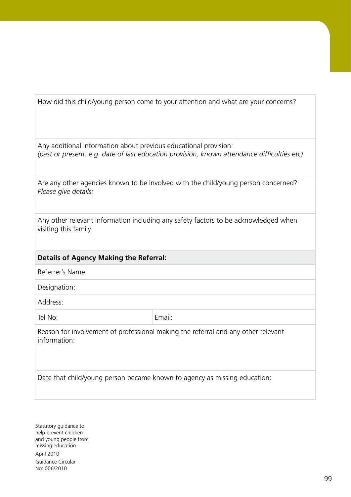How did this child/young person come to your attention and what are your concerns?

Any additional information about previous educational provision: *(past or present: e.g. date of last education provision, known attendance difficulties etc)*

| Are any other agencies known to be involved with the child/young person concerned? |  |
|------------------------------------------------------------------------------------|--|
| Please give details:                                                               |  |

Any other relevant information including any safety factors to be acknowledged when visiting this family:

#### **Details of Agency Making the Referral:**

Referrer's Name:

Designation:

Address:

Tel No: Email:

Reason for involvement of professional making the referral and any other relevant information:

Date that child/young person became known to agency as missing education: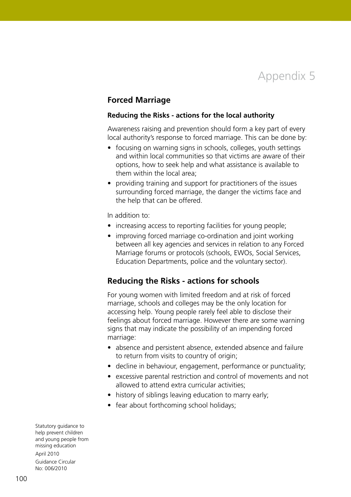

#### **Forced Marriage**

#### **Reducing the Risks - actions for the local authority**

Awareness raising and prevention should form a key part of every local authority's response to forced marriage. This can be done by:

- focusing on warning signs in schools, colleges, youth settings and within local communities so that victims are aware of their options, how to seek help and what assistance is available to them within the local area;
- providing training and support for practitioners of the issues surrounding forced marriage, the danger the victims face and the help that can be offered.

In addition to:

- increasing access to reporting facilities for young people;
- improving forced marriage co-ordination and joint working between all key agencies and services in relation to any Forced Marriage forums or protocols (schools, EWOs, Social Services, Education Departments, police and the voluntary sector).

#### **Reducing the Risks - actions for schools**

For young women with limited freedom and at risk of forced marriage, schools and colleges may be the only location for accessing help. Young people rarely feel able to disclose their feelings about forced marriage. However there are some warning signs that may indicate the possibility of an impending forced marriage:

- absence and persistent absence, extended absence and failure to return from visits to country of origin;
- decline in behaviour, engagement, performance or punctuality;
- excessive parental restriction and control of movements and not allowed to attend extra curricular activities;
- history of siblings leaving education to marry early;
- fear about forthcoming school holidays;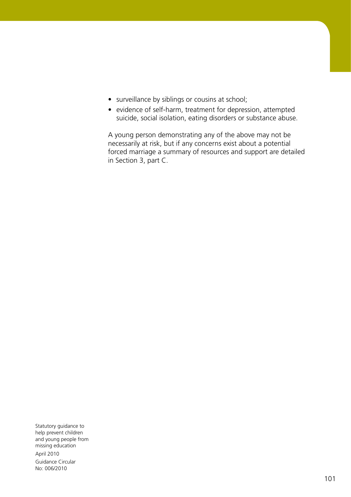- surveillance by siblings or cousins at school;
- evidence of self-harm, treatment for depression, attempted suicide, social isolation, eating disorders or substance abuse.

A young person demonstrating any of the above may not be necessarily at risk, but if any concerns exist about a potential forced marriage a summary of resources and support are detailed in Section 3, part C.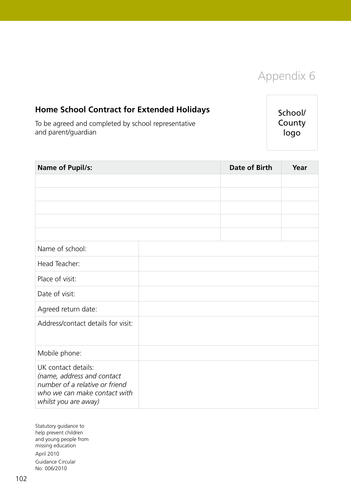

# **Home School Contract for Extended Holidays**

To be agreed and completed by school representative and parent/guardian

School/ County logo

| <b>Name of Pupil/s:</b>                                                                                                                     | Date of Birth | Year |
|---------------------------------------------------------------------------------------------------------------------------------------------|---------------|------|
|                                                                                                                                             |               |      |
|                                                                                                                                             |               |      |
|                                                                                                                                             |               |      |
|                                                                                                                                             |               |      |
|                                                                                                                                             |               |      |
| Name of school:                                                                                                                             |               |      |
| Head Teacher:                                                                                                                               |               |      |
| Place of visit:                                                                                                                             |               |      |
| Date of visit:                                                                                                                              |               |      |
| Agreed return date:                                                                                                                         |               |      |
| Address/contact details for visit:                                                                                                          |               |      |
|                                                                                                                                             |               |      |
| Mobile phone:                                                                                                                               |               |      |
| UK contact details:<br>(name, address and contact<br>number of a relative or friend<br>who we can make contact with<br>whilst you are away) |               |      |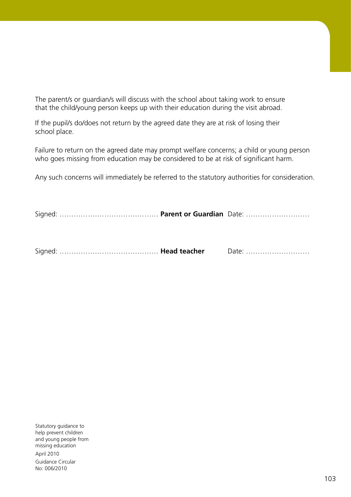The parent/s or guardian/s will discuss with the school about taking work to ensure that the child/young person keeps up with their education during the visit abroad.

If the pupil/s do/does not return by the agreed date they are at risk of losing their school place.

Failure to return on the agreed date may prompt welfare concerns; a child or young person who goes missing from education may be considered to be at risk of significant harm.

Any such concerns will immediately be referred to the statutory authorities for consideration.

Signed: …………………………………… **Parent or Guardian** Date: ………………………

Signed: …………………………………… **Head teacher** Date: ………………………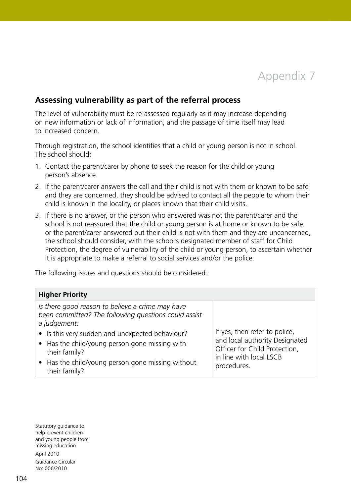

## **Assessing vulnerability as part of the referral process**

The level of vulnerability must be re-assessed regularly as it may increase depending on new information or lack of information, and the passage of time itself may lead to increased concern.

Through registration, the school identifies that a child or young person is not in school. The school should:

- 1. Contact the parent/carer by phone to seek the reason for the child or young person's absence.
- 2. If the parent/carer answers the call and their child is not with them or known to be safe and they are concerned, they should be advised to contact all the people to whom their child is known in the locality, or places known that their child visits.
- 3. If there is no answer, or the person who answered was not the parent/carer and the school is not reassured that the child or young person is at home or known to be safe, or the parent/carer answered but their child is not with them and they are unconcerned, the school should consider, with the school's designated member of staff for Child Protection, the degree of vulnerability of the child or young person, to ascertain whether it is appropriate to make a referral to social services and/or the police.

The following issues and questions should be considered:

| <b>Higher Priority</b>                                                                                                                                                                                                                                                                                               |                                                                                                                                            |  |  |  |
|----------------------------------------------------------------------------------------------------------------------------------------------------------------------------------------------------------------------------------------------------------------------------------------------------------------------|--------------------------------------------------------------------------------------------------------------------------------------------|--|--|--|
| Is there good reason to believe a crime may have<br>been committed? The following questions could assist<br>a judgement:<br>• Is this very sudden and unexpected behaviour?<br>• Has the child/young person gone missing with<br>their family?<br>• Has the child/young person gone missing without<br>their family? | If yes, then refer to police,<br>and local authority Designated<br>Officer for Child Protection,<br>in line with local LSCB<br>procedures. |  |  |  |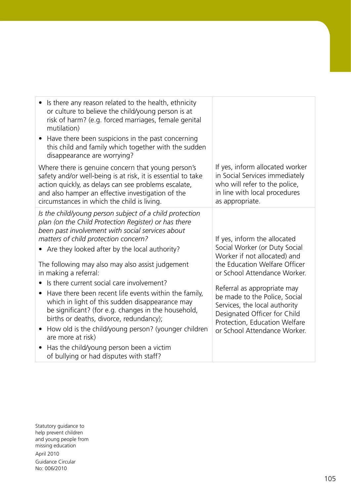| Is there any reason related to the health, ethnicity<br>or culture to believe the child/young person is at<br>risk of harm? (e.g. forced marriages, female genital<br>mutilation)<br>Have there been suspicions in the past concerning<br>this child and family which together with the sudden                                                    |                                                                                                                                                                                                                                 |
|---------------------------------------------------------------------------------------------------------------------------------------------------------------------------------------------------------------------------------------------------------------------------------------------------------------------------------------------------|---------------------------------------------------------------------------------------------------------------------------------------------------------------------------------------------------------------------------------|
| disappearance are worrying?<br>Where there is genuine concern that young person's<br>safety and/or well-being is at risk, it is essential to take<br>action quickly, as delays can see problems escalate,<br>and also hamper an effective investigation of the<br>circumstances in which the child is living.                                     | If yes, inform allocated worker<br>in Social Services immediately<br>who will refer to the police,<br>in line with local procedures<br>as appropriate.                                                                          |
| Is the child/young person subject of a child protection<br>plan (on the Child Protection Register) or has there<br>been past involvement with social services about<br>matters of child protection concern?<br>• Are they looked after by the local authority?                                                                                    | If yes, inform the allocated<br>Social Worker (or Duty Social<br>Worker if not allocated) and                                                                                                                                   |
| The following may also may also assist judgement<br>in making a referral:<br>Is there current social care involvement?<br>Have there been recent life events within the family,<br>$\bullet$<br>which in light of this sudden disappearance may<br>be significant? (for e.g. changes in the household,<br>births or deaths, divorce, redundancy); | the Education Welfare Officer<br>or School Attendance Worker.<br>Referral as appropriate may<br>be made to the Police, Social<br>Services, the local authority<br>Designated Officer for Child<br>Protection, Education Welfare |
| How old is the child/young person? (younger children<br>$\bullet$<br>are more at risk)<br>Has the child/young person been a victim<br>of bullying or had disputes with staff?                                                                                                                                                                     | or School Attendance Worker.                                                                                                                                                                                                    |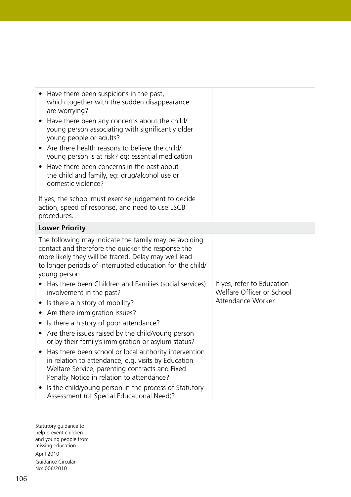| Have there been suspicions in the past,<br>which together with the sudden disappearance<br>are worrying?<br>Have there been any concerns about the child/<br>young person associating with significantly older<br>young people or adults?<br>Are there health reasons to believe the child/<br>young person is at risk? eg: essential medication<br>Have there been concerns in the past about<br>the child and family, eg: drug/alcohol use or<br>domestic violence?                                                                                                                                                                                                                                                                                                                                                                                                                         |                                                                               |
|-----------------------------------------------------------------------------------------------------------------------------------------------------------------------------------------------------------------------------------------------------------------------------------------------------------------------------------------------------------------------------------------------------------------------------------------------------------------------------------------------------------------------------------------------------------------------------------------------------------------------------------------------------------------------------------------------------------------------------------------------------------------------------------------------------------------------------------------------------------------------------------------------|-------------------------------------------------------------------------------|
| If yes, the school must exercise judgement to decide<br>action, speed of response, and need to use LSCB<br>procedures.                                                                                                                                                                                                                                                                                                                                                                                                                                                                                                                                                                                                                                                                                                                                                                        |                                                                               |
| <b>Lower Priority</b>                                                                                                                                                                                                                                                                                                                                                                                                                                                                                                                                                                                                                                                                                                                                                                                                                                                                         |                                                                               |
| The following may indicate the family may be avoiding<br>contact and therefore the quicker the response the<br>more likely they will be traced. Delay may well lead<br>to longer periods of interrupted education for the child/<br>young person.<br>Has there been Children and Families (social services)<br>involvement in the past?<br>• Is there a history of mobility?<br>• Are there immigration issues?<br>• Is there a history of poor attendance?<br>• Are there issues raised by the child/young person<br>or by their family's immigration or asylum status?<br>Has there been school or local authority intervention<br>in relation to attendance, e.g. visits by Education<br>Welfare Service, parenting contracts and Fixed<br>Penalty Notice in relation to attendance?<br>Is the child/young person in the process of Statutory<br>Assessment (of Special Educational Need)? | If yes, refer to Education<br>Welfare Officer or School<br>Attendance Worker. |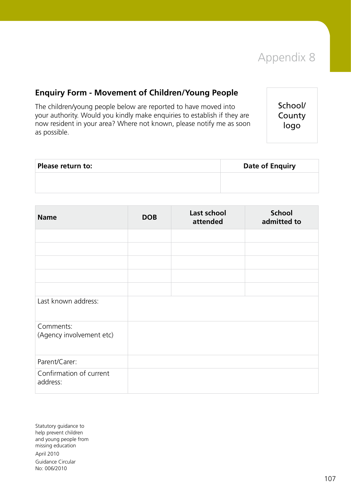

## **Enquiry Form - Movement of Children/Young People**

The children/young people below are reported to have moved into your authority. Would you kindly make enquiries to establish if they are now resident in your area? Where not known, please notify me as soon as possible.

School/ County logo

| Please return to: | <b>Date of Enquiry</b> |
|-------------------|------------------------|
|                   |                        |

| <b>Name</b>                           | <b>DOB</b> | Last school<br>attended | <b>School</b><br>admitted to |
|---------------------------------------|------------|-------------------------|------------------------------|
|                                       |            |                         |                              |
|                                       |            |                         |                              |
|                                       |            |                         |                              |
|                                       |            |                         |                              |
|                                       |            |                         |                              |
| Last known address:                   |            |                         |                              |
| Comments:<br>(Agency involvement etc) |            |                         |                              |
| Parent/Carer:                         |            |                         |                              |
| Confirmation of current<br>address:   |            |                         |                              |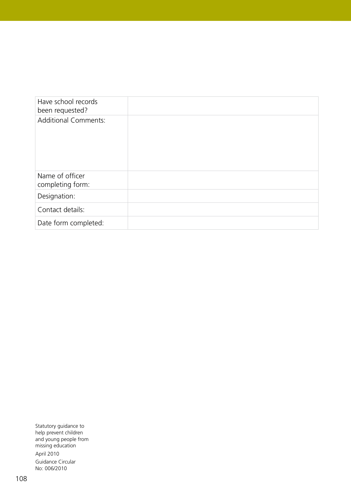| Have school records<br>been requested? |  |
|----------------------------------------|--|
| <b>Additional Comments:</b>            |  |
| Name of officer<br>completing form:    |  |
| Designation:                           |  |
| Contact details:                       |  |
| Date form completed:                   |  |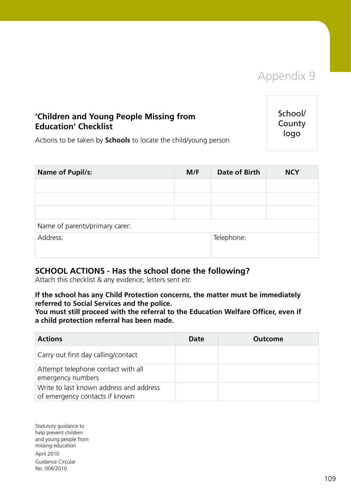## Appendix 9

## **'Children and Young People Missing from Education' Checklist**

School/ County logo

Actions to be taken by **Schools** to locate the child/young person

| <b>Name of Pupil/s:</b>        | M/F | <b>Date of Birth</b> | <b>NCY</b> |  |
|--------------------------------|-----|----------------------|------------|--|
|                                |     |                      |            |  |
|                                |     |                      |            |  |
|                                |     |                      |            |  |
| Name of parents/primary carer: |     |                      |            |  |
| Address:                       |     | Telephone:           |            |  |
|                                |     |                      |            |  |

### **SCHOOL ACTIONS - Has the school done the following?**

Attach this checklist & any evidence; letters sent etc

#### **If the school has any Child Protection concerns, the matter must be immediately referred to Social Services and the police.**

**You must still proceed with the referral to the Education Welfare Officer, even if a child protection referral has been made.**

| <b>Actions</b>                                                            | Date | Outcome |
|---------------------------------------------------------------------------|------|---------|
| Carry out first day calling/contact                                       |      |         |
| Attempt telephone contact with all<br>emergency numbers                   |      |         |
| Write to last known address and address<br>of emergency contacts if known |      |         |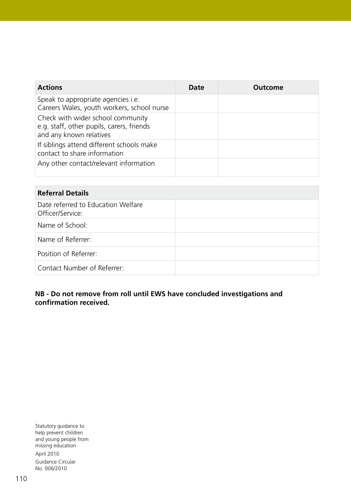| <b>Actions</b>                                                                                            | <b>Date</b> | Outcome |
|-----------------------------------------------------------------------------------------------------------|-------------|---------|
| Speak to appropriate agencies i.e.<br>Careers Wales, youth workers, school nurse                          |             |         |
| Check with wider school community<br>e.g. staff, other pupils, carers, friends<br>and any known relatives |             |         |
| If siblings attend different schools make<br>contact to share information                                 |             |         |
| Any other contact/relevant information                                                                    |             |         |

| <b>Referral Details</b>                                |  |  |  |
|--------------------------------------------------------|--|--|--|
| Date referred to Education Welfare<br>Officer/Service: |  |  |  |
| Name of School:                                        |  |  |  |
| Name of Referrer:                                      |  |  |  |
| Position of Referrer:                                  |  |  |  |
| Contact Number of Referrer:                            |  |  |  |

#### **NB - Do not remove from roll until EWS have concluded investigations and confirmation received.**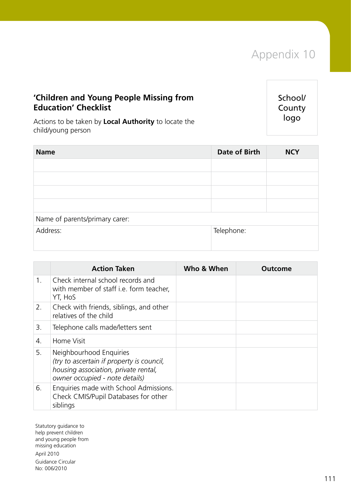## **'Children and Young People Missing from Education' Checklist**

School/ County logo

Actions to be taken by **Local Authority** to locate the child/young person

| <b>Name</b>                    | Date of Birth | <b>NCY</b> |
|--------------------------------|---------------|------------|
|                                |               |            |
|                                |               |            |
|                                |               |            |
|                                |               |            |
| Name of parents/primary carer: |               |            |
| Address:                       | Telephone:    |            |
|                                |               |            |

|             | <b>Action Taken</b>                                                                                                                            | Who & When | Outcome |
|-------------|------------------------------------------------------------------------------------------------------------------------------------------------|------------|---------|
| $1_{\cdot}$ | Check internal school records and<br>with member of staff i.e. form teacher,<br>YT, HoS                                                        |            |         |
| 2.          | Check with friends, siblings, and other<br>relatives of the child                                                                              |            |         |
| 3.          | Telephone calls made/letters sent                                                                                                              |            |         |
| 4.          | Home Visit                                                                                                                                     |            |         |
| 5.          | Neighbourhood Enquiries<br>(try to ascertain if property is council,<br>housing association, private rental,<br>owner occupied - note details) |            |         |
| 6.          | Enquiries made with School Admissions.<br>Check CMIS/Pupil Databases for other<br>siblings                                                     |            |         |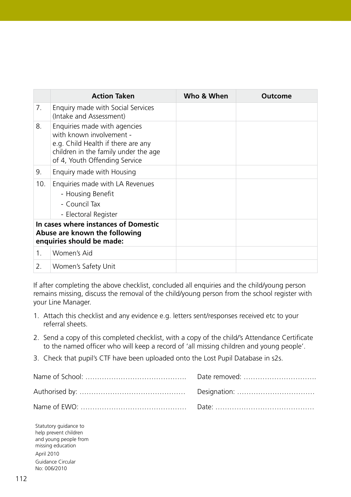|     | <b>Action Taken</b>                                                                                                                                                     | Who & When | <b>Outcome</b> |
|-----|-------------------------------------------------------------------------------------------------------------------------------------------------------------------------|------------|----------------|
| 7.  | Enquiry made with Social Services<br>(Intake and Assessment)                                                                                                            |            |                |
| 8.  | Enquiries made with agencies<br>with known involvement -<br>e.g. Child Health if there are any<br>children in the family under the age<br>of 4, Youth Offending Service |            |                |
| 9.  | Enquiry made with Housing                                                                                                                                               |            |                |
| 10. | Enquiries made with LA Revenues<br>- Housing Benefit<br>- Council Tax<br>- Electoral Register                                                                           |            |                |
|     | In cases where instances of Domestic<br>Abuse are known the following<br>enquiries should be made:                                                                      |            |                |
| 1.  | Women's Aid                                                                                                                                                             |            |                |
| 2.  | Women's Safety Unit                                                                                                                                                     |            |                |

If after completing the above checklist, concluded all enquiries and the child/young person remains missing, discuss the removal of the child/young person from the school register with your Line Manager.

- 1. Attach this checklist and any evidence e.g. letters sent/responses received etc to your referral sheets.
- 2. Send a copy of this completed checklist, with a copy of the child/'s Attendance Certificate to the named officer who will keep a record of 'all missing children and young people'.
- 3. Check that pupil's CTF have been uploaded onto the Lost Pupil Database in s2s.

| Date removed: |
|---------------|
|               |
|               |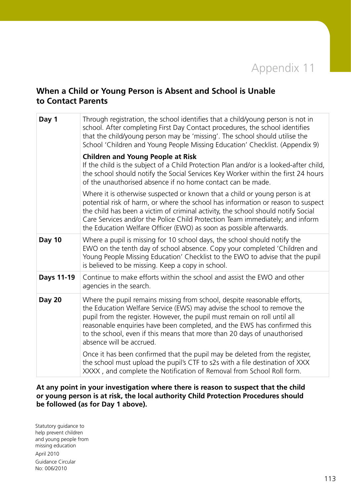# Appendix 11

## **When a Child or Young Person is Absent and School is Unable to Contact Parents**

| Day 1         | Through registration, the school identifies that a child/young person is not in<br>school. After completing First Day Contact procedures, the school identifies<br>that the child/young person may be 'missing'. The school should utilise the<br>School 'Children and Young People Missing Education' Checklist. (Appendix 9)                                                                                       |  |  |
|---------------|----------------------------------------------------------------------------------------------------------------------------------------------------------------------------------------------------------------------------------------------------------------------------------------------------------------------------------------------------------------------------------------------------------------------|--|--|
|               | <b>Children and Young People at Risk</b><br>If the child is the subject of a Child Protection Plan and/or is a looked-after child,<br>the school should notify the Social Services Key Worker within the first 24 hours<br>of the unauthorised absence if no home contact can be made.                                                                                                                               |  |  |
|               | Where it is otherwise suspected or known that a child or young person is at<br>potential risk of harm, or where the school has information or reason to suspect<br>the child has been a victim of criminal activity, the school should notify Social<br>Care Services and/or the Police Child Protection Team immediately; and inform<br>the Education Welfare Officer (EWO) as soon as possible afterwards.         |  |  |
| <b>Day 10</b> | Where a pupil is missing for 10 school days, the school should notify the<br>EWO on the tenth day of school absence. Copy your completed 'Children and<br>Young People Missing Education' Checklist to the EWO to advise that the pupil<br>is believed to be missing. Keep a copy in school.                                                                                                                         |  |  |
| Days 11-19    | Continue to make efforts within the school and assist the EWO and other<br>agencies in the search.                                                                                                                                                                                                                                                                                                                   |  |  |
| <b>Day 20</b> | Where the pupil remains missing from school, despite reasonable efforts,<br>the Education Welfare Service (EWS) may advise the school to remove the<br>pupil from the register. However, the pupil must remain on roll until all<br>reasonable enquiries have been completed, and the EWS has confirmed this<br>to the school, even if this means that more than 20 days of unauthorised<br>absence will be accrued. |  |  |
|               | Once it has been confirmed that the pupil may be deleted from the register,<br>the school must upload the pupil's CTF to s2s with a file destination of XXX<br>XXXX, and complete the Notification of Removal from School Roll form.                                                                                                                                                                                 |  |  |

#### **At any point in your investigation where there is reason to suspect that the child or young person is at risk, the local authority Child Protection Procedures should be followed (as for Day 1 above).**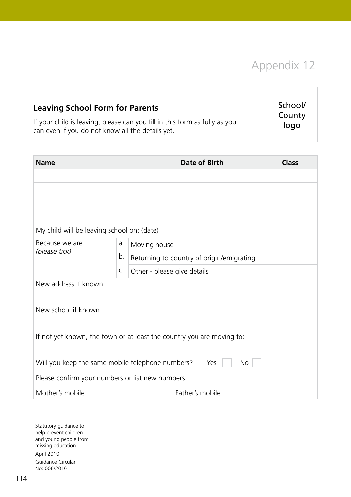

School/ County logo

**Leaving School Form for Parents**

If your child is leaving, please can you fill in this form as fully as you can even if you do not know all the details yet.

**Name Date of Birth Class** My child will be leaving school on: (date) Because we are: *(please tick)* a. b. c. Moving house Returning to country of origin/emigrating Other - please give details New address if known: New school if known: If not yet known, the town or at least the country you are moving to: Will you keep the same mobile telephone numbers? Yes  $\vert$  No Please confirm your numbers or list new numbers: Mother's mobile: ……………………………… Father's mobile: ………………………………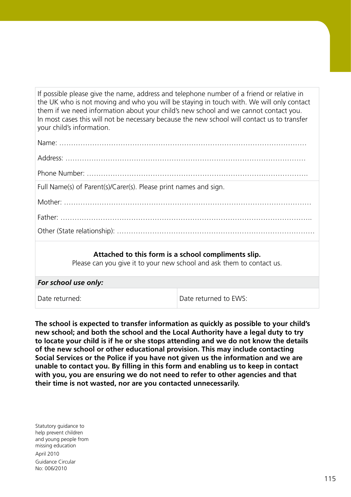If possible please give the name, address and telephone number of a friend or relative in the UK who is not moving and who you will be staying in touch with. We will only contact them if we need information about your child's new school and we cannot contact you. In most cases this will not be necessary because the new school will contact us to transfer your child's information.

| Full Name(s) of Parent(s)/Carer(s). Please print names and sign.                                                             |
|------------------------------------------------------------------------------------------------------------------------------|
|                                                                                                                              |
|                                                                                                                              |
|                                                                                                                              |
| Attached to this form is a school compliments slip.<br>Please can you give it to your new school and ask them to contact us. |

| For school use only: |                       |  |  |
|----------------------|-----------------------|--|--|
| Date returned:       | Date returned to EWS: |  |  |

**The school is expected to transfer information as quickly as possible to your child's new school; and both the school and the Local Authority have a legal duty to try to locate your child is if he or she stops attending and we do not know the details of the new school or other educational provision. This may include contacting Social Services or the Police if you have not given us the information and we are unable to contact you. By filling in this form and enabling us to keep in contact with you, you are ensuring we do not need to refer to other agencies and that their time is not wasted, nor are you contacted unnecessarily.**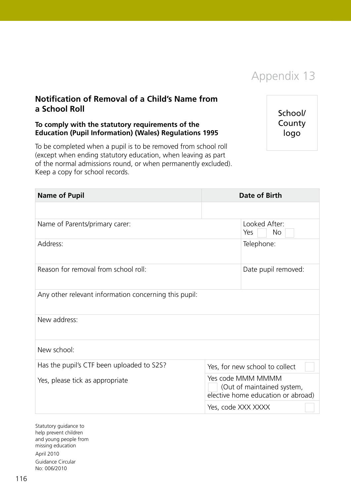

## **Notification of Removal of a Child's Name from a School Roll**

#### **To comply with the statutory requirements of the Education (Pupil Information) (Wales) Regulations 1995**

To be completed when a pupil is to be removed from school roll (except when ending statutory education, when leaving as part of the normal admissions round, or when permanently excluded). Keep a copy for school records.

School/ County logo

| <b>Name of Pupil</b>                                  | Date of Birth                                                                         |  |  |  |
|-------------------------------------------------------|---------------------------------------------------------------------------------------|--|--|--|
|                                                       |                                                                                       |  |  |  |
| Name of Parents/primary carer:                        | Looked After:<br><b>No</b><br>Yes                                                     |  |  |  |
| Address:                                              | Telephone:                                                                            |  |  |  |
| Reason for removal from school roll:                  | Date pupil removed:                                                                   |  |  |  |
| Any other relevant information concerning this pupil: |                                                                                       |  |  |  |
| New address:                                          |                                                                                       |  |  |  |
| New school:                                           |                                                                                       |  |  |  |
| Has the pupil's CTF been uploaded to S2S?             | Yes, for new school to collect                                                        |  |  |  |
| Yes, please tick as appropriate                       | Yes code MMM MMMM<br>(Out of maintained system,<br>elective home education or abroad) |  |  |  |
|                                                       | Yes, code XXX XXXX                                                                    |  |  |  |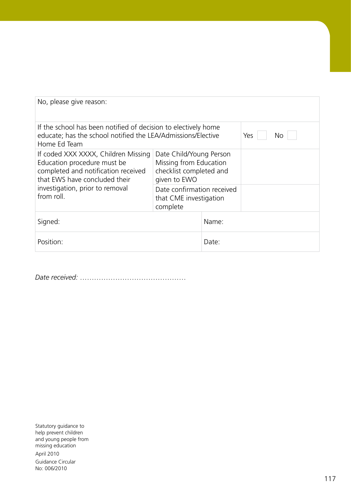| No, please give reason:                                                                                                                        |                                                                                              |       |  |  |
|------------------------------------------------------------------------------------------------------------------------------------------------|----------------------------------------------------------------------------------------------|-------|--|--|
| If the school has been notified of decision to electively home<br>educate; has the school notified the LEA/Admissions/Elective<br>Home Ed Team | Yes<br>No                                                                                    |       |  |  |
| If coded XXX XXXX, Children Missing<br>Education procedure must be<br>completed and notification received<br>that EWS have concluded their     | Date Child/Young Person<br>Missing from Education<br>checklist completed and<br>given to EWO |       |  |  |
| investigation, prior to removal<br>from roll.                                                                                                  | Date confirmation received<br>that CME investigation<br>complete                             |       |  |  |
| Signed:                                                                                                                                        |                                                                                              | Name: |  |  |
| Position:                                                                                                                                      |                                                                                              | Date: |  |  |

*Date received:* ………………………………………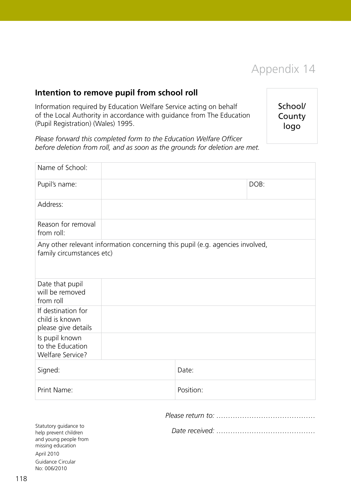

## **Intention to remove pupil from school roll**

Information required by Education Welfare Service acting on behalf of the Local Authority in accordance with guidance from The Education (Pupil Registration) (Wales) 1995.

School/ **County** logo

*Please forward this completed form to the Education Welfare Officer before deletion from roll, and as soon as the grounds for deletion are met.*

| Name of School:                                               |                                                                               |           |      |
|---------------------------------------------------------------|-------------------------------------------------------------------------------|-----------|------|
| Pupil's name:                                                 |                                                                               |           | DOB: |
| Address:                                                      |                                                                               |           |      |
| Reason for removal<br>from roll:                              |                                                                               |           |      |
| family circumstances etc)                                     | Any other relevant information concerning this pupil (e.g. agencies involved, |           |      |
| Date that pupil<br>will be removed<br>from roll               |                                                                               |           |      |
| If destination for<br>child is known<br>please give details   |                                                                               |           |      |
| Is pupil known<br>to the Education<br><b>Welfare Service?</b> |                                                                               |           |      |
| Signed:                                                       |                                                                               | Date:     |      |
| Print Name:                                                   |                                                                               | Position: |      |

*Please return to: ……………………………………*

*Date received: ……………………………………*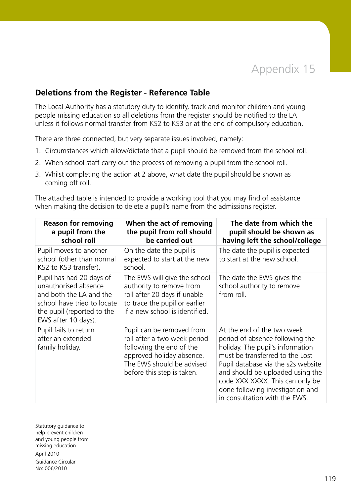## **Deletions from the Register - Reference Table**

The Local Authority has a statutory duty to identify, track and monitor children and young people missing education so all deletions from the register should be notified to the LA unless it follows normal transfer from KS2 to KS3 or at the end of compulsory education.

There are three connected, but very separate issues involved, namely:

- 1. Circumstances which allow/dictate that a pupil should be removed from the school roll.
- 2. When school staff carry out the process of removing a pupil from the school roll.
- 3. Whilst completing the action at 2 above, what date the pupil should be shown as coming off roll.

The attached table is intended to provide a working tool that you may find of assistance when making the decision to delete a pupil's name from the admissions register.

| <b>Reason for removing</b><br>a pupil from the<br>school roll                                                                                                   | When the act of removing<br>the pupil from roll should<br>be carried out                                                                                                      | The date from which the<br>pupil should be shown as<br>having left the school/college                                                                                                                                                                                                                                  |
|-----------------------------------------------------------------------------------------------------------------------------------------------------------------|-------------------------------------------------------------------------------------------------------------------------------------------------------------------------------|------------------------------------------------------------------------------------------------------------------------------------------------------------------------------------------------------------------------------------------------------------------------------------------------------------------------|
| Pupil moves to another<br>school (other than normal<br>KS2 to KS3 transfer).                                                                                    | On the date the pupil is<br>expected to start at the new<br>school.                                                                                                           | The date the pupil is expected<br>to start at the new school.                                                                                                                                                                                                                                                          |
| Pupil has had 20 days of<br>unauthorised absence<br>and both the LA and the<br>school have tried to locate<br>the pupil (reported to the<br>EWS after 10 days). | The EWS will give the school<br>authority to remove from<br>roll after 20 days if unable<br>to trace the pupil or earlier<br>if a new school is identified.                   | The date the EWS gives the<br>school authority to remove<br>from roll.                                                                                                                                                                                                                                                 |
| Pupil fails to return<br>after an extended<br>family holiday.                                                                                                   | Pupil can be removed from<br>roll after a two week period<br>following the end of the<br>approved holiday absence.<br>The EWS should be advised<br>before this step is taken. | At the end of the two week<br>period of absence following the<br>holiday. The pupil's information<br>must be transferred to the Lost<br>Pupil database via the s2s website<br>and should be uploaded using the<br>code XXX XXXX. This can only be<br>done following investigation and<br>in consultation with the EWS. |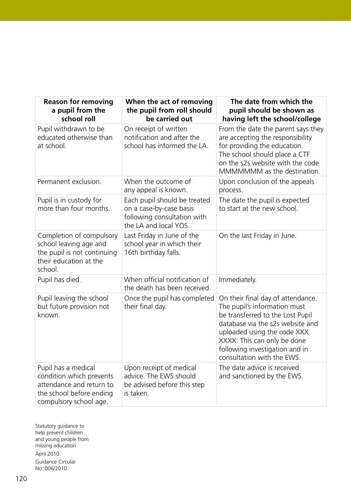| <b>Reason for removing</b><br>a pupil from the<br>school roll                                                                     | When the act of removing<br>the pupil from roll should<br>be carried out                                        | The date from which the<br>pupil should be shown as<br>having left the school/college                                                                                                                                                                                   |
|-----------------------------------------------------------------------------------------------------------------------------------|-----------------------------------------------------------------------------------------------------------------|-------------------------------------------------------------------------------------------------------------------------------------------------------------------------------------------------------------------------------------------------------------------------|
| Pupil withdrawn to be<br>educated otherwise than<br>at school.                                                                    | On receipt of written<br>notification and after the<br>school has informed the LA.                              | From the date the parent says they<br>are accepting the responsibility<br>for providing the education.<br>The school should place a CTF<br>on the s2s website with the code<br>MMMMMMM as the destination.                                                              |
| Permanent exclusion.                                                                                                              | When the outcome of<br>any appeal is known.                                                                     | Upon conclusion of the appeals<br>process.                                                                                                                                                                                                                              |
| Pupil is in custody for<br>more than four months.                                                                                 | Each pupil should be treated<br>on a case-by-case basis<br>following consultation with<br>the LA and local YOS. | The date the pupil is expected<br>to start at the new school.                                                                                                                                                                                                           |
| Completion of compulsory<br>school leaving age and<br>the pupil is not continuing<br>their education at the<br>school.            | Last Friday in June of the<br>school year in which their<br>16th birthday falls.                                | On the last Friday in June.                                                                                                                                                                                                                                             |
| Pupil has died.                                                                                                                   | When official notification of<br>the death has been received.                                                   | Immediately.                                                                                                                                                                                                                                                            |
| Pupil leaving the school<br>but future provision not<br>known.                                                                    | Once the pupil has completed<br>their final day.                                                                | On their final day of attendance.<br>The pupil's information must<br>be transferred to the Lost Pupil<br>database via the s2s website and<br>uploaded using the code XXX<br>XXXX. This can only be done<br>following investigation and in<br>consultation with the EWS. |
| Pupil has a medical<br>condition which prevents<br>attendance and return to<br>the school before ending<br>compulsory school age. | Upon receipt of medical<br>advice. The EWS should<br>be advised before this step<br>is taken.                   | The date advice is received<br>and sanctioned by the EWS.                                                                                                                                                                                                               |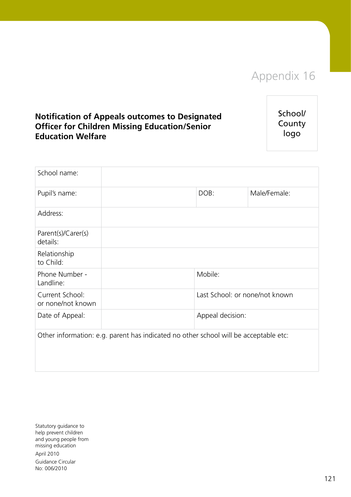# Appendix 16

## **Notification of Appeals outcomes to Designated Officer for Children Missing Education/Senior Education Welfare**

School/ County logo

| School name:                         |                                                                                      |                                |              |
|--------------------------------------|--------------------------------------------------------------------------------------|--------------------------------|--------------|
| Pupil's name:                        |                                                                                      | DOB:                           | Male/Female: |
| Address:                             |                                                                                      |                                |              |
| Parent(s)/Carer(s)<br>details:       |                                                                                      |                                |              |
| Relationship<br>to Child:            |                                                                                      |                                |              |
| Phone Number -<br>Landline:          |                                                                                      | Mobile:                        |              |
| Current School:<br>or none/not known |                                                                                      | Last School: or none/not known |              |
| Date of Appeal:                      |                                                                                      | Appeal decision:               |              |
|                                      | Other information: e.g. parent has indicated no other school will be acceptable etc: |                                |              |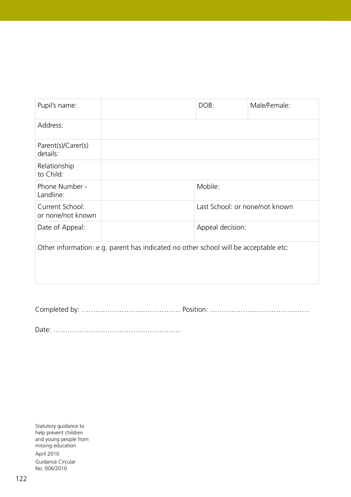| Pupil's name:                                                                        |  | DOB:                           | Male/Female: |
|--------------------------------------------------------------------------------------|--|--------------------------------|--------------|
| Address:                                                                             |  |                                |              |
| Parent(s)/Carer(s)<br>details:                                                       |  |                                |              |
| Relationship<br>to Child:                                                            |  |                                |              |
| Phone Number -<br>Landline:                                                          |  | Mobile:                        |              |
| Current School:<br>or none/not known                                                 |  | Last School: or none/not known |              |
| Date of Appeal:                                                                      |  | Appeal decision:               |              |
| Other information: e.g. parent has indicated no other school will be acceptable etc: |  |                                |              |
|                                                                                      |  |                                |              |

Completed by: …………………………………… Position: ……………………………………

Date: ………………………………………………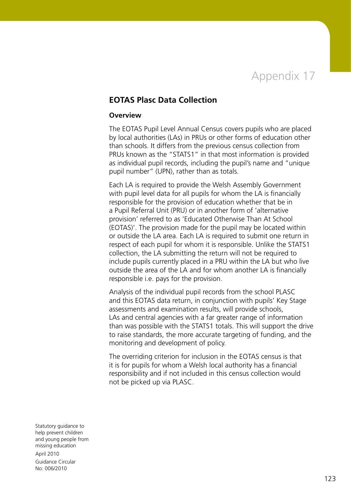

#### **EOTAS Plasc Data Collection**

#### **Overview**

The EOTAS Pupil Level Annual Census covers pupils who are placed by local authorities (LAs) in PRUs or other forms of education other than schools. It differs from the previous census collection from PRUs known as the "STATS1" in that most information is provided as individual pupil records, including the pupil's name and "unique pupil number" (UPN), rather than as totals.

Each LA is required to provide the Welsh Assembly Government with pupil level data for all pupils for whom the LA is financially responsible for the provision of education whether that be in a Pupil Referral Unit (PRU) or in another form of 'alternative provision' referred to as 'Educated Otherwise Than At School (EOTAS)'. The provision made for the pupil may be located within or outside the LA area. Each LA is required to submit one return in respect of each pupil for whom it is responsible. Unlike the STATS1 collection, the LA submitting the return will not be required to include pupils currently placed in a PRU within the LA but who live outside the area of the LA and for whom another LA is financially responsible i.e. pays for the provision.

Analysis of the individual pupil records from the school PLASC and this EOTAS data return, in conjunction with pupils' Key Stage assessments and examination results, will provide schools, LAs and central agencies with a far greater range of information than was possible with the STATS1 totals. This will support the drive to raise standards, the more accurate targeting of funding, and the monitoring and development of policy.

The overriding criterion for inclusion in the EOTAS census is that it is for pupils for whom a Welsh local authority has a financial responsibility and if not included in this census collection would not be picked up via PLASC.